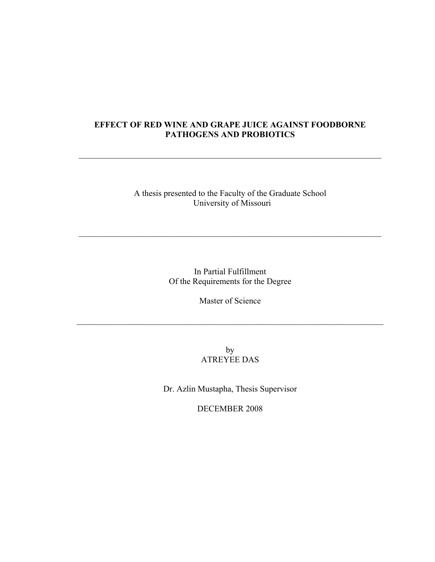# **EFFECT OF RED WINE AND GRAPE JUICE AGAINST FOODBORNE PATHOGENS AND PROBIOTICS**

 $\mathcal{L}_\text{max}$  , and the contribution of the contribution of the contribution of the contribution of the contribution of the contribution of the contribution of the contribution of the contribution of the contribution of t

A thesis presented to the Faculty of the Graduate School University of Missouri

 $\mathcal{L}_\text{max}$  , and the contribution of the contribution of the contribution of the contribution of the contribution of the contribution of the contribution of the contribution of the contribution of the contribution of t

In Partial Fulfillment Of the Requirements for the Degree

Master of Science

 $\mathcal{L}_\text{max}$  , and the contribution of the contribution of the contribution of the contribution of the contribution of the contribution of the contribution of the contribution of the contribution of the contribution of t

by ATREYEE DAS

Dr. Azlin Mustapha, Thesis Supervisor

DECEMBER 2008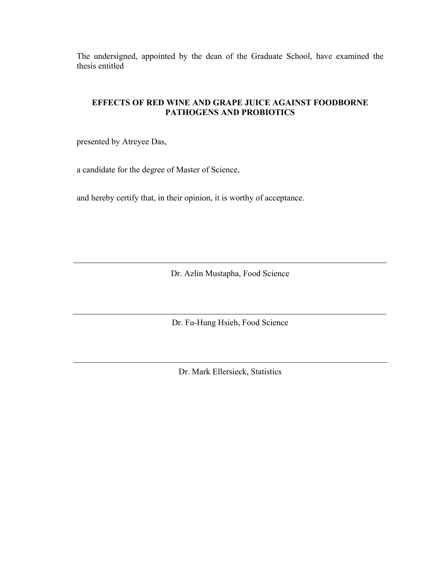The undersigned, appointed by the dean of the Graduate School, have examined the thesis entitled

# **EFFECTS OF RED WINE AND GRAPE JUICE AGAINST FOODBORNE PATHOGENS AND PROBIOTICS**

presented by Atreyee Das,

a candidate for the degree of Master of Science,

and hereby certify that, in their opinion, it is worthy of acceptance.

Dr. Azlin Mustapha, Food Science

Dr. Fu-Hung Hsieh, Food Science

Dr. Mark Ellersieck, Statistics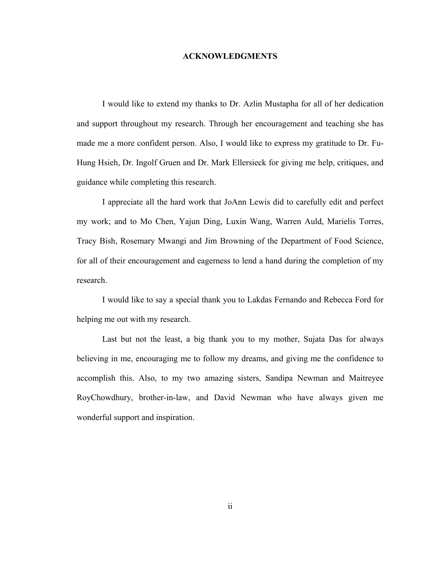## **ACKNOWLEDGMENTS**

<span id="page-2-0"></span> I would like to extend my thanks to Dr. Azlin Mustapha for all of her dedication and support throughout my research. Through her encouragement and teaching she has made me a more confident person. Also, I would like to express my gratitude to Dr. Fu-Hung Hsieh, Dr. Ingolf Gruen and Dr. Mark Ellersieck for giving me help, critiques, and guidance while completing this research.

 I appreciate all the hard work that JoAnn Lewis did to carefully edit and perfect my work; and to Mo Chen, Yajun Ding, Luxin Wang, Warren Auld, Marielis Torres, Tracy Bish, Rosemary Mwangi and Jim Browning of the Department of Food Science, for all of their encouragement and eagerness to lend a hand during the completion of my research.

 I would like to say a special thank you to Lakdas Fernando and Rebecca Ford for helping me out with my research.

 Last but not the least, a big thank you to my mother, Sujata Das for always believing in me, encouraging me to follow my dreams, and giving me the confidence to accomplish this. Also, to my two amazing sisters, Sandipa Newman and Maitreyee RoyChowdhury, brother-in-law, and David Newman who have always given me wonderful support and inspiration.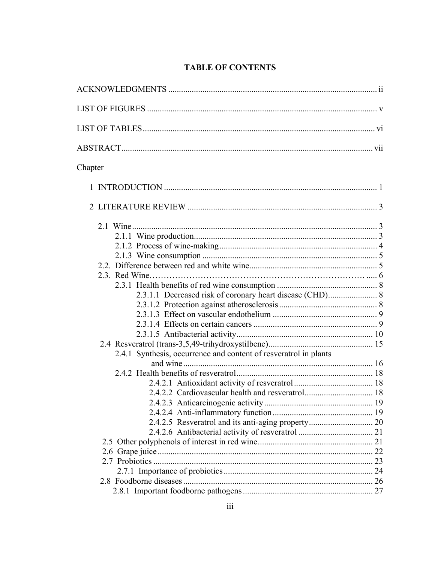# **TABLE OF CONTENTS**

| Chapter                                                          |  |
|------------------------------------------------------------------|--|
|                                                                  |  |
|                                                                  |  |
|                                                                  |  |
|                                                                  |  |
|                                                                  |  |
|                                                                  |  |
|                                                                  |  |
|                                                                  |  |
|                                                                  |  |
| 2.3.1.1 Decreased risk of coronary heart disease (CHD) 8         |  |
|                                                                  |  |
|                                                                  |  |
|                                                                  |  |
|                                                                  |  |
|                                                                  |  |
| 2.4.1 Synthesis, occurrence and content of resveratrol in plants |  |
|                                                                  |  |
|                                                                  |  |
|                                                                  |  |
|                                                                  |  |
|                                                                  |  |
|                                                                  |  |
|                                                                  |  |
|                                                                  |  |
|                                                                  |  |
|                                                                  |  |
|                                                                  |  |
|                                                                  |  |
|                                                                  |  |
|                                                                  |  |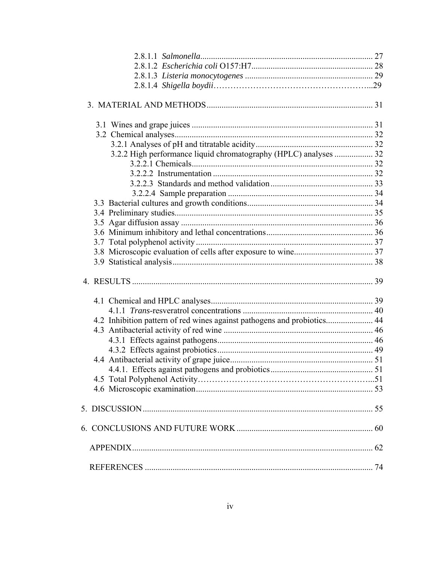| 3.2.2 High performance liquid chromatography (HPLC) analyses  32        |  |
|-------------------------------------------------------------------------|--|
|                                                                         |  |
|                                                                         |  |
|                                                                         |  |
|                                                                         |  |
|                                                                         |  |
|                                                                         |  |
|                                                                         |  |
|                                                                         |  |
|                                                                         |  |
|                                                                         |  |
|                                                                         |  |
|                                                                         |  |
|                                                                         |  |
|                                                                         |  |
| 4.2 Inhibition pattern of red wines against pathogens and probiotics 44 |  |
|                                                                         |  |
|                                                                         |  |
|                                                                         |  |
|                                                                         |  |
|                                                                         |  |
|                                                                         |  |
|                                                                         |  |
|                                                                         |  |
|                                                                         |  |
|                                                                         |  |
|                                                                         |  |
|                                                                         |  |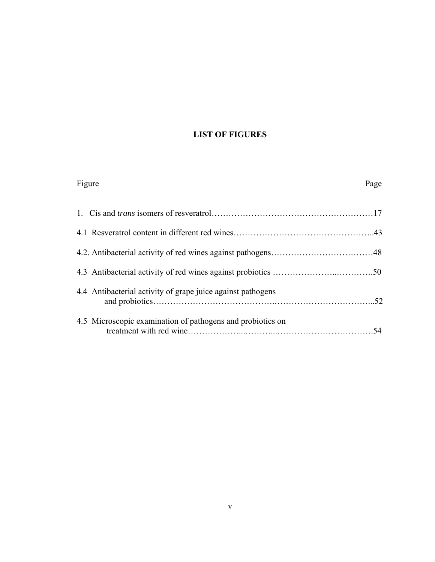# **LIST OF FIGURES**

| Figure                                                      | Page |
|-------------------------------------------------------------|------|
|                                                             |      |
|                                                             |      |
|                                                             |      |
|                                                             |      |
| 4.4 Antibacterial activity of grape juice against pathogens |      |
| 4.5 Microscopic examination of pathogens and probiotics on  | .54  |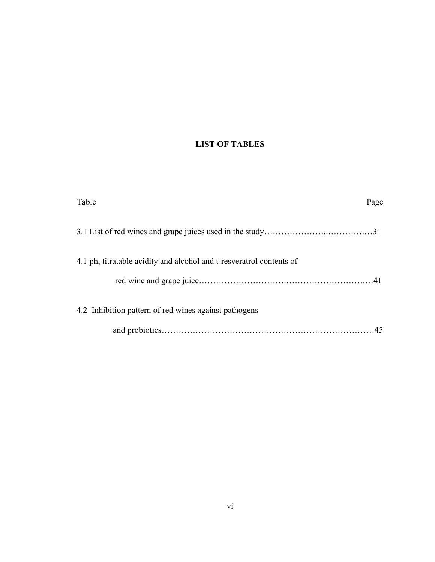# **LIST OF TABLES**

| Table                                                                | Page |
|----------------------------------------------------------------------|------|
|                                                                      |      |
| 4.1 ph, titratable acidity and alcohol and t-resveratrol contents of |      |
| 4.2 Inhibition pattern of red wines against pathogens                |      |
|                                                                      |      |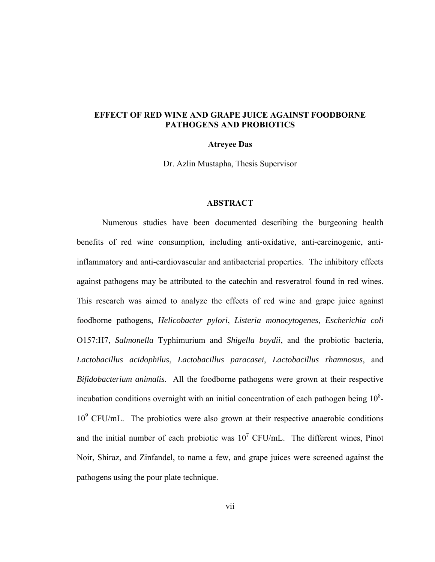# **EFFECT OF RED WINE AND GRAPE JUICE AGAINST FOODBORNE PATHOGENS AND PROBIOTICS**

# **Atreyee Das**

Dr. Azlin Mustapha, Thesis Supervisor

# **ABSTRACT**

 Numerous studies have been documented describing the burgeoning health benefits of red wine consumption, including anti-oxidative, anti-carcinogenic, antiinflammatory and anti-cardiovascular and antibacterial properties. The inhibitory effects against pathogens may be attributed to the catechin and resveratrol found in red wines. This research was aimed to analyze the effects of red wine and grape juice against foodborne pathogens, *Helicobacter pylori*, *Listeria monocytogenes*, *Escherichia coli* O157:H7, *Salmonella* Typhimurium and *Shigella boydii*, and the probiotic bacteria, *Lactobacillus acidophilus*, *Lactobacillus paracasei*, *Lactobacillus rhamnosus*, and *Bifidobacterium animalis*. All the foodborne pathogens were grown at their respective incubation conditions overnight with an initial concentration of each pathogen being  $10<sup>8</sup>$ -10<sup>9</sup> CFU/mL. The probiotics were also grown at their respective anaerobic conditions and the initial number of each probiotic was  $10^7$  CFU/mL. The different wines, Pinot Noir, Shiraz, and Zinfandel, to name a few, and grape juices were screened against the pathogens using the pour plate technique.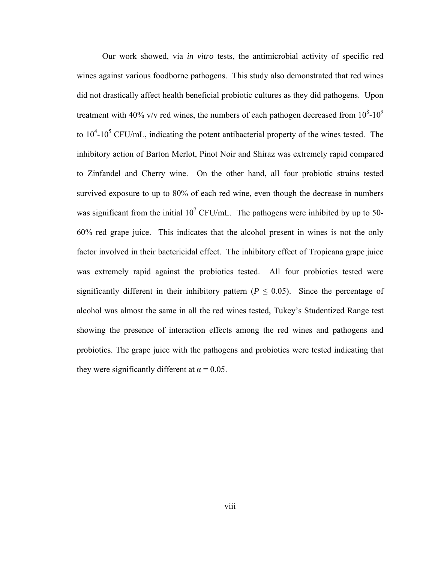Our work showed, via *in vitro* tests, the antimicrobial activity of specific red wines against various foodborne pathogens. This study also demonstrated that red wines did not drastically affect health beneficial probiotic cultures as they did pathogens. Upon treatment with 40% v/v red wines, the numbers of each pathogen decreased from  $10^8$ - $10^9$ to  $10^4$ - $10^5$  CFU/mL, indicating the potent antibacterial property of the wines tested. The inhibitory action of Barton Merlot, Pinot Noir and Shiraz was extremely rapid compared to Zinfandel and Cherry wine. On the other hand, all four probiotic strains tested survived exposure to up to 80% of each red wine, even though the decrease in numbers was significant from the initial  $10^7$  CFU/mL. The pathogens were inhibited by up to 50-60% red grape juice. This indicates that the alcohol present in wines is not the only factor involved in their bactericidal effect. The inhibitory effect of Tropicana grape juice was extremely rapid against the probiotics tested. All four probiotics tested were significantly different in their inhibitory pattern ( $P \leq 0.05$ ). Since the percentage of alcohol was almost the same in all the red wines tested, Tukey's Studentized Range test showing the presence of interaction effects among the red wines and pathogens and probiotics. The grape juice with the pathogens and probiotics were tested indicating that they were significantly different at  $\alpha = 0.05$ .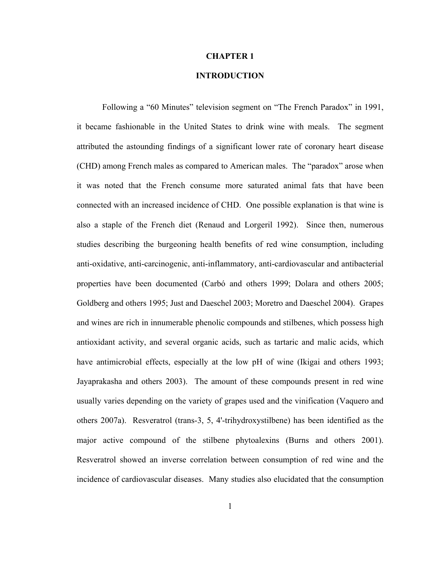## **CHAPTER 1**

# **INTRODUCTION**

<span id="page-9-0"></span> Following a "60 Minutes" television segment on "The French Paradox" in 1991, it became fashionable in the United States to drink wine with meals. The segment attributed the astounding findings of a significant lower rate of coronary heart disease (CHD) among French males as compared to American males. The "paradox" arose when it was noted that the French consume more saturated animal fats that have been connected with an increased incidence of CHD. One possible explanation is that wine is also a staple of the French diet (Renaud and Lorgeril 1992). Since then, numerous studies describing the burgeoning health benefits of red wine consumption, including anti-oxidative, anti-carcinogenic, anti-inflammatory, anti-cardiovascular and antibacterial properties have been documented (Carbό and others 1999; Dolara and others 2005; Goldberg and others 1995; Just and Daeschel 2003; Moretro and Daeschel 2004). Grapes and wines are rich in innumerable phenolic compounds and stilbenes, which possess high antioxidant activity, and several organic acids, such as tartaric and malic acids, which have antimicrobial effects, especially at the low pH of wine (Ikigai and others 1993; Jayaprakasha and others 2003). The amount of these compounds present in red wine usually varies depending on the variety of grapes used and the vinification (Vaquero and others 2007a). Resveratrol (trans-3, 5, 4'-trihydroxystilbene) has been identified as the major active compound of the stilbene phytoalexins (Burns and others 2001). Resveratrol showed an inverse correlation between consumption of red wine and the incidence of cardiovascular diseases. Many studies also elucidated that the consumption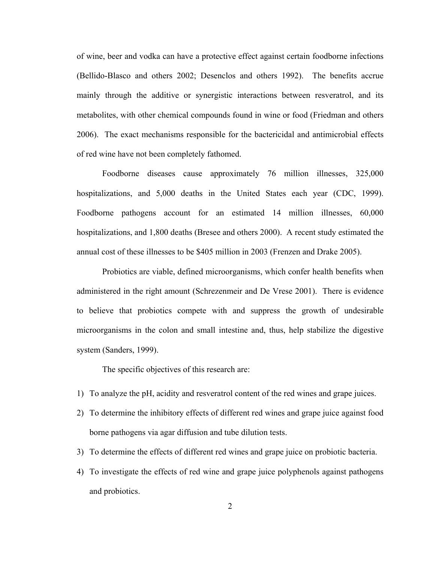of wine, beer and vodka can have a protective effect against certain foodborne infections (Bellido-Blasco and others 2002; Desenclos and others 1992). The benefits accrue mainly through the additive or synergistic interactions between resveratrol, and its metabolites, with other chemical compounds found in wine or food (Friedman and others 2006). The exact mechanisms responsible for the bactericidal and antimicrobial effects of red wine have not been completely fathomed.

 Foodborne diseases cause approximately 76 million illnesses, 325,000 hospitalizations, and 5,000 deaths in the United States each year (CDC, 1999). Foodborne pathogens account for an estimated 14 million illnesses, 60,000 hospitalizations, and 1,800 deaths (Bresee and others 2000). A recent study estimated the annual cost of these illnesses to be \$405 million in 2003 (Frenzen and Drake 2005).

 Probiotics are viable, defined microorganisms, which confer health benefits when administered in the right amount (Schrezenmeir and De Vrese 2001). There is evidence to believe that probiotics compete with and suppress the growth of undesirable microorganisms in the colon and small intestine and, thus, help stabilize the digestive system (Sanders, 1999).

The specific objectives of this research are:

- 1) To analyze the pH, acidity and resveratrol content of the red wines and grape juices.
- 2) To determine the inhibitory effects of different red wines and grape juice against food borne pathogens via agar diffusion and tube dilution tests.
- 3) To determine the effects of different red wines and grape juice on probiotic bacteria.
- 4) To investigate the effects of red wine and grape juice polyphenols against pathogens and probiotics.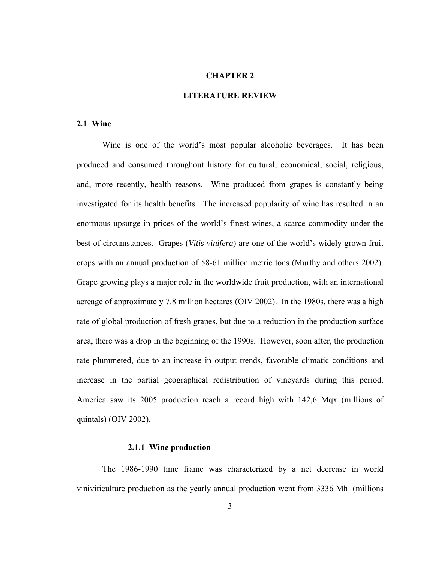# **CHAPTER 2**

# **LITERATURE REVIEW**

#### **2.1 Wine**

Wine is one of the world's most popular alcoholic beverages. It has been produced and consumed throughout history for cultural, economical, social, religious, and, more recently, health reasons. Wine produced from grapes is constantly being investigated for its health benefits. The increased popularity of wine has resulted in an enormous upsurge in prices of the world's finest wines, a scarce commodity under the best of circumstances. Grapes (*Vitis vinifera*) are one of the world's widely grown fruit crops with an annual production of 58-61 million metric tons (Murthy and others 2002). Grape growing plays a major role in the worldwide fruit production, with an international acreage of approximately 7.8 million hectares (OIV 2002). In the 1980s, there was a high rate of global production of fresh grapes, but due to a reduction in the production surface area, there was a drop in the beginning of the 1990s. However, soon after, the production rate plummeted, due to an increase in output trends, favorable climatic conditions and increase in the partial geographical redistribution of vineyards during this period. America saw its 2005 production reach a record high with 142,6 Mqx (millions of quintals) ([OIV 2002](http://oiv/statistics.com)).

# **2.1.1 Wine production**

The 1986-1990 time frame was characterized by a net decrease in world viniviticulture production as the yearly annual production went from 3336 Mhl (millions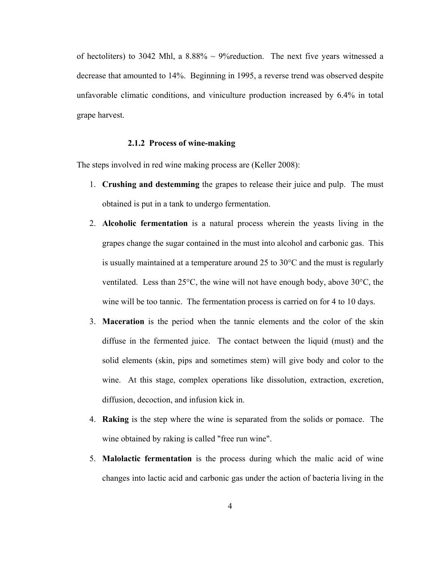of hectoliters) to 3042 Mhl, a  $8.88\% \sim 9\%$  reduction. The next five years witnessed a decrease that amounted to 14%. Beginning in 1995, a reverse trend was observed despite unfavorable climatic conditions, and viniculture production increased by 6.4% in total grape harvest.

# **2.1.2 Process of wine-making**

The steps involved in red wine making process are (Keller 2008):

- 1. **Crushing and destemming** the grapes to release their juice and pulp. The must obtained is put in a tank to undergo fermentation.
- 2. **Alcoholic fermentation** is a natural process wherein the yeasts living in the grapes change the sugar contained in the must into alcohol and carbonic gas. This is usually maintained at a temperature around 25 to 30°C and the must is regularly ventilated. Less than 25°C, the wine will not have enough body, above 30°C, the wine will be too tannic. The fermentation process is carried on for 4 to 10 days.
- 3. **Maceration** is the period when the tannic elements and the color of the skin diffuse in the fermented juice. The contact between the liquid (must) and the solid elements (skin, pips and sometimes stem) will give body and color to the wine. At this stage, complex operations like dissolution, extraction, excretion, diffusion, decoction, and infusion kick in.
- 4. **Raking** is the step where the wine is separated from the solids or pomace. The wine obtained by raking is called "free run wine".
- 5. **Malolactic fermentation** is the process during which the malic acid of wine changes into lactic acid and carbonic gas under the action of bacteria living in the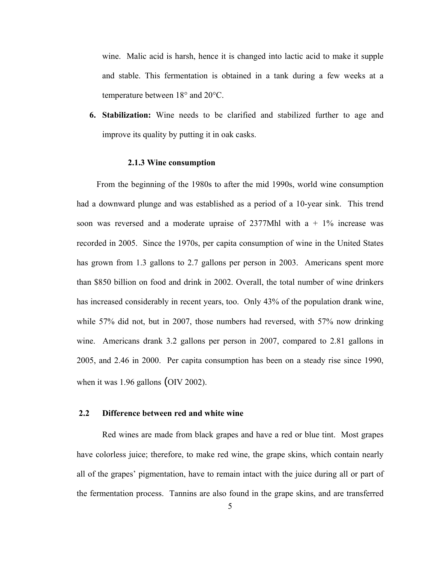wine. Malic acid is harsh, hence it is changed into lactic acid to make it supple and stable. This fermentation is obtained in a tank during a few weeks at a temperature between 18° and 20°C.

**6. Stabilization:** Wine needs to be clarified and stabilized further to age and improve its quality by putting it in oak casks.

#### **2.1.3 Wine consumption**

From the beginning of the 1980s to after the mid 1990s, world wine consumption had a downward plunge and was established as a period of a 10-year sink. This trend soon was reversed and a moderate upraise of  $2377Mh$ l with a + 1% increase was recorded in 2005. Since the 1970s, per capita consumption of wine in the United States has grown from 1.3 gallons to 2.7 gallons per person in 2003. Americans spent more than \$850 billion on food and drink in 2002. Overall, the total number of wine drinkers has increased considerably in recent years, too. Only 43% of the population drank wine, while 57% did not, but in 2007, those numbers had reversed, with 57% now drinking wine. Americans drank 3.2 gallons per person in 2007, compared to 2.81 gallons in 2005, and 2.46 in 2000. Per capita consumption has been on a steady rise since 1990, when it was 1.96 gallons (OIV 2002).

# **2.2 Difference between red and white wine**

Red wines are made from black grapes and have a red or blue tint. Most grapes have colorless juice; therefore, to make red wine, the grape skins, which contain nearly all of the grapes' pigmentation, have to remain intact with the juice during all or part of the fermentation process. Tannins are also found in the grape skins, and are transferred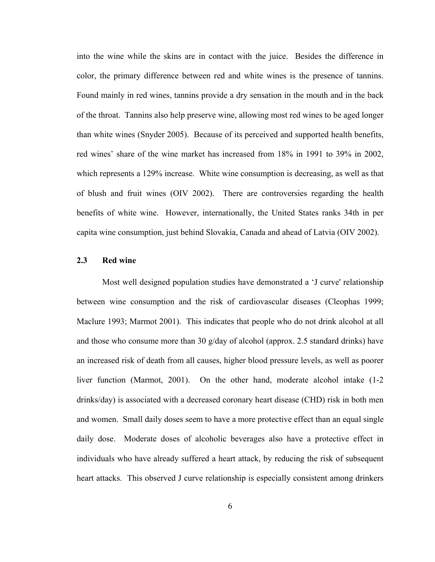into the wine while the skins are in contact with the juice. Besides the difference in color, the primary difference between red and white wines is the presence of tannins. Found mainly in red wines, tannins provide a dry sensation in the mouth and in the back of the throat. Tannins also help preserve wine, allowing most red wines to be aged longer than white wines (Snyder 2005). Because of its perceived and supported health benefits, red wines' share of the wine market has increased from 18% in 1991 to 39% in 2002, which represents a 129% increase. White wine consumption is decreasing, as well as that of blush and fruit wines (OIV 2002). There are controversies regarding the health benefits of white wine. However, internationally, the United States ranks 34th in per capita wine consumption, just behind Slovakia, Canada and ahead of Latvia (OIV 2002).

## **2.3 Red wine**

Most well designed population studies have demonstrated a 'J curve' relationship between wine consumption and the risk of cardiovascular diseases (Cleophas 1999; Maclure 1993; Marmot 2001). This indicates that people who do not drink alcohol at all and those who consume more than 30  $g$ /day of alcohol (approx. 2.5 standard drinks) have an increased risk of death from all causes, higher blood pressure levels, as well as poorer liver function (Marmot, 2001). On the other hand, moderate alcohol intake (1-2 drinks/day) is associated with a decreased coronary heart disease (CHD) risk in both men and women. Small daily doses seem to have a more protective effect than an equal single daily dose. Moderate doses of alcoholic beverages also have a protective effect in individuals who have already suffered a heart attack, by reducing the risk of subsequent heart attacks. This observed J curve relationship is especially consistent among drinkers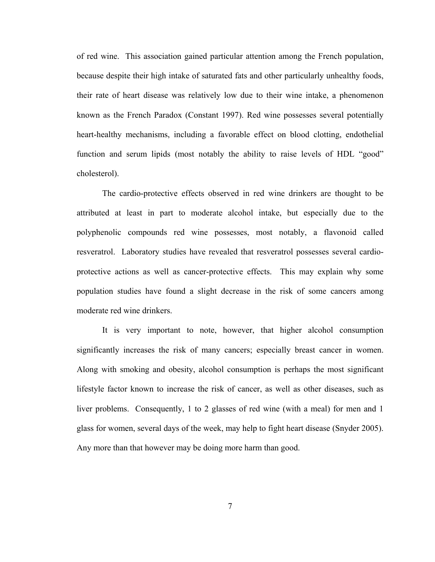of red wine. This association gained particular attention among the French population, because despite their high intake of saturated fats and other particularly unhealthy foods, their rate of heart disease was relatively low due to their wine intake, a phenomenon known as the French Paradox (Constant 1997). Red wine possesses several potentially heart-healthy mechanisms, including a favorable effect on blood clotting, endothelial function and serum lipids (most notably the ability to raise levels of HDL "good" cholesterol).

The cardio-protective effects observed in red wine drinkers are thought to be attributed at least in part to moderate alcohol intake, but especially due to the polyphenolic compounds red wine possesses, most notably, a flavonoid called resveratrol. Laboratory studies have revealed that resveratrol possesses several cardioprotective actions as well as cancer-protective effects. This may explain why some population studies have found a slight decrease in the risk of some cancers among moderate red wine drinkers.

It is very important to note, however, that higher alcohol consumption significantly increases the risk of many cancers; especially breast cancer in women. Along with smoking and obesity, alcohol consumption is perhaps the most significant lifestyle factor known to increase the risk of cancer, as well as other diseases, such as liver problems. Consequently, 1 to 2 glasses of red wine (with a meal) for men and 1 glass for women, several days of the week, may help to fight heart disease (Snyder 2005). Any more than that however may be doing more harm than good.

7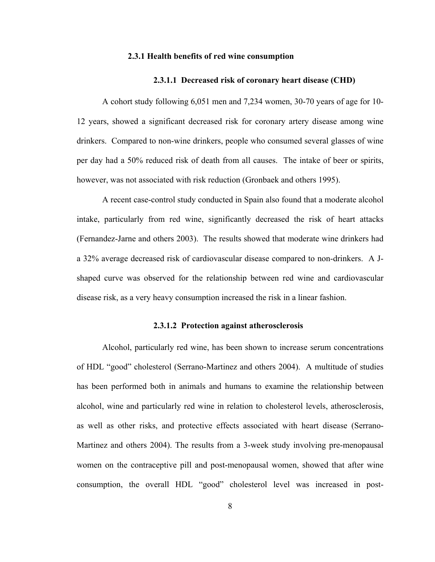#### **2.3.1 Health benefits of red wine consumption**

#### **2.3.1.1 Decreased risk of coronary heart disease (CHD)**

A cohort study following 6,051 men and 7,234 women, 30-70 years of age for 10- 12 years, showed a significant decreased risk for coronary artery disease among wine drinkers. Compared to non-wine drinkers, people who consumed several glasses of wine per day had a 50% reduced risk of death from all causes. The intake of beer or spirits, however, was not associated with risk reduction (Gronbaek and others 1995).

A recent case-control study conducted in Spain also found that a moderate alcohol intake, particularly from red wine, significantly decreased the risk of heart attacks (Fernandez-Jarne and others 2003). The results showed that moderate wine drinkers had a 32% average decreased risk of cardiovascular disease compared to non-drinkers. A Jshaped curve was observed for the relationship between red wine and cardiovascular disease risk, as a very heavy consumption increased the risk in a linear fashion.

### **2.3.1.2 Protection against atherosclerosis**

Alcohol, particularly red wine, has been shown to increase serum concentrations of HDL "good" cholesterol (Serrano-Martinez and others 2004). A multitude of studies has been performed both in animals and humans to examine the relationship between alcohol, wine and particularly red wine in relation to cholesterol levels, atherosclerosis, as well as other risks, and protective effects associated with heart disease (Serrano-Martinez and others 2004). The results from a 3-week study involving pre-menopausal women on the contraceptive pill and post-menopausal women, showed that after wine consumption, the overall HDL "good" cholesterol level was increased in post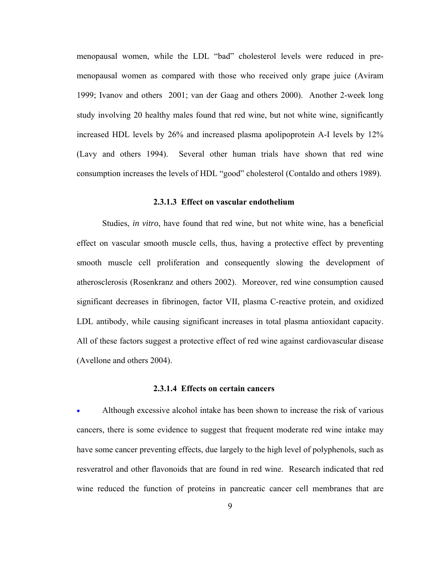menopausal women, while the LDL "bad" cholesterol levels were reduced in premenopausal women as compared with those who received only grape juice (Aviram 1999; Ivanov and others 2001; van der Gaag and others 2000). Another 2-week long study involving 20 healthy males found that red wine, but not white wine, significantly increased HDL levels by 26% and increased plasma apolipoprotein A-I levels by 12% (Lavy and others 1994). Several other human trials have shown that red wine consumption increases the levels of HDL "good" cholesterol (Contaldo and others 1989).

#### **2.3.1.3 Effect on vascular endothelium**

Studies, *in vitro*, have found that red wine, but not white wine, has a beneficial effect on vascular smooth muscle cells, thus, having a protective effect by preventing smooth muscle cell proliferation and consequently slowing the development of atherosclerosis (Rosenkranz and others 2002). Moreover, red wine consumption caused significant decreases in [fibrinogen,](http://healthfullife.umdnj.edu/archives/fibrinogen_archive.htm) [factor VII](http://atvb.ahajournals.org/cgi/content/abstract/17/8/1539), [plasma C-reactive protein](http://www.enc-online.org/ncu19.4.pdf), and [oxidized](http://www.ncbi.nlm.nih.gov/entrez/query.fcgi?cmd=Retrieve&db=PubMed&list_uids=12911278&dopt=Abstract)  [LDL antibody,](http://www.ncbi.nlm.nih.gov/entrez/query.fcgi?cmd=Retrieve&db=PubMed&list_uids=12911278&dopt=Abstract) while causing significant increases in total plasma antioxidant capacity. All of these factors suggest a protective effect of red wine against cardiovascular disease (Avellone and others 2004).

# **2.3.1.4 Effects on certain cancers**

• Although excessive alcohol intake has been shown to increase the risk of various cancers, there is some evidence to suggest that frequent moderate red wine intake may have some cancer preventing effects, due largely to the high level of polyphenols, such as resveratrol and other flavonoids that are found in red wine. Research indicated that red wine reduced the function of proteins in pancreatic cancer cell membranes that are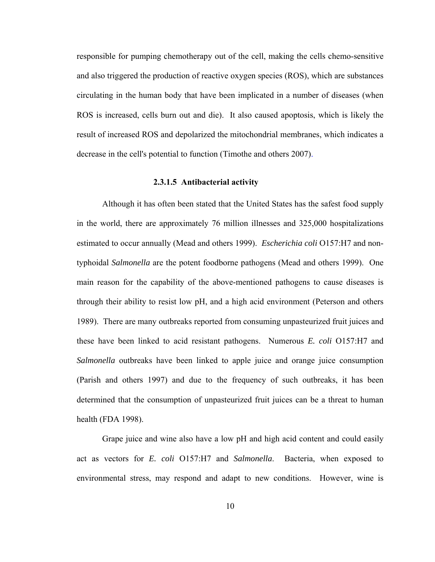responsible for pumping chemotherapy out of the cell, making the cells chemo-sensitive and also triggered the production of reactive oxygen species (ROS), which are substances circulating in the human body that have been implicated in a number of diseases (when ROS is increased, cells burn out and die). It also caused apoptosis, which is likely the result of increased ROS and depolarized the mitochondrial membranes, which indicates a decrease in the cell's potential to function (Timothe and others 2007).

# **2.3.1.5 Antibacterial activity**

Although it has often been stated that the United States has the safest food supply in the world, there are approximately 76 million illnesses and 325,000 hospitalizations estimated to occur annually (Mead and others 1999). *Escherichia coli* O157:H7 and nontyphoidal *Salmonella* are the potent foodborne pathogens (Mead and others 1999). One main reason for the capability of the above-mentioned pathogens to cause diseases is through their ability to resist low pH, and a high acid environment (Peterson and others 1989). There are many outbreaks reported from consuming unpasteurized fruit juices and these have been linked to acid resistant pathogens. Numerous *E. coli* O157:H7 and *Salmonella* outbreaks have been linked to apple juice and orange juice consumption (Parish and others 1997) and due to the frequency of such outbreaks, it has been determined that the consumption of unpasteurized fruit juices can be a threat to human health (FDA 1998).

Grape juice and wine also have a low pH and high acid content and could easily act as vectors for *E. coli* O157:H7 and *Salmonella*. Bacteria, when exposed to environmental stress, may respond and adapt to new conditions. However, wine is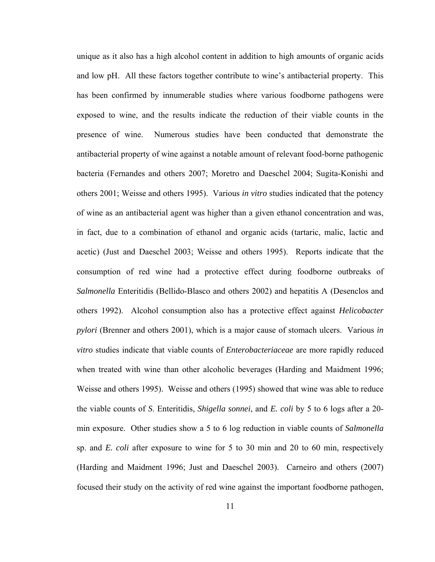unique as it also has a high alcohol content in addition to high amounts of organic acids and low pH. All these factors together contribute to wine's antibacterial property. This has been confirmed by innumerable studies where various foodborne pathogens were exposed to wine, and the results indicate the reduction of their viable counts in the presence of wine. Numerous studies have been conducted that demonstrate the antibacterial property of wine against a notable amount of relevant food-borne pathogenic bacteria (Fernandes and others 2007; Moretro and Daeschel 2004; Sugita-Konishi and others 2001; Weisse and others 1995). Various *in vitro* studies indicated that the potency of wine as an antibacterial agent was higher than a given ethanol concentration and was, in fact, due to a combination of ethanol and organic acids (tartaric, malic, lactic and acetic) (Just and Daeschel 2003; Weisse and others 1995). Reports indicate that the consumption of red wine had a protective effect during foodborne outbreaks of *Salmonella* Enteritidis (Bellido-Blasco and others 2002) and hepatitis A (Desenclos and others 1992). Alcohol consumption also has a protective effect against *Helicobacter pylori* (Brenner and others 2001), which is a major cause of stomach ulcers. Various *in vitro* studies indicate that viable counts of *Enterobacteriaceae* are more rapidly reduced when treated with wine than other alcoholic beverages (Harding and Maidment 1996; Weisse and others 1995). Weisse and others (1995) showed that wine was able to reduce the viable counts of *S*. Enteritidis, *Shigella sonnei*, and *E. coli* by 5 to 6 logs after a 20 min exposure. Other studies show a 5 to 6 log reduction in viable counts of *Salmonella* sp. and *E. coli* after exposure to wine for 5 to 30 min and 20 to 60 min, respectively (Harding and Maidment 1996; Just and Daeschel 2003). Carneiro and others (2007) focused their study on the activity of red wine against the important foodborne pathogen,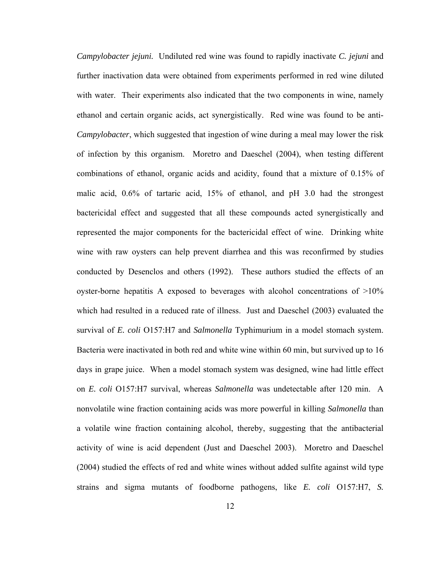*Campylobacter jejuni.* Undiluted red wine was found to rapidly inactivate *C. jejuni* and further inactivation data were obtained from experiments performed in red wine diluted with water. Their experiments also indicated that the two components in wine, namely ethanol and certain organic acids, act synergistically. Red wine was found to be anti-*Campylobacter*, which suggested that ingestion of wine during a meal may lower the risk of infection by this organism. Moretro and Daeschel (2004), when testing different combinations of ethanol, organic acids and acidity, found that a mixture of 0.15% of malic acid, 0.6% of tartaric acid, 15% of ethanol, and pH 3.0 had the strongest bactericidal effect and suggested that all these compounds acted synergistically and represented the major components for the bactericidal effect of wine. Drinking white wine with raw oysters can help prevent diarrhea and this was reconfirmed by studies conducted by Desenclos and others (1992). These authors studied the effects of an oyster-borne hepatitis A exposed to beverages with alcohol concentrations of >10% which had resulted in a reduced rate of illness. Just and Daeschel (2003) evaluated the survival of *E. coli* O157:H7 and *Salmonella* Typhimurium in a model stomach system. Bacteria were inactivated in both red and white wine within 60 min, but survived up to 16 days in grape juice. When a model stomach system was designed, wine had little effect on *E. coli* O157:H7 survival, whereas *Salmonella* was undetectable after 120 min. A nonvolatile wine fraction containing acids was more powerful in killing *Salmonella* than a volatile wine fraction containing alcohol, thereby, suggesting that the antibacterial activity of wine is acid dependent (Just and Daeschel 2003). Moretro and Daeschel (2004) studied the effects of red and white wines without added sulfite against wild type strains and sigma mutants of foodborne pathogens, like *E. coli* O157:H7, *S.*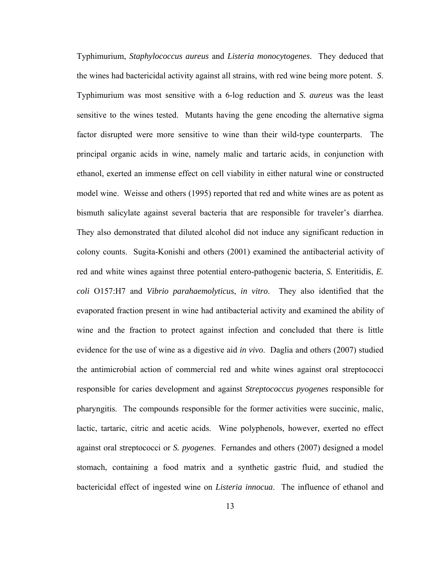Typhimurium, *Staphylococcus aureus* and *Listeria monocytogenes*. They deduced that the wines had bactericidal activity against all strains, with red wine being more potent. *S*. Typhimurium was most sensitive with a 6-log reduction and *S. aureus* was the least sensitive to the wines tested. Mutants having the gene encoding the alternative sigma factor disrupted were more sensitive to wine than their wild-type counterparts. The principal organic acids in wine, namely malic and tartaric acids, in conjunction with ethanol, exerted an immense effect on cell viability in either natural wine or constructed model wine. Weisse and others (1995) reported that red and white wines are as potent as bismuth salicylate against several bacteria that are responsible for traveler's diarrhea. They also demonstrated that diluted alcohol did not induce any significant reduction in colony counts. Sugita-Konishi and others (2001) examined the antibacterial activity of red and white wines against three potential entero-pathogenic bacteria, *S.* Enteritidis, *E. coli* O157:H7 and *Vibrio parahaemolyticus*, *in vitro*. They also identified that the evaporated fraction present in wine had antibacterial activity and examined the ability of wine and the fraction to protect against infection and concluded that there is little evidence for the use of wine as a digestive aid *in vivo*. Daglia and others (2007) studied the antimicrobial action of commercial red and white wines against oral streptococci responsible for caries development and against *Streptococcus pyogenes* responsible for pharyngitis. The compounds responsible for the former activities were succinic, malic, lactic, tartaric, citric and acetic acids. Wine polyphenols, however, exerted no effect against oral streptococci or *S. pyogenes*. Fernandes and others (2007) designed a model stomach, containing a food matrix and a synthetic gastric fluid, and studied the bactericidal effect of ingested wine on *Listeria innocua*. The influence of ethanol and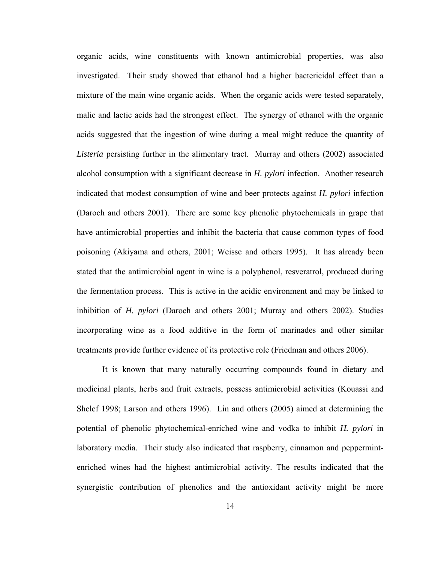organic acids, wine constituents with known antimicrobial properties, was also investigated. Their study showed that ethanol had a higher bactericidal effect than a mixture of the main wine organic acids. When the organic acids were tested separately, malic and lactic acids had the strongest effect. The synergy of ethanol with the organic acids suggested that the ingestion of wine during a meal might reduce the quantity of *Listeria* persisting further in the alimentary tract. Murray and others (2002) associated alcohol consumption with a significant decrease in *H. pylori* infection. Another research indicated that modest consumption of wine and beer protects against *H. pylori* infection (Daroch and others 2001). There are some key phenolic phytochemicals in grape that have antimicrobial properties and inhibit the bacteria that cause common types of food poisoning (Akiyama and others, 2001; Weisse and others 1995). It has already been stated that the antimicrobial agent in wine is a polyphenol, resveratrol, produced during the fermentation process. This is active in the acidic environment and may be linked to inhibition of *H. pylori* (Daroch and others 2001; Murray and others 2002). Studies incorporating wine as a food additive in the form of marinades and other similar treatments provide further evidence of its protective role (Friedman and others 2006).

It is known that many naturally occurring compounds found in dietary and medicinal plants, herbs and fruit extracts, possess antimicrobial activities (Kouassi and Shelef 1998; Larson and others 1996). Lin and others (2005) aimed at determining the potential of phenolic phytochemical-enriched wine and vodka to inhibit *H. pylori* in laboratory media. Their study also indicated that raspberry, cinnamon and peppermintenriched wines had the highest antimicrobial activity. The results indicated that the synergistic contribution of phenolics and the antioxidant activity might be more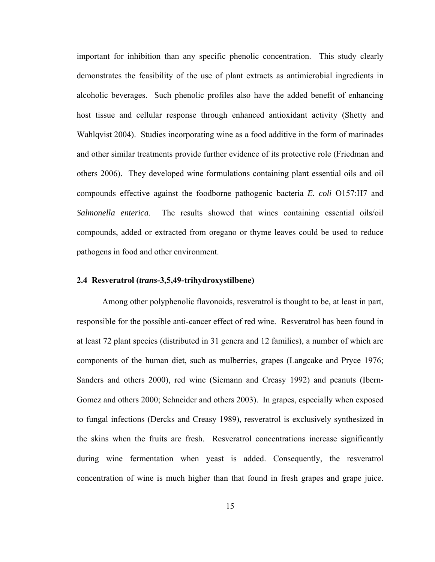important for inhibition than any specific phenolic concentration. This study clearly demonstrates the feasibility of the use of plant extracts as antimicrobial ingredients in alcoholic beverages. Such phenolic profiles also have the added benefit of enhancing host tissue and cellular response through enhanced antioxidant activity (Shetty and Wahlqvist 2004). Studies incorporating wine as a food additive in the form of marinades and other similar treatments provide further evidence of its protective role (Friedman and others 2006). They developed wine formulations containing plant essential oils and oil compounds effective against the foodborne pathogenic bacteria *E. coli* O157:H7 and *Salmonella enterica*. The results showed that wines containing essential oils/oil compounds, added or extracted from oregano or thyme leaves could be used to reduce pathogens in food and other environment.

# **2.4 Resveratrol (***trans***-3,5,49-trihydroxystilbene)**

Among other polyphenolic flavonoids, resveratrol is thought to be, at least in part, responsible for the possible anti-cancer effect of red wine. Resveratrol has been found in at least 72 plant species (distributed in 31 genera and 12 families), a number of which are components of the human diet, such as mulberries, grapes (Langcake and Pryce 1976; Sanders and others 2000), red wine (Siemann and Creasy 1992) and peanuts (Ibern-Gomez and others 2000; Schneider and others 2003). In grapes, especially when exposed to fungal infections (Dercks and Creasy 1989), resveratrol is exclusively synthesized in the skins when the fruits are fresh. Resveratrol concentrations increase significantly during wine fermentation when yeast is added. Consequently, the resveratrol concentration of wine is much higher than that found in fresh grapes and grape juice.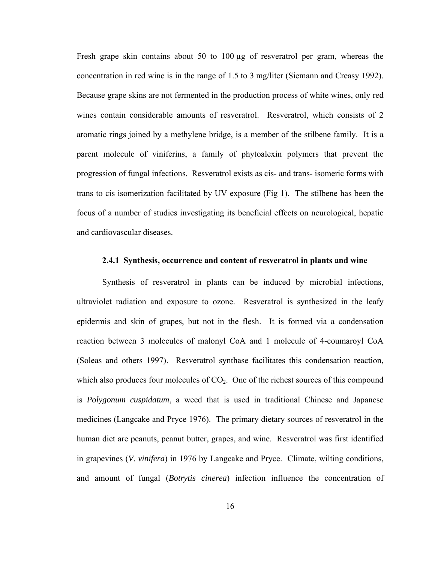Fresh grape skin contains about 50 to 100 µg of resveratrol per gram, whereas the concentration in red wine is in the range of 1.5 to 3 mg/liter (Siemann and Creasy 1992). Because grape skins are not fermented in the production process of white wines, only red wines contain considerable amounts of resveratrol. Resveratrol, which consists of 2 aromatic rings joined by a methylene bridge, is a member of the stilbene family. It is a parent molecule of viniferins, a family of phytoalexin polymers that prevent the progression of fungal infections. Resveratrol exists as cis- and trans- isomeric forms with trans to cis isomerization facilitated by UV exposure (Fig 1). The stilbene has been the focus of a number of studies investigating its beneficial effects on neurological, hepatic and cardiovascular diseases.

#### **2.4.1 Synthesis, occurrence and content of resveratrol in plants and wine**

Synthesis of resveratrol in plants can be induced by microbial infections, ultraviolet radiation and exposure to ozone. Resveratrol is synthesized in the leafy epidermis and skin of grapes, but not in the flesh. It is formed via a condensation reaction between 3 molecules of malonyl CoA and 1 molecule of 4-coumaroyl CoA (Soleas and others 1997). Resveratrol synthase facilitates this condensation reaction, which also produces four molecules of  $CO<sub>2</sub>$ . One of the richest sources of this compound is *Polygonum cuspidatum*, a weed that is used in traditional Chinese and Japanese medicines (Langcake and Pryce 1976). The primary dietary sources of resveratrol in the human diet are peanuts, peanut butter, grapes, and wine. Resveratrol was first identified in grapevines (*V. vinifera*) in 1976 by Langcake and Pryce. Climate, wilting conditions, and amount of fungal (*Botrytis cinerea*) infection influence the concentration of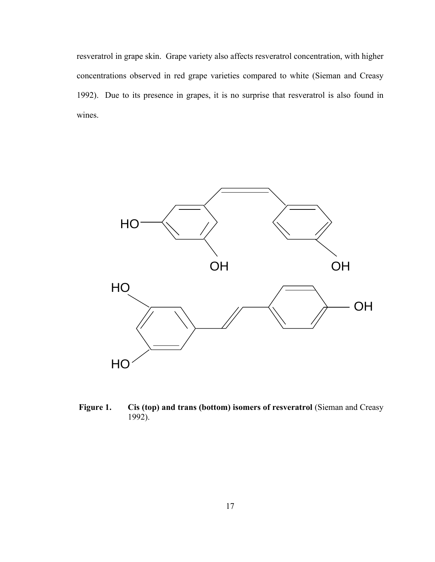resveratrol in grape skin. Grape variety also affects resveratrol concentration, with higher concentrations observed in red grape varieties compared to white (Sieman and Creasy 1992). Due to its presence in grapes, it is no surprise that resveratrol is also found in wines.



**Figure 1. Cis (top) and trans (bottom) isomers of resveratrol** (Sieman and Creasy 1992).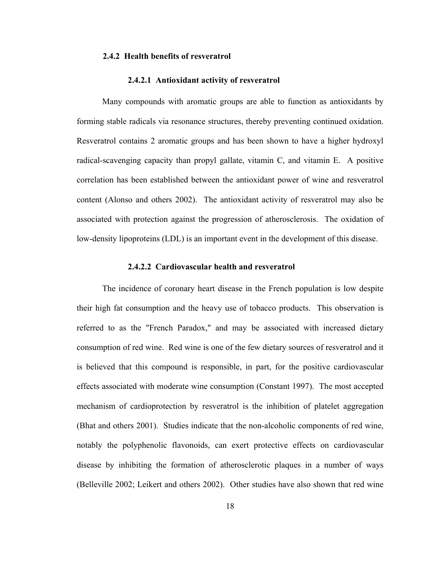## **2.4.2 Health benefits of resveratrol**

#### **2.4.2.1 Antioxidant activity of resveratrol**

Many compounds with aromatic groups are able to function as antioxidants by forming stable radicals via resonance structures, thereby preventing continued oxidation. Resveratrol contains 2 aromatic groups and has been shown to have a higher hydroxyl radical-scavenging capacity than propyl gallate, vitamin C, and vitamin E. A positive correlation has been established between the antioxidant power of wine and resveratrol content (Alonso and others 2002). The antioxidant activity of resveratrol may also be associated with protection against the progression of atherosclerosis. The oxidation of low-density lipoproteins (LDL) is an important event in the development of this disease.

## **2.4.2.2 Cardiovascular health and resveratrol**

The incidence of coronary heart disease in the French population is low despite their high fat consumption and the heavy use of tobacco products. This observation is referred to as the "French Paradox," and may be associated with increased dietary consumption of red wine. Red wine is one of the few dietary sources of resveratrol and it is believed that this compound is responsible, in part, for the positive cardiovascular effects associated with moderate wine consumption (Constant 1997). The most accepted mechanism of cardioprotection by resveratrol is the inhibition of platelet aggregation (Bhat and others 2001). Studies indicate that the non-alcoholic components of red wine, notably the polyphenolic flavonoids, can exert protective effects on cardiovascular disease by inhibiting the formation of atherosclerotic plaques in a number of ways (Belleville 2002; Leikert and others 2002). Other studies have also shown that red wine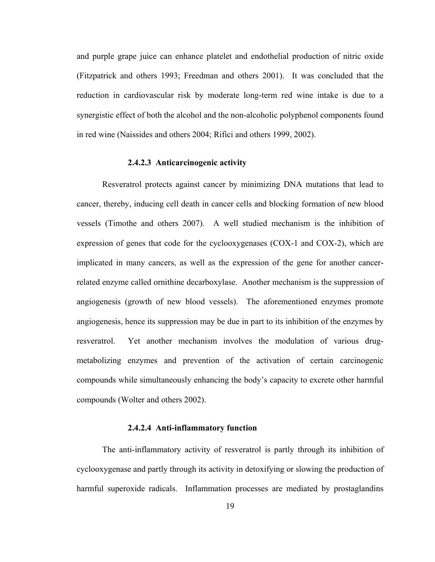and purple grape juice can enhance platelet and endothelial production of nitric oxide (Fitzpatrick and others 1993; Freedman and others 2001). It was concluded that the reduction in cardiovascular risk by moderate long-term red wine intake is due to a synergistic effect of both the alcohol and the non-alcoholic polyphenol components found in red wine (Naissides and others 2004; Rifici and others 1999, 2002).

# **2.4.2.3 Anticarcinogenic activity**

Resveratrol protects against cancer by minimizing DNA mutations that lead to cancer, thereby, inducing cell death in cancer cells and blocking formation of new blood vessels (Timothe and others 2007). A well studied mechanism is the inhibition of expression of genes that code for the cyclooxygenases (COX-1 and COX-2), which are implicated in many cancers, as well as the expression of the gene for another cancerrelated enzyme called ornithine decarboxylase. Another mechanism is the suppression of angiogenesis (growth of new blood vessels). The aforementioned enzymes promote angiogenesis, hence its suppression may be due in part to its inhibition of the enzymes by resveratrol. Yet another mechanism involves the modulation of various drugmetabolizing enzymes and prevention of the activation of certain carcinogenic compounds while simultaneously enhancing the body's capacity to excrete other harmful compounds (Wolter and others 2002).

# **2.4.2.4 Anti-inflammatory function**

The anti-inflammatory activity of resveratrol is partly through its inhibition of cyclooxygenase and partly through its activity in detoxifying or slowing the production of harmful superoxide radicals. Inflammation processes are mediated by prostaglandins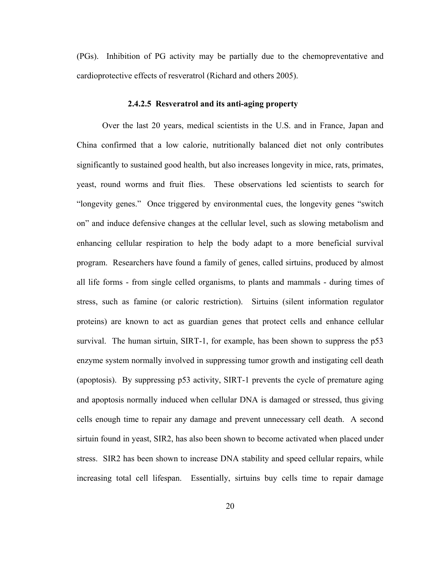(PGs). Inhibition of PG activity may be partially due to the chemopreventative and cardioprotective effects of resveratrol (Richard and others 2005).

# **2.4.2.5 Resveratrol and its anti-aging property**

Over the last 20 years, medical scientists in the U.S. and in France, Japan and China confirmed that a low calorie, nutritionally balanced diet not only contributes significantly to sustained good health, but also increases longevity in mice, rats, primates, yeast, round worms and fruit flies. These observations led scientists to search for "longevity genes." Once triggered by environmental cues, the longevity genes "switch on" and induce defensive changes at the cellular level, such as slowing metabolism and enhancing cellular respiration to help the body adapt to a more beneficial survival program. Researchers have found a family of genes, called sirtuins, produced by almost all life forms - from single celled organisms, to plants and mammals - during times of stress, such as famine (or caloric restriction). Sirtuins (silent information regulator proteins) are known to act as guardian genes that protect cells and enhance cellular survival. The human sirtuin, SIRT-1, for example, has been shown to suppress the p53 enzyme system normally involved in suppressing tumor growth and instigating cell death (apoptosis). By suppressing p53 activity, SIRT-1 prevents the cycle of premature aging and apoptosis normally induced when cellular DNA is damaged or stressed, thus giving cells enough time to repair any damage and prevent unnecessary cell death. A second sirtuin found in yeast, SIR2, has also been shown to become activated when placed under stress. SIR2 has been shown to increase DNA stability and speed cellular repairs, while increasing total cell lifespan. Essentially, sirtuins buy cells time to repair damage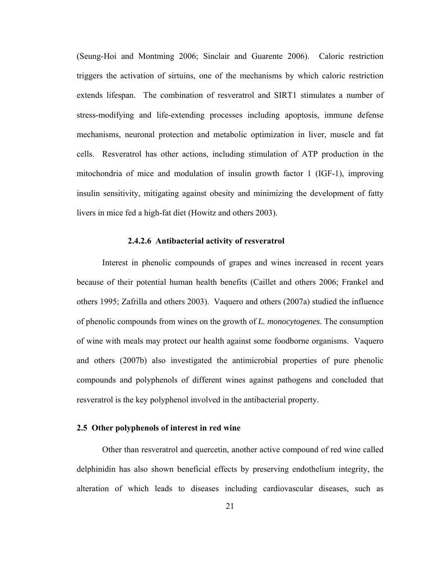(Seung-Hoi and Montming 2006; Sinclair and Guarente 2006). Caloric restriction triggers the activation of sirtuins, one of the mechanisms by which caloric restriction extends lifespan. The combination of resveratrol and SIRT1 stimulates a number of stress-modifying and life-extending processes including apoptosis, immune defense mechanisms, neuronal protection and metabolic optimization in liver, muscle and fat cells. Resveratrol has other actions, including stimulation of ATP production in the mitochondria of mice and modulation of insulin growth factor 1 (IGF-1), improving insulin sensitivity, mitigating against obesity and minimizing the development of fatty livers in mice fed a high-fat diet (Howitz and others 2003).

#### **2.4.2.6 Antibacterial activity of resveratrol**

Interest in phenolic compounds of grapes and wines increased in recent years because of their potential human health benefits (Caillet and others 2006; Frankel and others 1995; Zafrilla and others 2003). Vaquero and others (2007a) studied the influence of phenolic compounds from wines on the growth of *L. monocytogenes.* The consumption of wine with meals may protect our health against some foodborne organisms. Vaquero and others (2007b) also investigated the antimicrobial properties of pure phenolic compounds and polyphenols of different wines against pathogens and concluded that resveratrol is the key polyphenol involved in the antibacterial property.

# **2.5 Other polyphenols of interest in red wine**

Other than resveratrol and quercetin, another active compound of red wine called delphinidin has also shown beneficial effects by preserving endothelium integrity, the alteration of which leads to diseases including cardiovascular diseases, such as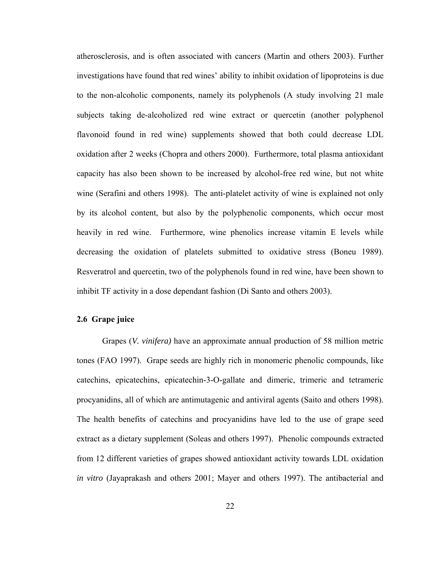atherosclerosis, and is often associated with cancers (Martin and others 2003). Further investigations have found that red wines' ability to inhibit oxidation of lipoproteins is due to the non-alcoholic components, namely its polyphenols (A study involving 21 male subjects taking de-alcoholized red wine extract or quercetin (another polyphenol flavonoid found in red wine) supplements showed that both could decrease LDL oxidation after 2 weeks (Chopra and others 2000). Furthermore, total plasma antioxidant capacity has also been shown to be increased by alcohol-free red wine, but not white wine (Serafini and others 1998). The anti-platelet activity of wine is explained not only by its alcohol content, but also by the polyphenolic components, which occur most heavily in red wine. Furthermore, wine phenolics increase vitamin E levels while decreasing the oxidation of platelets submitted to oxidative stress (Boneu 1989). Resveratrol and quercetin, two of the polyphenols found in red wine, have been shown to inhibit TF activity in a dose dependant fashion (Di Santo and others 2003).

#### **2.6 Grape juice**

Grapes (*V. vinifera)* have an approximate annual production of 58 million metric tones (FAO 1997). Grape seeds are highly rich in monomeric phenolic compounds, like catechins, epicatechins, epicatechin-3-O-gallate and dimeric, trimeric and tetrameric procyanidins, all of which are antimutagenic and antiviral agents (Saito and others 1998). The health benefits of catechins and procyanidins have led to the use of grape seed extract as a dietary supplement (Soleas and others 1997). Phenolic compounds extracted from 12 different varieties of grapes showed antioxidant activity towards LDL oxidation *in vitro* (Jayaprakash and others 2001; Mayer and others 1997). The antibacterial and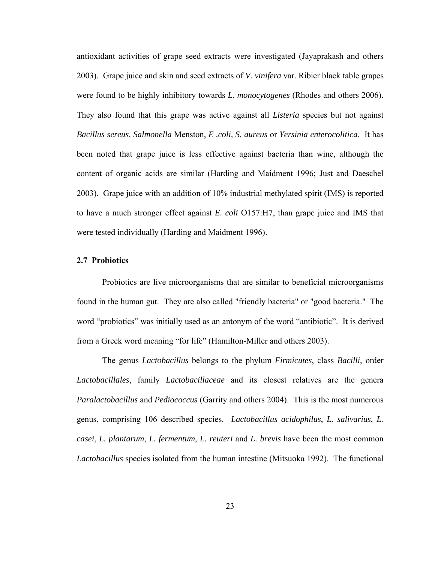antioxidant activities of grape seed extracts were investigated (Jayaprakash and others 2003). Grape juice and skin and seed extracts of *V. vinifera* var. Ribier black table grapes were found to be highly inhibitory towards *L. monocytogenes* (Rhodes and others 2006). They also found that this grape was active against all *Listeria* species but not against *Bacillus sereus, Salmonella* Menston, *E .coli, S. aureus* or *Yersinia enterocolitica*. It has been noted that grape juice is less effective against bacteria than wine, although the content of organic acids are similar (Harding and Maidment 1996; Just and Daeschel 2003). Grape juice with an addition of 10% industrial methylated spirit (IMS) is reported to have a much stronger effect against *E. coli* O157:H7, than grape juice and IMS that were tested individually (Harding and Maidment 1996).

#### **2.7 Probiotics**

 Probiotics are live microorganisms that are similar to beneficial microorganisms found in the human gut. They are also called "friendly bacteria" or "good bacteria." The word "probiotics" was initially used as an antonym of the word "antibiotic". It is derived from a Greek word meaning "for life" (Hamilton-Miller and others 2003).

 The genus *Lactobacillus* belongs to the phylum *Firmicutes*, class *Bacilli*, order *Lactobacillales*, family *Lactobacillaceae* and its closest relatives are the genera *Paralactobacillus* and *Pediococcus* (Garrity and others 2004). This is the most numerous genus, comprising 106 described species. *Lactobacillus acidophilus*, *L. salivarius*, *L. casei*, *L. plantarum*, *L. fermentum*, *L. reuteri* and *L. brevis* have been the most common *Lactobacillus* species isolated from the human intestine (Mitsuoka 1992). The functional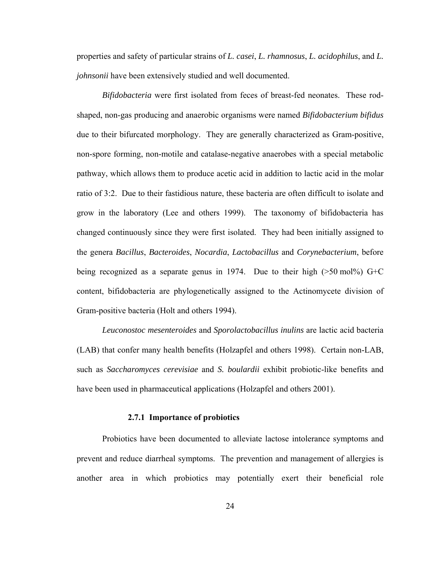properties and safety of particular strains of *L. casei*, *L. rhamnosus*, *L. acidophilus*, and *L. johnsonii* have been extensively studied and well documented.

*Bifidobacteria* were first isolated from feces of breast-fed neonates. These rodshaped, non-gas producing and anaerobic organisms were named *Bifidobacterium bifidus* due to their bifurcated morphology. They are generally characterized as Gram-positive, non-spore forming, non-motile and catalase-negative anaerobes with a special metabolic pathway, which allows them to produce acetic acid in addition to lactic acid in the molar ratio of 3:2. Due to their fastidious nature, these bacteria are often difficult to isolate and grow in the laboratory (Lee and others 1999). The taxonomy of bifidobacteria has changed continuously since they were first isolated. They had been initially assigned to the genera *Bacillus*, *Bacteroides*, *Nocardia*, *Lactobacillus* and *Corynebacterium*, before being recognized as a separate genus in 1974. Due to their high ( $>50 \text{ mol}$ %) G+C content, bifidobacteria are phylogenetically assigned to the Actinomycete division of Gram-positive bacteria (Holt and others 1994).

*Leuconostoc mesenteroides* and *Sporolactobacillus inulins* are lactic acid bacteria (LAB) that confer many health benefits (Holzapfel and others 1998). Certain non-LAB, such as *Saccharomyces cerevisiae* and *S. boulardii* exhibit probiotic-like benefits and have been used in pharmaceutical applications (Holzapfel and others 2001).

# **2.7.1 Importance of probiotics**

Probiotics have been documented to alleviate lactose intolerance symptoms and prevent and reduce diarrheal symptoms. The prevention and management of allergies is another area in which probiotics may potentially exert their beneficial role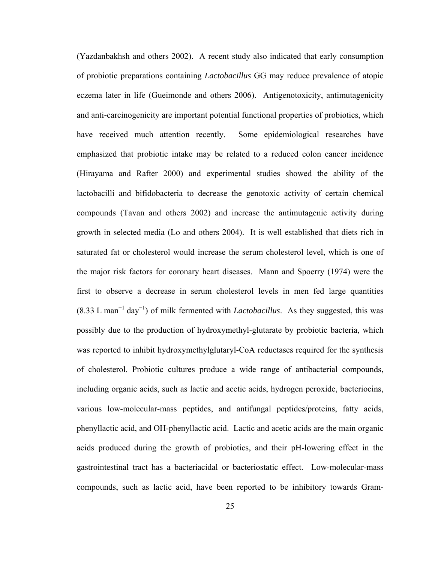(Yazdanbakhsh and others 2002). A recent study also indicated that early consumption of probiotic preparations containing *Lactobacillus* GG may reduce prevalence of atopic eczema later in life (Gueimonde and others 2006). Antigenotoxicity, antimutagenicity and anti-carcinogenicity are important potential functional properties of probiotics, which have received much attention recently. Some epidemiological researches have emphasized that probiotic intake may be related to a reduced colon cancer incidence (Hirayama and Rafter 2000) and experimental studies showed the ability of the lactobacilli and bifidobacteria to decrease the genotoxic activity of certain chemical compounds (Tavan and others 2002) and increase the antimutagenic activity during growth in selected media (Lo and others 2004). It is well established that diets rich in saturated fat or cholesterol would increase the serum cholesterol level, which is one of the major risk factors for coronary heart diseases. Mann and Spoerry (1974) were the first to observe a decrease in serum cholesterol levels in men fed large quantities  $(8.33 \text{ L man}^{-1} \text{ day}^{-1})$  of milk fermented with *Lactobacillus*. As they suggested, this was possibly due to the production of hydroxymethyl-glutarate by probiotic bacteria, which was reported to inhibit hydroxymethylglutaryl-CoA reductases required for the synthesis of cholesterol. Probiotic cultures produce a wide range of antibacterial compounds, including organic acids, such as lactic and acetic acids, hydrogen peroxide, bacteriocins, various low-molecular-mass peptides, and antifungal peptides/proteins, fatty acids, phenyllactic acid, and OH-phenyllactic acid. Lactic and acetic acids are the main organic acids produced during the growth of probiotics, and their pH-lowering effect in the gastrointestinal tract has a bacteriacidal or bacteriostatic effect. Low-molecular-mass compounds, such as lactic acid, have been reported to be inhibitory towards Gram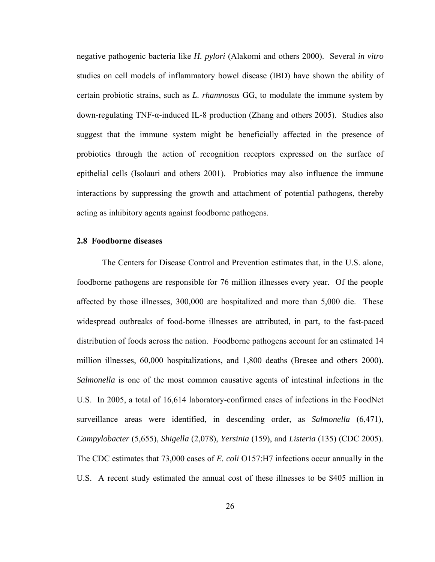negative pathogenic bacteria like *H. pylori* (Alakomi and others 2000). Several *in vitro* studies on cell models of inflammatory bowel disease (IBD) have shown the ability of certain probiotic strains, such as *L. rhamnosus* GG, to modulate the immune system by down-regulating TNF-α-induced IL-8 production (Zhang and others 2005). Studies also suggest that the immune system might be beneficially affected in the presence of probiotics through the action of recognition receptors expressed on the surface of epithelial cells (Isolauri and others 2001). Probiotics may also influence the immune interactions by suppressing the growth and attachment of potential pathogens, thereby acting as inhibitory agents against foodborne pathogens.

## **2.8 Foodborne diseases**

The Centers for Disease Control and Prevention estimates that, in the U.S. alone, foodborne pathogens are responsible for 76 million illnesses every year. Of the people affected by those illnesses, 300,000 are hospitalized and more than 5,000 die. These widespread outbreaks of food-borne illnesses are attributed, in part, to the fast-paced distribution of foods across the nation. Foodborne pathogens account for an estimated 14 million illnesses, 60,000 hospitalizations, and 1,800 deaths (Bresee and others 2000). *Salmonella* is one of the most common causative agents of intestinal infections in the U.S. In 2005, a total of 16,614 laboratory-confirmed cases of infections in the FoodNet surveillance areas were identified, in descending order, as *Salmonella* (6,471), *Campylobacter* (5,655), *Shigella* (2,078), *Yersinia* (159), and *Listeria* (135) (CDC 2005). The CDC estimates that 73,000 cases of *E. coli* O157:H7 infections occur annually in the U.S. A recent study estimated the annual cost of these illnesses to be \$405 million in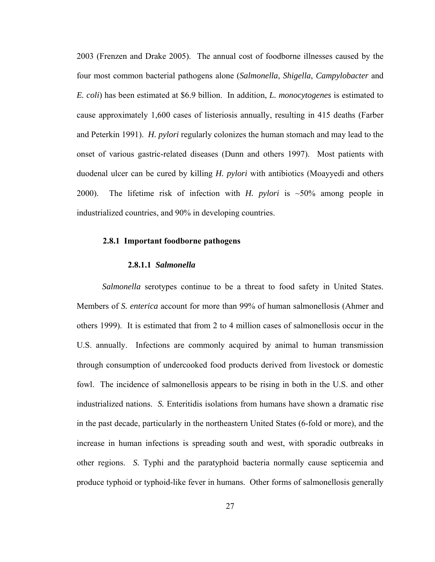2003 (Frenzen and Drake 2005). The annual cost of foodborne illnesses caused by the four most common bacterial pathogens alone (*Salmonella*, *Shigella*, *Campylobacter* and *E. coli*) has been estimated at \$6.9 billion. In addition, *L. monocytogenes* is estimated to cause approximately 1,600 cases of listeriosis annually, resulting in 415 deaths (Farber and Peterkin 1991). *H. pylori* regularly colonizes the human stomach and may lead to the onset of various gastric-related diseases (Dunn and others 1997). Most patients with duodenal ulcer can be cured by killing *H. pylori* with antibiotics (Moayyedi and others 2000). The lifetime risk of infection with *H. pylori* is ~50% among people in industrialized countries, and 90% in developing countries.

#### **2.8.1 Important foodborne pathogens**

## **2.8.1.1** *Salmonella*

*Salmonella* serotypes continue to be a threat to food safety in United States. Members of *S. enterica* account for more than 99% of human salmonellosis (Ahmer and others 1999). It is estimated that from 2 to 4 million cases of salmonellosis occur in the U.S. annually. Infections are commonly acquired by animal to human transmission through consumption of undercooked food products derived from livestock or domestic fowl. The incidence of salmonellosis appears to be rising in both in the U.S. and other industrialized nations. *S.* Enteritidis isolations from humans have shown a dramatic rise in the past decade, particularly in the northeastern United States (6-fold or more), and the increase in human infections is spreading south and west, with sporadic outbreaks in other regions. *S.* Typhi and the paratyphoid bacteria normally cause septicemia and produce typhoid or typhoid-like fever in humans. Other forms of salmonellosis generally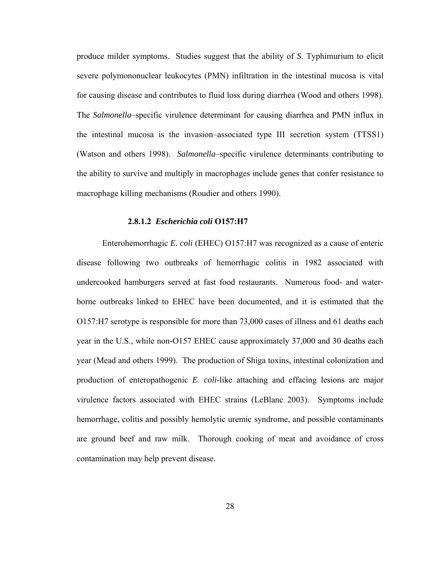produce milder symptoms. Studies suggest that the ability of *S*. Typhimurium to elicit severe polymononuclear leukocytes (PMN) infiltration in the intestinal mucosa is vital for causing disease and contributes to fluid loss during diarrhea (Wood and others 1998). The *Salmonella*–specific virulence determinant for causing diarrhea and PMN influx in the intestinal mucosa is the invasion–associated type III secretion system (TTSS1) (Watson and others 1998). *Salmonella*–specific virulence determinants contributing to the ability to survive and multiply in macrophages include genes that confer resistance to macrophage killing mechanisms (Roudier and others 1990).

### **2.8.1.2** *Escherichia coli* **O157:H7**

Enterohemorrhagic *E. coli* (EHEC) O157:H7 was recognized as a cause of enteric disease following two outbreaks of hemorrhagic colitis in 1982 associated with undercooked hamburgers served at fast food restaurants. Numerous food- and waterborne outbreaks linked to EHEC have been documented, and it is estimated that the O157:H7 serotype is responsible for more than 73,000 cases of illness and 61 deaths each year in the U.S., while non-O157 EHEC cause approximately 37,000 and 30 deaths each year (Mead and others 1999). The production of Shiga toxins, intestinal colonization and production of enteropathogenic *E. coli*-like attaching and effacing lesions are major virulence factors associated with EHEC strains (LeBlanc 2003). Symptoms include hemorrhage, colitis and possibly hemolytic uremic syndrome, and possible contaminants are ground beef and raw milk. Thorough cooking of meat and avoidance of cross contamination may help prevent disease.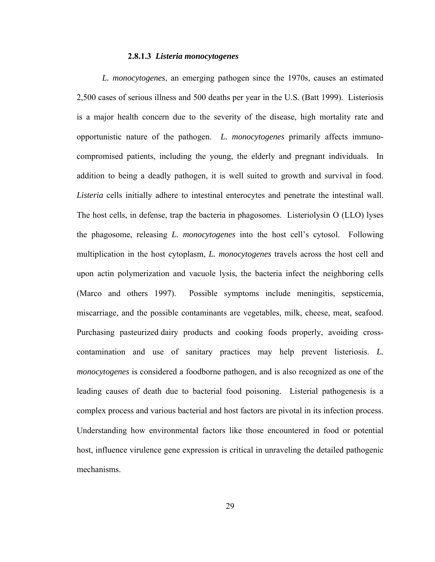## **2.8.1.3** *Listeria monocytogenes*

*L. monocytogenes*, an emerging pathogen since the 1970s, causes an estimated 2,500 cases of serious illness and 500 deaths per year in the U.S. (Batt 1999). Listeriosis is a major health concern due to the severity of the disease, high mortality rate and opportunistic nature of the pathogen. *L. monocytogenes* primarily affects immunocompromised patients, including the young, the elderly and pregnant individuals. In addition to being a deadly pathogen, it is well suited to growth and survival in food. *Listeria* cells initially adhere to intestinal enterocytes and penetrate the intestinal wall. The host cells, in defense, trap the bacteria in phagosomes. Listeriolysin O (LLO) lyses the phagosome, releasing *L. monocytogenes* into the host cell's cytosol. Following multiplication in the host cytoplasm, *L. monocytogenes* travels across the host cell and upon actin polymerization and vacuole lysis, the bacteria infect the neighboring cells (Marco and others 1997). Possible symptoms include meningitis, sepsticemia, miscarriage, and the possible contaminants are vegetables, milk, cheese, meat, seafood. Purchasing pasteurized dairy products and cooking foods properly, avoiding crosscontamination and use of sanitary practices may help prevent listeriosis. *L. monocytogenes* is considered a foodborne pathogen, and is also recognized as one of the leading causes of death due to bacterial food poisoning. Listerial pathogenesis is a complex process and various bacterial and host factors are pivotal in its infection process. Understanding how environmental factors like those encountered in food or potential host, influence virulence gene expression is critical in unraveling the detailed pathogenic mechanisms.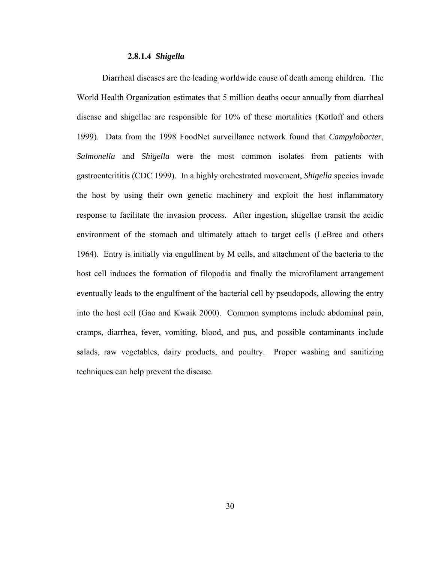#### **2.8.1.4** *Shigella*

Diarrheal diseases are the leading worldwide cause of death among children. The World Health Organization estimates that 5 million deaths occur annually from diarrheal disease and shigellae are responsible for 10% of these mortalities (Kotloff and others 1999). Data from the 1998 FoodNet surveillance network found that *Campylobacter*, *Salmonella* and *Shigella* were the most common isolates from patients with gastroenterititis (CDC 1999). In a highly orchestrated movement, *Shigella* species invade the host by using their own genetic machinery and exploit the host inflammatory response to facilitate the invasion process. After ingestion, shigellae transit the acidic environment of the stomach and ultimately attach to target cells (LeBrec and others 1964). Entry is initially via engulfment by M cells, and attachment of the bacteria to the host cell induces the formation of filopodia and finally the microfilament arrangement eventually leads to the engulfment of the bacterial cell by pseudopods, allowing the entry into the host cell (Gao and Kwaik 2000). Common symptoms include abdominal pain, cramps, diarrhea, fever, vomiting, blood, and pus, and possible contaminants include salads, raw vegetables, dairy products, and poultry. Proper washing and sanitizing techniques can help prevent the disease.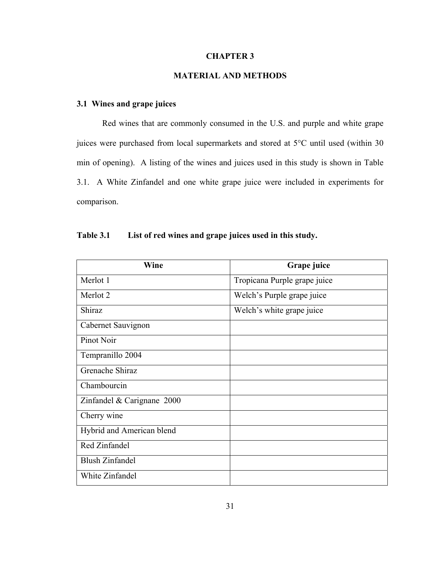## **CHAPTER 3**

# **MATERIAL AND METHODS**

# **3.1 Wines and grape juices**

Red wines that are commonly consumed in the U.S. and purple and white grape juices were purchased from local supermarkets and stored at 5°C until used (within 30 min of opening). A listing of the wines and juices used in this study is shown in Table 3.1. A White Zinfandel and one white grape juice were included in experiments for comparison.

| Wine                       | Grape juice                  |
|----------------------------|------------------------------|
| Merlot 1                   | Tropicana Purple grape juice |
| Merlot 2                   | Welch's Purple grape juice   |
| Shiraz                     | Welch's white grape juice    |
| Cabernet Sauvignon         |                              |
| Pinot Noir                 |                              |
| Tempranillo 2004           |                              |
| Grenache Shiraz            |                              |
| Chambourcin                |                              |
| Zinfandel & Carignane 2000 |                              |
| Cherry wine                |                              |
| Hybrid and American blend  |                              |
| Red Zinfandel              |                              |
| <b>Blush Zinfandel</b>     |                              |
| White Zinfandel            |                              |

| <b>Table 3.1</b> | List of red wines and grape juices used in this study. |  |  |  |  |  |  |  |  |  |
|------------------|--------------------------------------------------------|--|--|--|--|--|--|--|--|--|
|------------------|--------------------------------------------------------|--|--|--|--|--|--|--|--|--|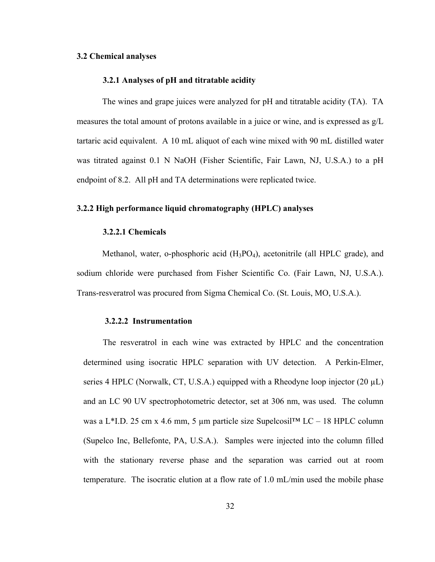## **3.2 Chemical analyses**

### **3.2.1 Analyses of pH and titratable acidity**

The wines and grape juices were analyzed for pH and titratable acidity (TA). TA measures the total amount of protons available in a juice or wine, and is expressed as g/L tartaric acid equivalent. A 10 mL aliquot of each wine mixed with 90 mL distilled water was titrated against 0.1 N NaOH (Fisher Scientific, Fair Lawn, NJ, U.S.A.) to a pH endpoint of 8.2. All pH and TA determinations were replicated twice.

## **3.2.2 High performance liquid chromatography (HPLC) analyses**

## **3.2.2.1 Chemicals**

Methanol, water, o-phosphoric acid  $(H_3PO_4)$ , acetonitrile (all HPLC grade), and sodium chloride were purchased from Fisher Scientific Co. (Fair Lawn, NJ, U.S.A.). Trans-resveratrol was procured from Sigma Chemical Co. (St. Louis, MO, U.S.A.).

#### **3.2.2.2 Instrumentation**

The resveratrol in each wine was extracted by HPLC and the concentration determined using isocratic HPLC separation with UV detection. A Perkin-Elmer, series 4 HPLC (Norwalk, CT, U.S.A.) equipped with a Rheodyne loop injector (20  $\mu$ L) and an LC 90 UV spectrophotometric detector, set at 306 nm, was used. The column was a L\*I.D. 25 cm x 4.6 mm, 5 µm particle size Supelcosil<sup>TM</sup> LC – 18 HPLC column (Supelco Inc, Bellefonte, PA, U.S.A.). Samples were injected into the column filled with the stationary reverse phase and the separation was carried out at room temperature. The isocratic elution at a flow rate of 1.0 mL/min used the mobile phase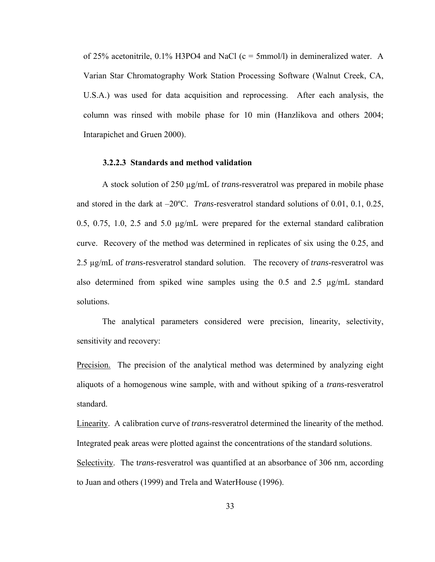of 25% acetonitrile,  $0.1\%$  H3PO4 and NaCl (c = 5mmol/l) in demineralized water. A Varian Star Chromatography Work Station Processing Software (Walnut Creek, CA, U.S.A.) was used for data acquisition and reprocessing. After each analysis, the column was rinsed with mobile phase for 10 min (Hanzlikova and others 2004; Intarapichet and Gruen 2000).

#### **3.2.2.3 Standards and method validation**

A stock solution of 250 µg/mL of *trans*-resveratrol was prepared in mobile phase and stored in the dark at –20ºC. *Trans*-resveratrol standard solutions of 0.01, 0.1, 0.25, 0.5, 0.75, 1.0, 2.5 and 5.0 µg/mL were prepared for the external standard calibration curve. Recovery of the method was determined in replicates of six using the 0.25, and 2.5 µg/mL of *trans*-resveratrol standard solution. The recovery of *trans*-resveratrol was also determined from spiked wine samples using the 0.5 and 2.5  $\mu$ g/mL standard solutions.

The analytical parameters considered were precision, linearity, selectivity, sensitivity and recovery:

Precision. The precision of the analytical method was determined by analyzing eight aliquots of a homogenous wine sample, with and without spiking of a *trans*-resveratrol standard.

Linearity. A calibration curve of *trans*-resveratrol determined the linearity of the method. Integrated peak areas were plotted against the concentrations of the standard solutions. Selectivity. The t*rans*-resveratrol was quantified at an absorbance of 306 nm, according to Juan and others (1999) and Trela and WaterHouse (1996).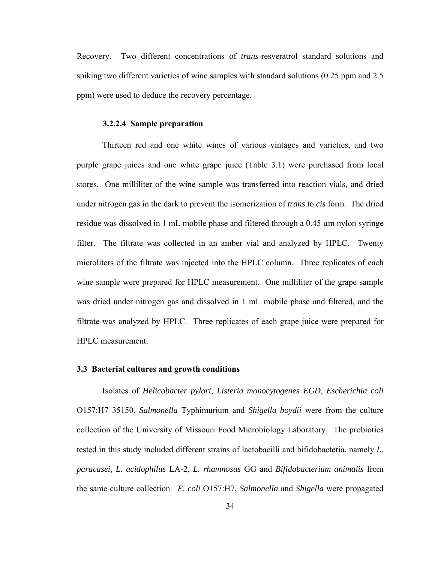Recovery. Two different concentrations of *trans*-resveratrol standard solutions and spiking two different varieties of wine samples with standard solutions (0.25 ppm and 2.5 ppm) were used to deduce the recovery percentage.

#### **3.2.2.4 Sample preparation**

 Thirteen red and one white wines of various vintages and varieties, and two purple grape juices and one white grape juice (Table 3.1) were purchased from local stores. One milliliter of the wine sample was transferred into reaction vials, and dried under nitrogen gas in the dark to prevent the isomerization of *trans* to *cis* form. The dried residue was dissolved in 1 mL mobile phase and filtered through a 0.45 µm nylon syringe filter. The filtrate was collected in an amber vial and analyzed by HPLC. Twenty microliters of the filtrate was injected into the HPLC column. Three replicates of each wine sample were prepared for HPLC measurement. One milliliter of the grape sample was dried under nitrogen gas and dissolved in 1 mL mobile phase and filtered, and the filtrate was analyzed by HPLC. Three replicates of each grape juice were prepared for HPLC measurement.

#### **3.3 Bacterial cultures and growth conditions**

Isolates of *Helicobacter pylori*, *Listeria monocytogenes EGD*, *Escherichia coli*  O157:H7 35150, *Salmonella* Typhimurium and *Shigella boydii* were from the culture collection of the University of Missouri Food Microbiology Laboratory. The probiotics tested in this study included different strains of lactobacilli and bifidobacteria, namely *L. paracasei*, *L. acidophilus* LA-2, *L. rhamnosus* GG and *Bifidobacterium animalis* from the same culture collection. *E. coli* O157:H7, *Salmonella* and *Shigella* were propagated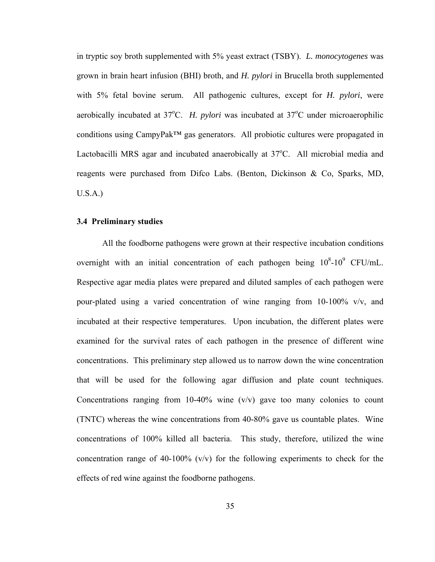in tryptic soy broth supplemented with 5% yeast extract (TSBY). *L. monocytogenes* was grown in brain heart infusion (BHI) broth, and *H. pylori* in Brucella broth supplemented with 5% fetal bovine serum. All pathogenic cultures, except for *H. pylori*, were aerobically incubated at 37°C. *H. pylori* was incubated at 37°C under microaerophilic conditions using CampyPak™ gas generators. All probiotic cultures were propagated in Lactobacilli MRS agar and incubated anaerobically at 37°C. All microbial media and reagents were purchased from Difco Labs. (Benton, Dickinson & Co, Sparks, MD, U.S.A.)

## **3.4 Preliminary studies**

All the foodborne pathogens were grown at their respective incubation conditions overnight with an initial concentration of each pathogen being  $10^8\t{-}10^9$  CFU/mL. Respective agar media plates were prepared and diluted samples of each pathogen were pour-plated using a varied concentration of wine ranging from 10-100% v/v, and incubated at their respective temperatures. Upon incubation, the different plates were examined for the survival rates of each pathogen in the presence of different wine concentrations. This preliminary step allowed us to narrow down the wine concentration that will be used for the following agar diffusion and plate count techniques. Concentrations ranging from 10-40% wine  $(v/v)$  gave too many colonies to count (TNTC) whereas the wine concentrations from 40-80% gave us countable plates. Wine concentrations of 100% killed all bacteria. This study, therefore, utilized the wine concentration range of 40-100%  $(v/v)$  for the following experiments to check for the effects of red wine against the foodborne pathogens.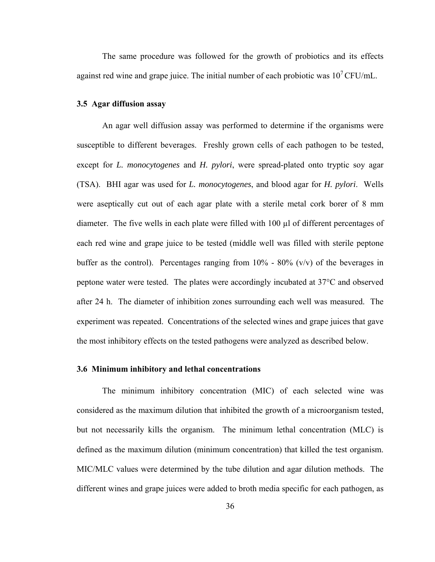The same procedure was followed for the growth of probiotics and its effects against red wine and grape juice. The initial number of each probiotic was  $10^7$  CFU/mL.

## **3.5 Agar diffusion assay**

An agar well diffusion assay was performed to determine if the organisms were susceptible to different beverages. Freshly grown cells of each pathogen to be tested, except for *L. monocytogenes* and *H. pylori*, were spread-plated onto tryptic soy agar (TSA). BHI agar was used for *L. monocytogenes*, and blood agar for *H. pylori*. Wells were aseptically cut out of each agar plate with a sterile metal cork borer of 8 mm diameter. The five wells in each plate were filled with 100 µl of different percentages of each red wine and grape juice to be tested (middle well was filled with sterile peptone buffer as the control). Percentages ranging from  $10\%$  -  $80\%$  (v/v) of the beverages in peptone water were tested. The plates were accordingly incubated at 37°C and observed after 24 h. The diameter of inhibition zones surrounding each well was measured. The experiment was repeated. Concentrations of the selected wines and grape juices that gave the most inhibitory effects on the tested pathogens were analyzed as described below.

## **3.6 Minimum inhibitory and lethal concentrations**

The minimum inhibitory concentration (MIC) of each selected wine was considered as the maximum dilution that inhibited the growth of a microorganism tested, but not necessarily kills the organism. The minimum lethal concentration (MLC) is defined as the maximum dilution (minimum concentration) that killed the test organism. MIC/MLC values were determined by the tube dilution and agar dilution methods. The different wines and grape juices were added to broth media specific for each pathogen, as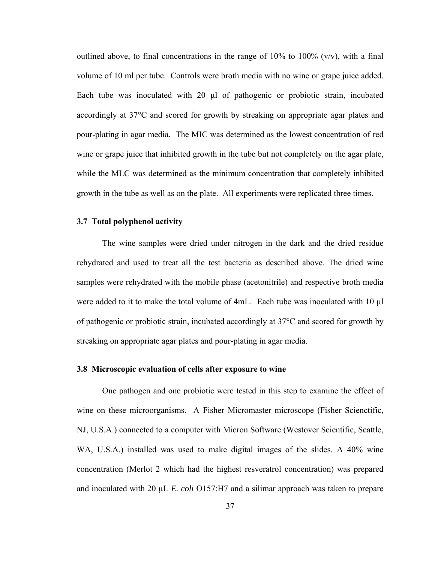outlined above, to final concentrations in the range of  $10\%$  to  $100\%$  (v/v), with a final volume of 10 ml per tube. Controls were broth media with no wine or grape juice added. Each tube was inoculated with 20 μl of pathogenic or probiotic strain, incubated accordingly at 37°C and scored for growth by streaking on appropriate agar plates and pour-plating in agar media. The MIC was determined as the lowest concentration of red wine or grape juice that inhibited growth in the tube but not completely on the agar plate, while the MLC was determined as the minimum concentration that completely inhibited growth in the tube as well as on the plate. All experiments were replicated three times.

## **3.7 Total polyphenol activity**

 The wine samples were dried under nitrogen in the dark and the dried residue rehydrated and used to treat all the test bacteria as described above. The dried wine samples were rehydrated with the mobile phase (acetonitrile) and respective broth media were added to it to make the total volume of 4mL. Each tube was inoculated with 10 μl of pathogenic or probiotic strain, incubated accordingly at 37°C and scored for growth by streaking on appropriate agar plates and pour-plating in agar media.

### **3.8 Microscopic evaluation of cells after exposure to wine**

One pathogen and one probiotic were tested in this step to examine the effect of wine on these microorganisms. A Fisher Micromaster microscope (Fisher Scienctific, NJ, U.S.A.) connected to a computer with Micron Software (Westover Scientific, Seattle, WA, U.S.A.) installed was used to make digital images of the slides. A 40% wine concentration (Merlot 2 which had the highest resveratrol concentration) was prepared and inoculated with 20 µL *E. coli* O157:H7 and a silimar approach was taken to prepare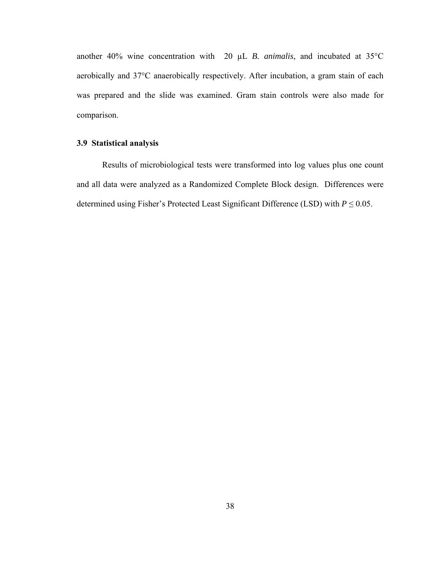another 40% wine concentration with 20 µL *B. animalis*, and incubated at 35°C aerobically and 37°C anaerobically respectively. After incubation, a gram stain of each was prepared and the slide was examined. Gram stain controls were also made for comparison.

# **3.9 Statistical analysis**

Results of microbiological tests were transformed into log values plus one count and all data were analyzed as a Randomized Complete Block design. Differences were determined using Fisher's Protected Least Significant Difference (LSD) with  $P \le 0.05$ .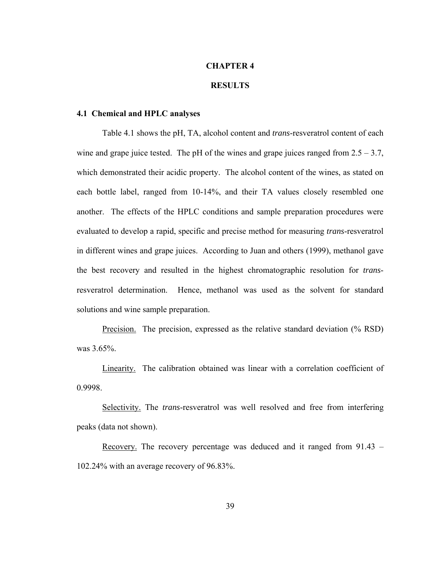## **CHAPTER 4**

# **RESULTS**

### **4.1 Chemical and HPLC analyses**

Table 4.1 shows the pH, TA, alcohol content and *trans*-resveratrol content of each wine and grape juice tested. The pH of the wines and grape juices ranged from  $2.5 - 3.7$ , which demonstrated their acidic property. The alcohol content of the wines, as stated on each bottle label, ranged from 10-14%, and their TA values closely resembled one another. The effects of the HPLC conditions and sample preparation procedures were evaluated to develop a rapid, specific and precise method for measuring *trans*-resveratrol in different wines and grape juices. According to Juan and others (1999), methanol gave the best recovery and resulted in the highest chromatographic resolution for *trans*resveratrol determination. Hence, methanol was used as the solvent for standard solutions and wine sample preparation.

Precision. The precision, expressed as the relative standard deviation (% RSD) was 3.65%.

Linearity. The calibration obtained was linear with a correlation coefficient of 0.9998.

Selectivity. The *trans*-resveratrol was well resolved and free from interfering peaks (data not shown).

Recovery. The recovery percentage was deduced and it ranged from 91.43 – 102.24% with an average recovery of 96.83%.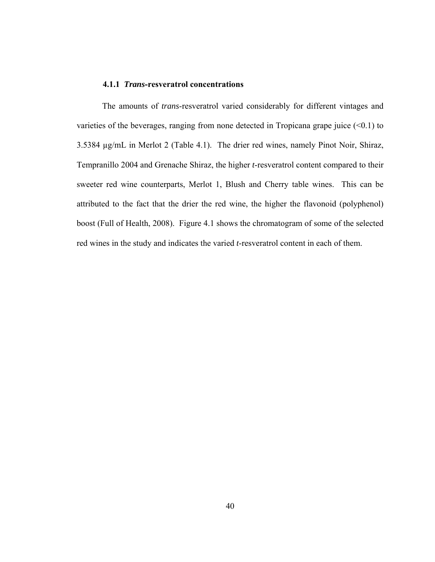#### **4.1.1** *Trans***-resveratrol concentrations**

The amounts of *trans*-resveratrol varied considerably for different vintages and varieties of the beverages, ranging from none detected in Tropicana grape juice  $(\leq 0.1)$  to 3.5384 µg/mL in Merlot 2 (Table 4.1). The drier red wines, namely Pinot Noir, Shiraz, Tempranillo 2004 and Grenache Shiraz, the higher *t*-resveratrol content compared to their sweeter red wine counterparts, Merlot 1, Blush and Cherry table wines. This can be attributed to the fact that the drier the red wine, the higher the flavonoid (polyphenol) boost (Full of Health, 2008). Figure 4.1 shows the chromatogram of some of the selected red wines in the study and indicates the varied *t*-resveratrol content in each of them.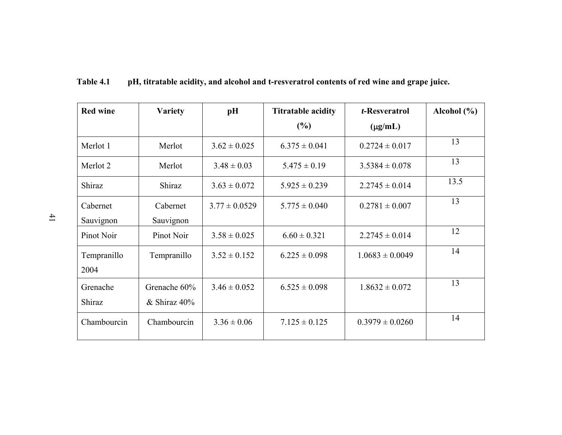| <b>Red wine</b> | <b>Variety</b> | pH                | <b>Titratable acidity</b> | t-Resveratrol       | Alcohol $(\% )$ |
|-----------------|----------------|-------------------|---------------------------|---------------------|-----------------|
|                 |                |                   | (%)                       | $(\mu g/mL)$        |                 |
| Merlot 1        | Merlot         | $3.62 \pm 0.025$  | $6.375 \pm 0.041$         | $0.2724 \pm 0.017$  | 13              |
| Merlot 2        | Merlot         | $3.48 \pm 0.03$   | $5.475 \pm 0.19$          | $3.5384 \pm 0.078$  | 13              |
| Shiraz          | Shiraz         | $3.63 \pm 0.072$  | $5.925 \pm 0.239$         | $2.2745 \pm 0.014$  | 13.5            |
| Cabernet        | Cabernet       | $3.77 \pm 0.0529$ | $5.775 \pm 0.040$         | $0.2781 \pm 0.007$  | 13              |
| Sauvignon       | Sauvignon      |                   |                           |                     |                 |
| Pinot Noir      | Pinot Noir     | $3.58 \pm 0.025$  | $6.60 \pm 0.321$          | $2.2745 \pm 0.014$  | 12              |
| Tempranillo     | Tempranillo    | $3.52 \pm 0.152$  | $6.225 \pm 0.098$         | $1.0683 \pm 0.0049$ | 14              |
| 2004            |                |                   |                           |                     |                 |
| Grenache        | Grenache 60%   | $3.46 \pm 0.052$  | $6.525 \pm 0.098$         | $1.8632 \pm 0.072$  | 13              |
| Shiraz          | $&$ Shiraz 40% |                   |                           |                     |                 |
| Chambourcin     | Chambourcin    | $3.36 \pm 0.06$   | $7.125 \pm 0.125$         | $0.3979 \pm 0.0260$ | 14              |

**Table 4.1 pH, titratable acidity, and alcohol and t-resveratrol contents of red wine and grape juice.**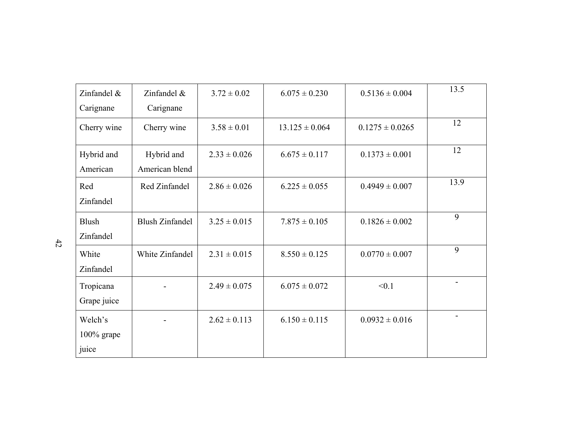| Zinfandel $\&$<br>Carignane       | Zinfandel &<br>Carignane     | $3.72 \pm 0.02$  | $6.075 \pm 0.230$  | $0.5136 \pm 0.004$  | 13.5 |
|-----------------------------------|------------------------------|------------------|--------------------|---------------------|------|
| Cherry wine                       | Cherry wine                  | $3.58 \pm 0.01$  | $13.125 \pm 0.064$ | $0.1275 \pm 0.0265$ | 12   |
| Hybrid and<br>American            | Hybrid and<br>American blend | $2.33 \pm 0.026$ | $6.675 \pm 0.117$  | $0.1373 \pm 0.001$  | 12   |
| Red<br>Zinfandel                  | Red Zinfandel                | $2.86 \pm 0.026$ | $6.225 \pm 0.055$  | $0.4949 \pm 0.007$  | 13.9 |
| <b>Blush</b><br>Zinfandel         | <b>Blush Zinfandel</b>       | $3.25 \pm 0.015$ | $7.875 \pm 0.105$  | $0.1826 \pm 0.002$  | 9    |
| White<br>Zinfandel                | White Zinfandel              | $2.31 \pm 0.015$ | $8.550 \pm 0.125$  | $0.0770 \pm 0.007$  | 9    |
| Tropicana<br>Grape juice          |                              | $2.49 \pm 0.075$ | $6.075 \pm 0.072$  | < 0.1               |      |
| Welch's<br>$100\%$ grape<br>juice |                              | $2.62 \pm 0.113$ | $6.150 \pm 0.115$  | $0.0932 \pm 0.016$  |      |

 $42$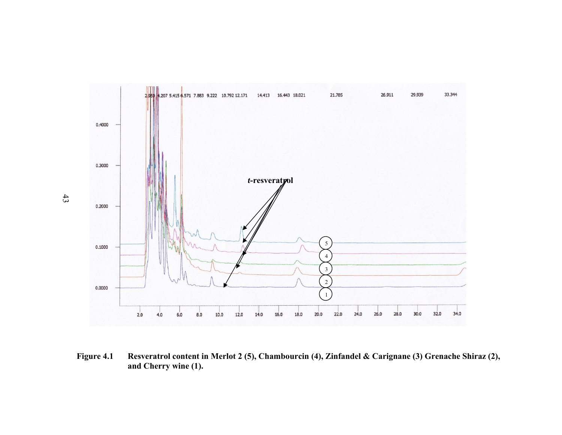

**Figure 4.1 Resveratrol content in Merlot 2 (5), Chambourcin (4), Zinfandel & Carignane (3) Grenache Shiraz (2), and Cherry wine (1).** 

43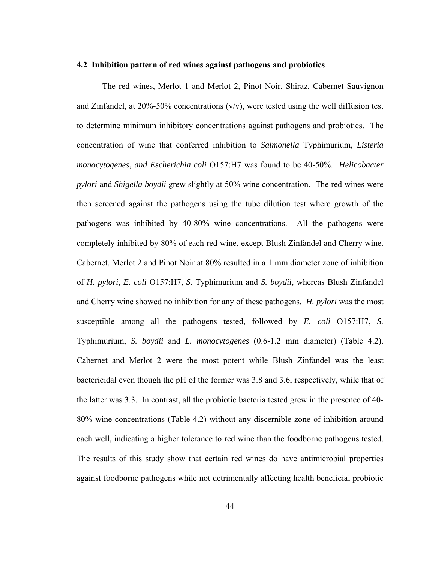#### **4.2 Inhibition pattern of red wines against pathogens and probiotics**

 The red wines, Merlot 1 and Merlot 2, Pinot Noir, Shiraz, Cabernet Sauvignon and Zinfandel, at  $20\% - 50\%$  concentrations (v/v), were tested using the well diffusion test to determine minimum inhibitory concentrations against pathogens and probiotics. The concentration of wine that conferred inhibition to *Salmonella* Typhimurium, *Listeria monocytogenes*, *and Escherichia coli* O157:H7 was found to be 40-50%. *Helicobacter pylori* and *Shigella boydii* grew slightly at 50% wine concentration. The red wines were then screened against the pathogens using the tube dilution test where growth of the pathogens was inhibited by 40-80% wine concentrations. All the pathogens were completely inhibited by 80% of each red wine, except Blush Zinfandel and Cherry wine. Cabernet, Merlot 2 and Pinot Noir at 80% resulted in a 1 mm diameter zone of inhibition of *H. pylori*, *E. coli* O157:H7, *S.* Typhimurium and *S. boydii*, whereas Blush Zinfandel and Cherry wine showed no inhibition for any of these pathogens. *H. pylori* was the most susceptible among all the pathogens tested, followed by *E. coli* O157:H7, *S.* Typhimurium, *S. boydii* and *L. monocytogenes* (0.6-1.2 mm diameter) (Table 4.2). Cabernet and Merlot 2 were the most potent while Blush Zinfandel was the least bactericidal even though the pH of the former was 3.8 and 3.6, respectively, while that of the latter was 3.3. In contrast, all the probiotic bacteria tested grew in the presence of 40- 80% wine concentrations (Table 4.2) without any discernible zone of inhibition around each well, indicating a higher tolerance to red wine than the foodborne pathogens tested. The results of this study show that certain red wines do have antimicrobial properties against foodborne pathogens while not detrimentally affecting health beneficial probiotic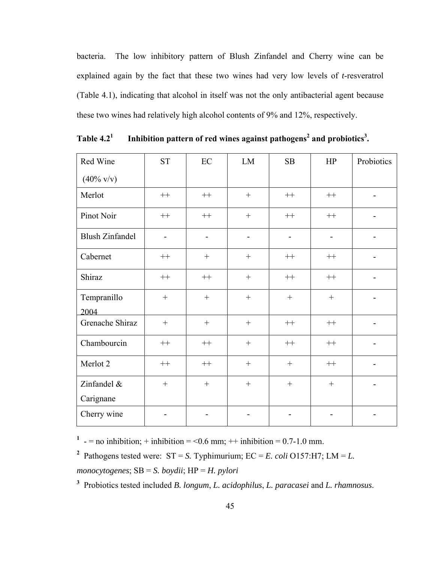bacteria. The low inhibitory pattern of Blush Zinfandel and Cherry wine can be explained again by the fact that these two wines had very low levels of *t*-resveratrol (Table 4.1), indicating that alcohol in itself was not the only antibacterial agent because these two wines had relatively high alcohol contents of 9% and 12%, respectively.

| Red Wine               | <b>ST</b> | EC               | LM               | SB               | HP               | Probiotics |
|------------------------|-----------|------------------|------------------|------------------|------------------|------------|
| $(40\% \text{ v/v})$   |           |                  |                  |                  |                  |            |
| Merlot                 | $^{++}$   | $^{++}$          | $+$              | $++$             | $++$             |            |
| Pinot Noir             | $++$      | $++$             | $+$              | $++$             | $++$             |            |
| <b>Blush Zinfandel</b> |           |                  |                  |                  |                  |            |
| Cabernet               | $++$      |                  |                  | $++$             | $++$             |            |
| Shiraz                 | $++$      | $++$             | $\boldsymbol{+}$ | $++$             | $^{++}$          |            |
| Tempranillo<br>2004    | $\! + \!$ | $\boldsymbol{+}$ | $\boldsymbol{+}$ | $\boldsymbol{+}$ | $\boldsymbol{+}$ |            |
| Grenache Shiraz        |           | $\boldsymbol{+}$ |                  | $++$             | $^{++}\,$        |            |
| Chambourcin            | $++$      | $^{++}\,$        | $\boldsymbol{+}$ | $^{++}$          | $^{++}$          |            |
| Merlot 2               | $^{++}$   | $^{++}$          |                  |                  | $^{++}$          |            |
| Zinfandel &            |           |                  | $\boldsymbol{+}$ | $\boldsymbol{+}$ | $\boldsymbol{+}$ |            |
| Carignane              |           |                  |                  |                  |                  |            |
| Cherry wine            |           |                  |                  |                  |                  |            |

**Table 4.21** Inhibition pattern of red wines against pathogens<sup>2</sup> and probiotics<sup>3</sup>.

<sup>1</sup> - = no inhibition; + inhibition = <0.6 mm; ++ inhibition = 0.7-1.0 mm.

<sup>2</sup> Pathogens tested were:  $ST = S$ . Typhimurium;  $EC = E$ . *coli* O157:H7; LM = *L*. *monocytogenes*; SB = *S. boydii*; HP = *H. pylori*

**3** Probiotics tested included *B. longum*, *L. acidophilus*, *L. paracasei* and *L. rhamnosus*.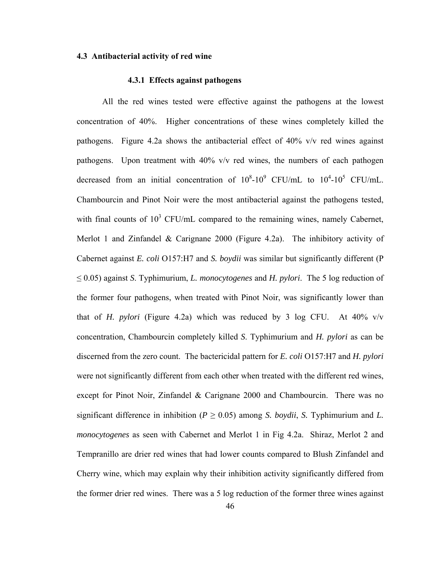## **4.3 Antibacterial activity of red wine**

### **4.3.1 Effects against pathogens**

 All the red wines tested were effective against the pathogens at the lowest concentration of 40%. Higher concentrations of these wines completely killed the pathogens. Figure 4.2a shows the antibacterial effect of 40% v/v red wines against pathogens. Upon treatment with 40% v/v red wines, the numbers of each pathogen decreased from an initial concentration of  $10^8$ - $10^9$  CFU/mL to  $10^4$ - $10^5$  CFU/mL. Chambourcin and Pinot Noir were the most antibacterial against the pathogens tested, with final counts of  $10^3$  CFU/mL compared to the remaining wines, namely Cabernet, Merlot 1 and Zinfandel & Carignane 2000 (Figure 4.2a). The inhibitory activity of Cabernet against *E. coli* O157:H7 and *S. boydii* was similar but significantly different (P ≤ 0.05) against *S*. Typhimurium, *L. monocytogenes* and *H. pylori*. The 5 log reduction of the former four pathogens, when treated with Pinot Noir, was significantly lower than that of *H. pylori* (Figure 4.2a) which was reduced by 3 log CFU. At 40% v/v concentration, Chambourcin completely killed *S*. Typhimurium and *H. pylori* as can be discerned from the zero count. The bactericidal pattern for *E. coli* O157:H7 and *H. pylori* were not significantly different from each other when treated with the different red wines, except for Pinot Noir, Zinfandel & Carignane 2000 and Chambourcin. There was no significant difference in inhibition ( $P \ge 0.05$ ) among *S. boydii*, *S.* Typhimurium and *L. monocytogenes* as seen with Cabernet and Merlot 1 in Fig 4.2a. Shiraz, Merlot 2 and Tempranillo are drier red wines that had lower counts compared to Blush Zinfandel and Cherry wine, which may explain why their inhibition activity significantly differed from the former drier red wines. There was a 5 log reduction of the former three wines against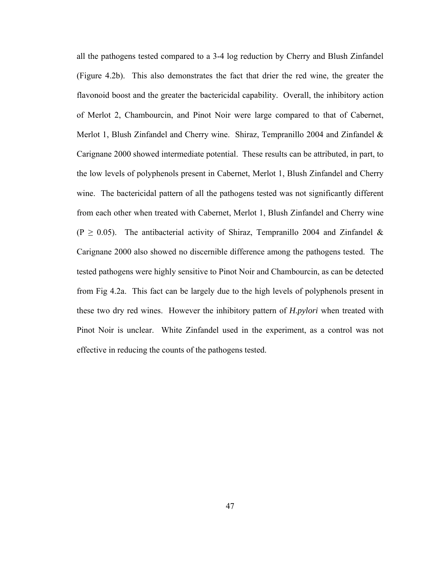all the pathogens tested compared to a 3-4 log reduction by Cherry and Blush Zinfandel (Figure 4.2b). This also demonstrates the fact that drier the red wine, the greater the flavonoid boost and the greater the bactericidal capability. Overall, the inhibitory action of Merlot 2, Chambourcin, and Pinot Noir were large compared to that of Cabernet, Merlot 1, Blush Zinfandel and Cherry wine. Shiraz, Tempranillo 2004 and Zinfandel & Carignane 2000 showed intermediate potential. These results can be attributed, in part, to the low levels of polyphenols present in Cabernet, Merlot 1, Blush Zinfandel and Cherry wine. The bactericidal pattern of all the pathogens tested was not significantly different from each other when treated with Cabernet, Merlot 1, Blush Zinfandel and Cherry wine (P  $\geq$  0.05). The antibacterial activity of Shiraz, Tempranillo 2004 and Zinfandel & Carignane 2000 also showed no discernible difference among the pathogens tested. The tested pathogens were highly sensitive to Pinot Noir and Chambourcin, as can be detected from Fig 4.2a. This fact can be largely due to the high levels of polyphenols present in these two dry red wines. However the inhibitory pattern of *H.pylori* when treated with Pinot Noir is unclear. White Zinfandel used in the experiment, as a control was not effective in reducing the counts of the pathogens tested.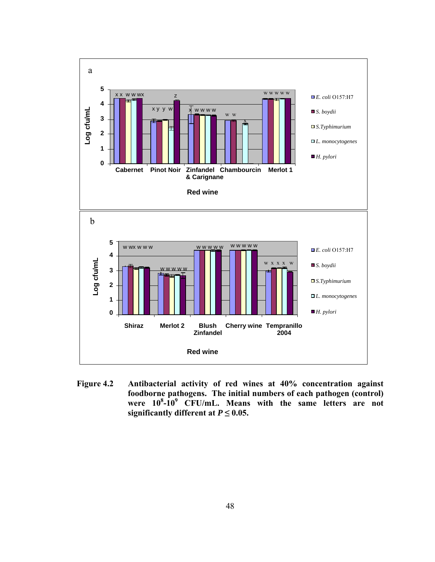

**Figure 4.2 Antibacterial activity of red wines at 40% concentration against foodborne pathogens. The initial numbers of each pathogen (control) were 108 -109 CFU/mL. Means with the same letters are not significantly different at**  $P \leq 0.05$ **.**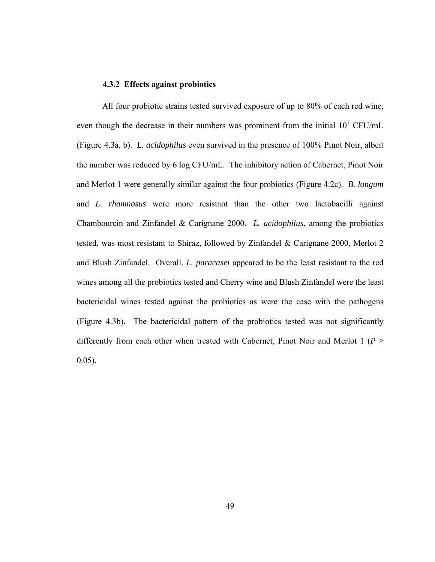### **4.3.2 Effects against probiotics**

All four probiotic strains tested survived exposure of up to 80% of each red wine, even though the decrease in their numbers was prominent from the initial  $10^7$  CFU/mL (Figure 4.3a, b). *L. acidophilus* even survived in the presence of 100% Pinot Noir, albeit the number was reduced by 6 log CFU/mL. The inhibitory action of Cabernet, Pinot Noir and Merlot 1 were generally similar against the four probiotics (Figure 4.2c). *B. longum* and *L. rhamnosus* were more resistant than the other two lactobacilli against Chambourcin and Zinfandel & Carignane 2000. *L. acidophilus*, among the probiotics tested, was most resistant to Shiraz, followed by Zinfandel & Carignane 2000, Merlot 2 and Blush Zinfandel. Overall, *L. paracasei* appeared to be the least resistant to the red wines among all the probiotics tested and Cherry wine and Blush Zinfandel were the least bactericidal wines tested against the probiotics as were the case with the pathogens (Figure 4.3b). The bactericidal pattern of the probiotics tested was not significantly differently from each other when treated with Cabernet, Pinot Noir and Merlot 1 ( $P \geq$ 0.05).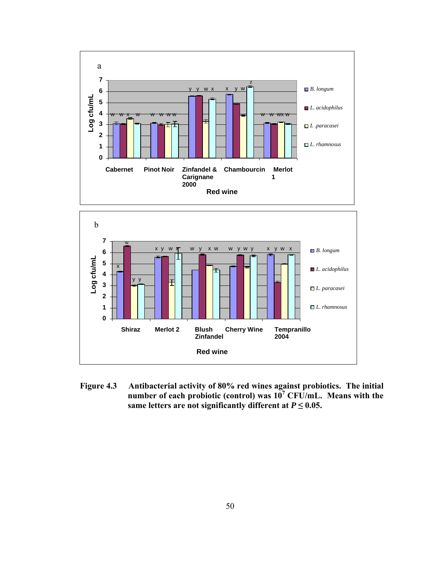



**Figure 4.3 Antibacterial activity of 80% red wines against probiotics. The initial**  number of each probiotic (control) was  $10^7$  CFU/mL. Means with the **same letters are not significantly different at**  $P \leq 0.05$ **.**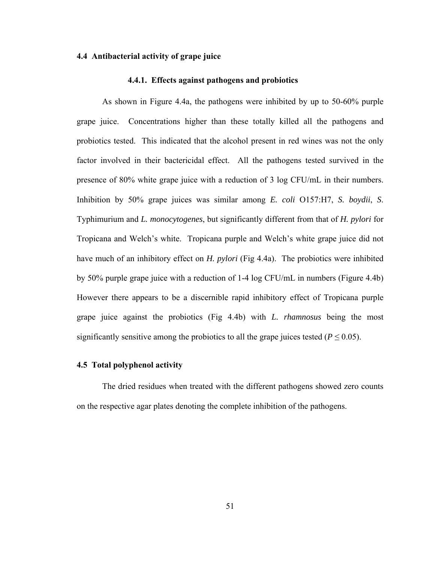## **4.4 Antibacterial activity of grape juice**

### **4.4.1. Effects against pathogens and probiotics**

As shown in Figure 4.4a, the pathogens were inhibited by up to 50-60% purple grape juice. Concentrations higher than these totally killed all the pathogens and probiotics tested. This indicated that the alcohol present in red wines was not the only factor involved in their bactericidal effect. All the pathogens tested survived in the presence of 80% white grape juice with a reduction of 3 log CFU/mL in their numbers. Inhibition by 50% grape juices was similar among *E. coli* O157:H7, *S. boydii*, *S*. Typhimurium and *L. monocytogenes*, but significantly different from that of *H. pylori* for Tropicana and Welch's white. Tropicana purple and Welch's white grape juice did not have much of an inhibitory effect on *H. pylori* (Fig 4.4a). The probiotics were inhibited by 50% purple grape juice with a reduction of 1-4 log CFU/mL in numbers (Figure 4.4b) However there appears to be a discernible rapid inhibitory effect of Tropicana purple grape juice against the probiotics (Fig 4.4b) with *L. rhamnosus* being the most significantly sensitive among the probiotics to all the grape juices tested ( $P \le 0.05$ ).

### **4.5 Total polyphenol activity**

The dried residues when treated with the different pathogens showed zero counts on the respective agar plates denoting the complete inhibition of the pathogens.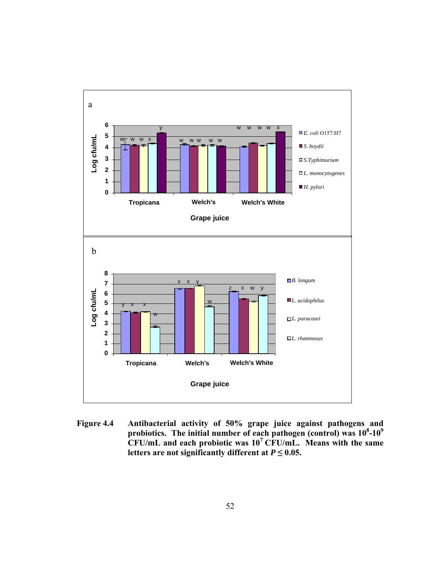

**Figure 4.4 Antibacterial activity of 50% grape juice against pathogens and**  probiotics. The initial number of each pathogen (control) was  $10^8$ - $10^9$ **CFU/mL and each probiotic was 107 CFU/mL. Means with the same**  letters are not significantly different at  $P \leq 0.05$ .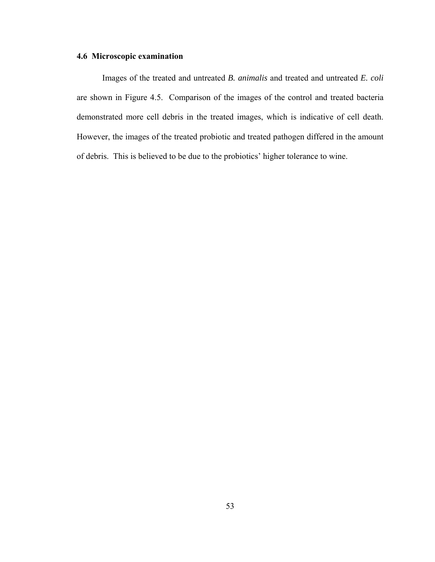# **4.6 Microscopic examination**

Images of the treated and untreated *B. animalis* and treated and untreated *E. coli* are shown in Figure 4.5. Comparison of the images of the control and treated bacteria demonstrated more cell debris in the treated images, which is indicative of cell death. However, the images of the treated probiotic and treated pathogen differed in the amount of debris. This is believed to be due to the probiotics' higher tolerance to wine.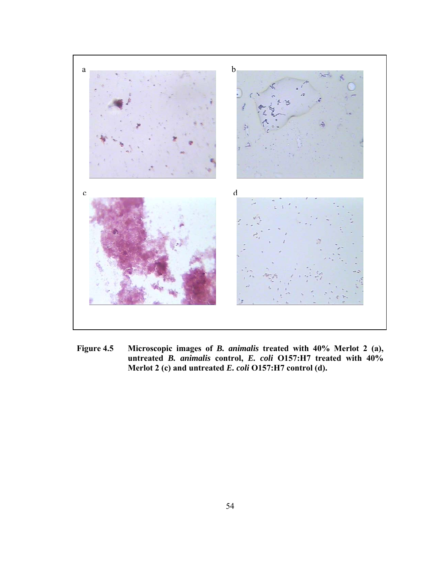

**Figure 4.5 Microscopic images of** *B. animalis* **treated with 40% Merlot 2 (a), untreated** *B. animalis* **control,** *E. coli* **O157:H7 treated with 40% Merlot 2 (c) and untreated** *E. coli* **O157:H7 control (d).**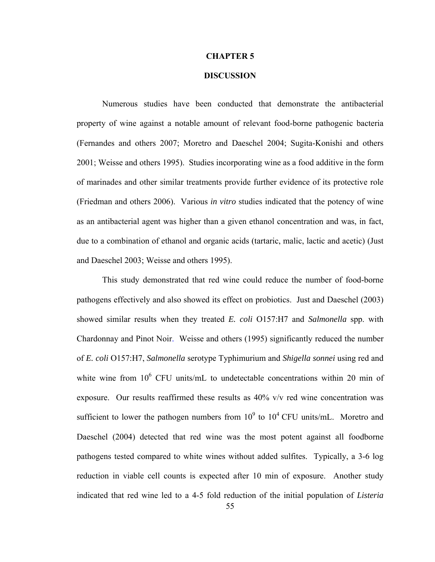### **CHAPTER 5**

## **DISCUSSION**

Numerous studies have been conducted that demonstrate the antibacterial property of wine against a notable amount of relevant food-borne pathogenic bacteria (Fernandes and others 2007; Moretro and Daeschel 2004; Sugita-Konishi and others 2001; Weisse and others 1995). Studies incorporating wine as a food additive in the form of marinades and other similar treatments provide further evidence of its protective role (Friedman and others 2006). Various *in vitro* studies indicated that the potency of wine as an antibacterial agent was higher than a given ethanol concentration and was, in fact, due to a combination of ethanol and organic acids (tartaric, malic, lactic and acetic) (Just and Daeschel 2003; Weisse and others 1995).

This study demonstrated that red wine could reduce the number of food-borne pathogens effectively and also showed its effect on probiotics. Just and Daeschel (2003) showed similar results when they treated *E. coli* O157:H7 and *Salmonella* spp. with Chardonnay and Pinot Noir. Weisse and others (1995) significantly reduced the number of *E. coli* O157:H7, *Salmonella* serotype Typhimurium and *Shigella sonnei* using red and white wine from  $10^6$  CFU units/mL to undetectable concentrations within 20 min of exposure. Our results reaffirmed these results as 40% v/v red wine concentration was sufficient to lower the pathogen numbers from  $10^9$  to  $10^4$  CFU units/mL. Moretro and Daeschel (2004) detected that red wine was the most potent against all foodborne pathogens tested compared to white wines without added sulfites. Typically, a 3-6 log reduction in viable cell counts is expected after 10 min of exposure. Another study indicated that red wine led to a 4-5 fold reduction of the initial population of *Listeria*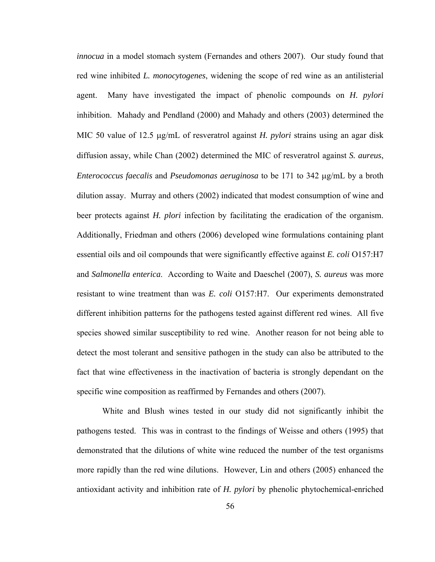*innocua* in a model stomach system (Fernandes and others 2007). Our study found that red wine inhibited *L. monocytogenes*, widening the scope of red wine as an antilisterial agent. Many have investigated the impact of phenolic compounds on *H. pylori* inhibition. Mahady and Pendland (2000) and Mahady and others (2003) determined the MIC 50 value of 12.5 μg/mL of resveratrol against *H. pylori* strains using an agar disk diffusion assay, while Chan (2002) determined the MIC of resveratrol against *S. aureus*, *Enterococcus faecalis* and *Pseudomonas aeruginosa* to be 171 to 342 μg/mL by a broth dilution assay. Murray and others (2002) indicated that modest consumption of wine and beer protects against *H. plori* infection by facilitating the eradication of the organism. Additionally, Friedman and others (2006) developed wine formulations containing plant essential oils and oil compounds that were significantly effective against *E. coli* O157:H7 and *Salmonella enterica*. According to Waite and Daeschel (2007), *S. aureus* was more resistant to wine treatment than was *E. coli* O157:H7. Our experiments demonstrated different inhibition patterns for the pathogens tested against different red wines. All five species showed similar susceptibility to red wine. Another reason for not being able to detect the most tolerant and sensitive pathogen in the study can also be attributed to the fact that wine effectiveness in the inactivation of bacteria is strongly dependant on the specific wine composition as reaffirmed by Fernandes and others (2007).

White and Blush wines tested in our study did not significantly inhibit the pathogens tested. This was in contrast to the findings of Weisse and others (1995) that demonstrated that the dilutions of white wine reduced the number of the test organisms more rapidly than the red wine dilutions. However, Lin and others (2005) enhanced the antioxidant activity and inhibition rate of *H. pylori* by phenolic phytochemical-enriched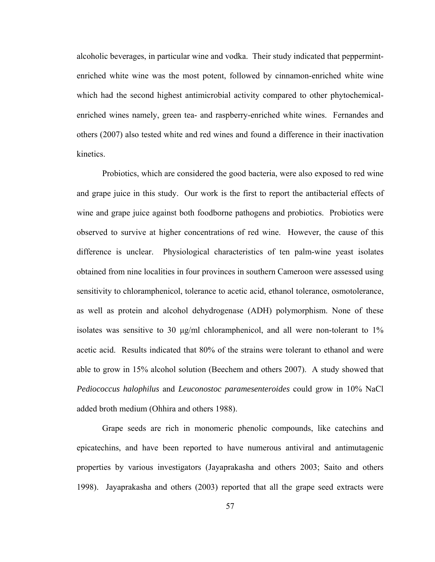alcoholic beverages, in particular wine and vodka. Their study indicated that peppermintenriched white wine was the most potent, followed by cinnamon-enriched white wine which had the second highest antimicrobial activity compared to other phytochemicalenriched wines namely, green tea- and raspberry-enriched white wines. Fernandes and others (2007) also tested white and red wines and found a difference in their inactivation kinetics.

Probiotics, which are considered the good bacteria, were also exposed to red wine and grape juice in this study. Our work is the first to report the antibacterial effects of wine and grape juice against both foodborne pathogens and probiotics. Probiotics were observed to survive at higher concentrations of red wine. However, the cause of this difference is unclear. Physiological characteristics of ten palm-wine yeast isolates obtained from nine localities in four provinces in southern Cameroon were assessed using sensitivity to chloramphenicol, tolerance to acetic acid, ethanol tolerance, osmotolerance, as well as protein and alcohol dehydrogenase (ADH) polymorphism. None of these isolates was sensitive to 30 μg/ml chloramphenicol, and all were non-tolerant to 1% acetic acid. Results indicated that 80% of the strains were tolerant to ethanol and were able to grow in 15% alcohol solution (Beechem and others 2007). A study showed that *Pediococcus halophilus* and *Leuconostoc paramesenteroides* could grow in 10% NaCl added broth medium (Ohhira and others 1988).

Grape seeds are rich in monomeric phenolic compounds, like catechins and epicatechins, and have been reported to have numerous antiviral and antimutagenic properties by various investigators (Jayaprakasha and others 2003; Saito and others 1998). Jayaprakasha and others (2003) reported that all the grape seed extracts were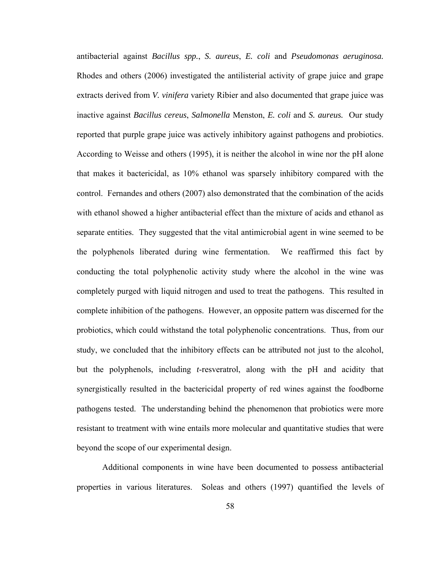antibacterial against *Bacillus spp.*, *S. aureus*, *E. coli* and *Pseudomonas aeruginosa.* Rhodes and others (2006) investigated the antilisterial activity of grape juice and grape extracts derived from *V. vinifera* variety Ribier and also documented that grape juice was inactive against *Bacillus cereus*, *Salmonella* Menston, *E. coli* and *S. aureus.* Our study reported that purple grape juice was actively inhibitory against pathogens and probiotics. According to Weisse and others (1995), it is neither the alcohol in wine nor the pH alone that makes it bactericidal, as 10% ethanol was sparsely inhibitory compared with the control. Fernandes and others (2007) also demonstrated that the combination of the acids with ethanol showed a higher antibacterial effect than the mixture of acids and ethanol as separate entities. They suggested that the vital antimicrobial agent in wine seemed to be the polyphenols liberated during wine fermentation. We reaffirmed this fact by conducting the total polyphenolic activity study where the alcohol in the wine was completely purged with liquid nitrogen and used to treat the pathogens. This resulted in complete inhibition of the pathogens. However, an opposite pattern was discerned for the probiotics, which could withstand the total polyphenolic concentrations. Thus, from our study, we concluded that the inhibitory effects can be attributed not just to the alcohol, but the polyphenols, including *t*-resveratrol, along with the pH and acidity that synergistically resulted in the bactericidal property of red wines against the foodborne pathogens tested. The understanding behind the phenomenon that probiotics were more resistant to treatment with wine entails more molecular and quantitative studies that were beyond the scope of our experimental design.

Additional components in wine have been documented to possess antibacterial properties in various literatures. Soleas and others (1997) quantified the levels of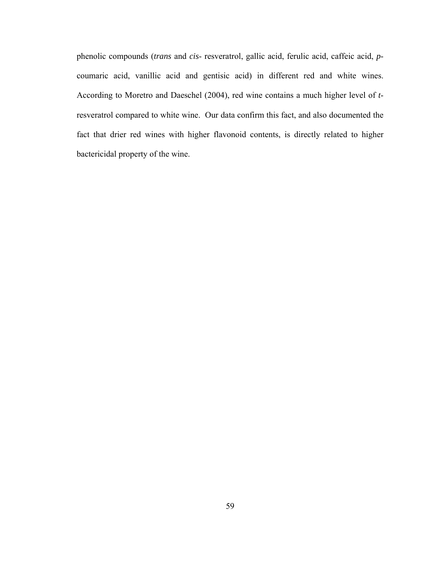phenolic compounds (*trans* and *cis*- resveratrol, gallic acid, ferulic acid, caffeic acid, *p*coumaric acid, vanillic acid and gentisic acid) in different red and white wines. According to Moretro and Daeschel (2004), red wine contains a much higher level of *t*resveratrol compared to white wine. Our data confirm this fact, and also documented the fact that drier red wines with higher flavonoid contents, is directly related to higher bactericidal property of the wine.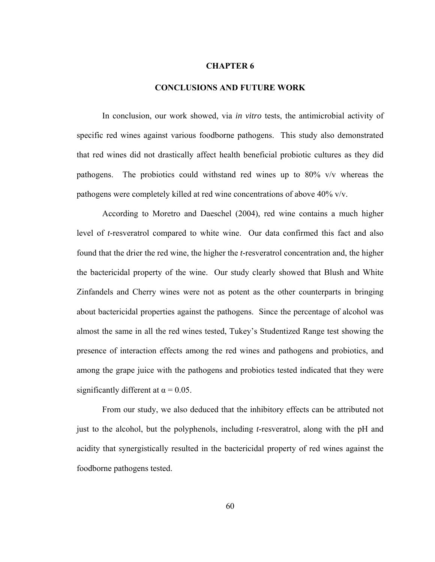## **CHAPTER 6**

## **CONCLUSIONS AND FUTURE WORK**

In conclusion, our work showed, via *in vitro* tests, the antimicrobial activity of specific red wines against various foodborne pathogens. This study also demonstrated that red wines did not drastically affect health beneficial probiotic cultures as they did pathogens. The probiotics could withstand red wines up to 80% v/v whereas the pathogens were completely killed at red wine concentrations of above 40% v/v.

 According to Moretro and Daeschel (2004), red wine contains a much higher level of *t*-resveratrol compared to white wine. Our data confirmed this fact and also found that the drier the red wine, the higher the *t*-resveratrol concentration and, the higher the bactericidal property of the wine. Our study clearly showed that Blush and White Zinfandels and Cherry wines were not as potent as the other counterparts in bringing about bactericidal properties against the pathogens. Since the percentage of alcohol was almost the same in all the red wines tested, Tukey's Studentized Range test showing the presence of interaction effects among the red wines and pathogens and probiotics, and among the grape juice with the pathogens and probiotics tested indicated that they were significantly different at  $\alpha = 0.05$ .

 From our study, we also deduced that the inhibitory effects can be attributed not just to the alcohol, but the polyphenols, including *t*-resveratrol, along with the pH and acidity that synergistically resulted in the bactericidal property of red wines against the foodborne pathogens tested.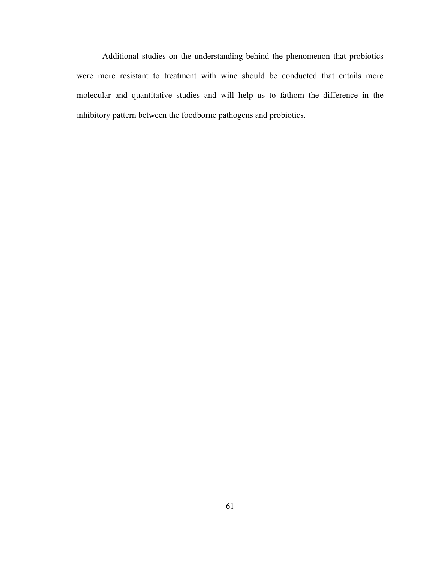Additional studies on the understanding behind the phenomenon that probiotics were more resistant to treatment with wine should be conducted that entails more molecular and quantitative studies and will help us to fathom the difference in the inhibitory pattern between the foodborne pathogens and probiotics.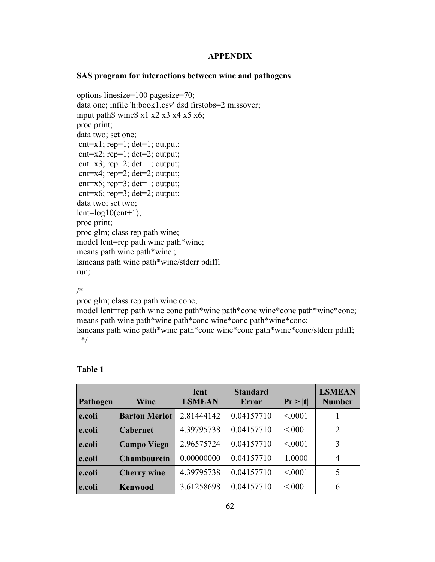## **APPENDIX**

## **SAS program for interactions between wine and pathogens**

options linesize=100 pagesize=70; data one; infile 'h:book1.csv' dsd firstobs=2 missover; input path\$ wine\$ x1 x2 x3 x4 x5 x6; proc print; data two; set one; cnt=x1; rep=1; det=1; output; cnt=x2; rep=1; det=2; output; cnt=x3; rep=2; det=1; output;  $cnt=x4$ ;  $rep=2$ ;  $det=2$ ; output; cnt=x5; rep=3; det=1; output; cnt= $x6$ ; rep= $3$ ; det= $2$ ; output; data two; set two;  $l$ cnt= $log10$ (cnt+1); proc print; proc glm; class rep path wine; model lcnt=rep path wine path\*wine; means path wine path\*wine ; lsmeans path wine path\*wine/stderr pdiff; run;

/\*

proc glm; class rep path wine conc;

model lcnt=rep path wine conc path\*wine path\*conc wine\*conc path\*wine\*conc; means path wine path\*wine path\*conc wine\*conc path\*wine\*conc;

lsmeans path wine path\*wine path\*conc wine\*conc path\*wine\*conc/stderr pdiff; \*/

| Pathogen | Wine                 | lcnt<br><b>LSMEAN</b> | <b>Standard</b><br><b>Error</b> | Pr >  t | <b>LSMEAN</b><br><b>Number</b> |
|----------|----------------------|-----------------------|---------------------------------|---------|--------------------------------|
| e.coli   | <b>Barton Merlot</b> | 2.81444142            | 0.04157710                      | < 0001  |                                |
| e.coli   | <b>Cabernet</b>      | 4.39795738            | 0.04157710                      | < 0001  | 2                              |
| e.coli   | <b>Campo Viego</b>   | 2.96575724            | 0.04157710                      | < 0001  | 3                              |
| e.coli   | Chambourcin          | 0.00000000            | 0.04157710                      | 1.0000  | 4                              |
| e.coli   | <b>Cherry</b> wine   | 4.39795738            | 0.04157710                      | < 0001  | 5                              |
| e.coli   | <b>Kenwood</b>       | 3.61258698            | 0.04157710                      | < 0001  | 6                              |

## **Table 1**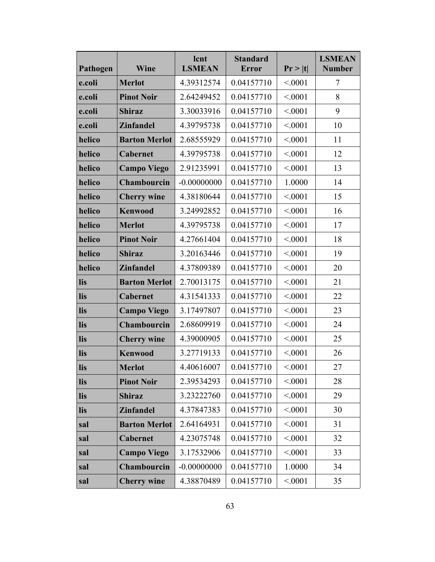| Pathogen | Wine                 | lcnt<br><b>LSMEAN</b> | <b>Standard</b><br>Pr >  t <br><b>Error</b> |        | <b>LSMEAN</b><br><b>Number</b> |
|----------|----------------------|-----------------------|---------------------------------------------|--------|--------------------------------|
| e.coli   | <b>Merlot</b>        | 4.39312574            | 0.04157710                                  | < 0001 | $\overline{7}$                 |
| e.coli   | <b>Pinot Noir</b>    | 2.64249452            | 0.04157710                                  | < 0001 | 8                              |
| e.coli   | <b>Shiraz</b>        | 3.30033916            | 0.04157710                                  | < 0001 | 9                              |
| e.coli   | <b>Zinfandel</b>     | 4.39795738            | 0.04157710                                  | < 0001 | 10                             |
| helico   | <b>Barton Merlot</b> | 2.68555929            | 0.04157710                                  | < 0001 | 11                             |
| helico   | <b>Cabernet</b>      | 4.39795738            | 0.04157710                                  | < 0001 | 12                             |
| helico   | <b>Campo Viego</b>   | 2.91235991            | 0.04157710                                  | < 0001 | 13                             |
| helico   | Chambourcin          | $-0.00000000$         | 0.04157710                                  | 1.0000 | 14                             |
| helico   | <b>Cherry wine</b>   | 4.38180644            | 0.04157710                                  | < 0001 | 15                             |
| helico   | <b>Kenwood</b>       | 3.24992852            | 0.04157710                                  | < 0001 | 16                             |
| helico   | <b>Merlot</b>        | 4.39795738            | 0.04157710                                  | < 0001 | 17                             |
| helico   | <b>Pinot Noir</b>    | 4.27661404            | 0.04157710                                  | < 0001 | 18                             |
| helico   | <b>Shiraz</b>        | 3.20163446            | 0.04157710                                  | < 0001 | 19                             |
| helico   | <b>Zinfandel</b>     | 4.37809389            | 0.04157710                                  | < 0001 | 20                             |
| lis      | <b>Barton Merlot</b> | 2.70013175            | 0.04157710                                  | < 0001 | 21                             |
| lis      | Cabernet             | 4.31541333            | 0.04157710                                  | < 0001 | 22                             |
| lis      | <b>Campo Viego</b>   | 3.17497807            | 0.04157710                                  | < 0001 | 23                             |
| lis      | Chambourcin          | 2.68609919            | 0.04157710                                  | < 0001 | 24                             |
| lis      | <b>Cherry wine</b>   | 4.39000905            | 0.04157710                                  | < 0001 | 25                             |
| lis      | <b>Kenwood</b>       | 3.27719133            | 0.04157710                                  | < 0001 | 26                             |
| lis      | <b>Merlot</b>        | 4.40616007            | 0.04157710                                  | < 0001 | 27                             |
| lis      | <b>Pinot Noir</b>    | 2.39534293            | 0.04157710                                  | < 0001 | 28                             |
| lis      | <b>Shiraz</b>        | 3.23222760            | 0.04157710                                  | < 0001 | 29                             |
| lis      | <b>Zinfandel</b>     | 4.37847383            | 0.04157710                                  | < 0001 | 30                             |
| sal      | <b>Barton Merlot</b> | 2.64164931            | 0.04157710                                  | < 0001 | 31                             |
| sal      | Cabernet             | 4.23075748            | 0.04157710                                  | < 0001 | 32                             |
| sal      | <b>Campo Viego</b>   | 3.17532906            | 0.04157710                                  | < 0001 | 33                             |
| sal      | Chambourcin          | $-0.00000000$         | 0.04157710                                  | 1.0000 | 34                             |
| sal      | <b>Cherry wine</b>   | 4.38870489            | 0.04157710                                  | < 0001 | 35                             |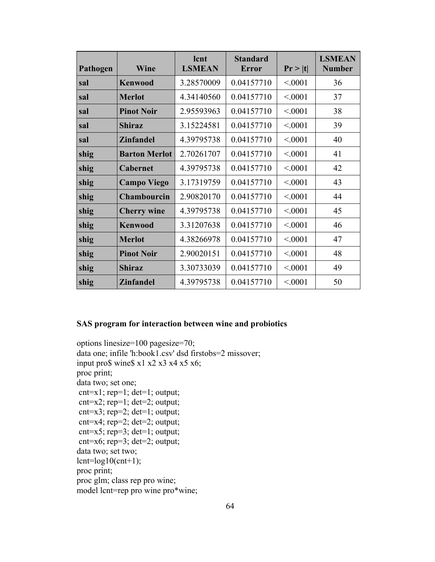| Pathogen | Wine                 | lcnt<br><b>LSMEAN</b> | <b>Standard</b><br>Error | Pr >  t | <b>LSMEAN</b><br><b>Number</b> |
|----------|----------------------|-----------------------|--------------------------|---------|--------------------------------|
| sal      | <b>Kenwood</b>       | 3.28570009            | 0.04157710               | < 0001  | 36                             |
| sal      | <b>Merlot</b>        | 4.34140560            | 0.04157710               | < 0001  | 37                             |
| sal      | <b>Pinot Noir</b>    | 2.95593963            | 0.04157710               | < 0001  | 38                             |
| sal      | <b>Shiraz</b>        | 3.15224581            | 0.04157710               | < 0001  | 39                             |
| sal      | <b>Zinfandel</b>     | 4.39795738            | 0.04157710               | < 0001  | 40                             |
| shig     | <b>Barton Merlot</b> | 2.70261707            | 0.04157710               | < 0001  | 41                             |
| shig     | <b>Cabernet</b>      | 4.39795738            | 0.04157710               | < 0001  | 42                             |
| shig     | <b>Campo Viego</b>   | 3.17319759            | 0.04157710               | < 0001  | 43                             |
| shig     | <b>Chambourcin</b>   | 2.90820170            | 0.04157710               | < 0001  | 44                             |
| shig     | <b>Cherry wine</b>   | 4.39795738            | 0.04157710               | < 0001  | 45                             |
| shig     | <b>Kenwood</b>       | 3.31207638            | 0.04157710               | < 0001  | 46                             |
| shig     | <b>Merlot</b>        | 4.38266978            | 0.04157710               | < 0001  | 47                             |
| shig     | <b>Pinot Noir</b>    | 2.90020151            | 0.04157710               | < 0001  | 48                             |
| shig     | <b>Shiraz</b>        | 3.30733039            | 0.04157710               | < 0001  | 49                             |
| shig     | <b>Zinfandel</b>     | 4.39795738            | 0.04157710               | < 0001  | 50                             |

### **SAS program for interaction between wine and probiotics**

```
options linesize=100 pagesize=70; 
data one; infile 'h:book1.csv' dsd firstobs=2 missover; 
input pro$ wine$ x1 x2 x3 x4 x5 x6; 
proc print; 
data two; set one; 
 cnt=x1; rep=1; det=1; output; 
 cnt=x2; rep=1; det=2; output; 
cnt=x3; rep=2; det=1; output;
 cnt=x4; rep=2; det=2; output; 
 cnt=x5; rep=3; det=1; output; 
cnt=x6; rep=3; det=2; output;
data two; set two; 
lcnt=log10(cnt+1);proc print; 
proc glm; class rep pro wine; 
model lcnt=rep pro wine pro*wine;
```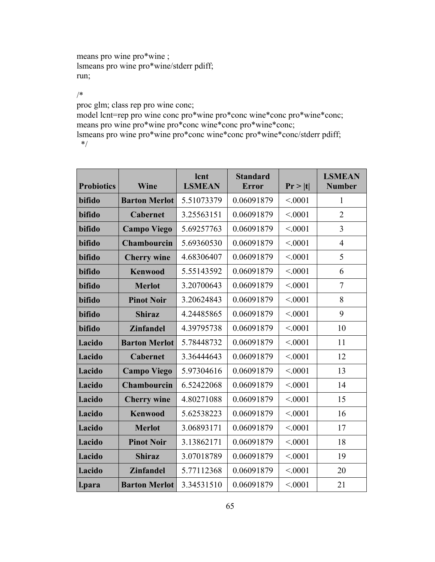means pro wine pro\*wine ; lsmeans pro wine pro\*wine/stderr pdiff; run;

/\*

proc glm; class rep pro wine conc;

model lcnt=rep pro wine conc pro\*wine pro\*conc wine\*conc pro\*wine\*conc; means pro wine pro\*wine pro\*conc wine\*conc pro\*wine\*conc; lsmeans pro wine pro\*wine pro\*conc wine\*conc pro\*wine\*conc/stderr pdiff;

\*/

| <b>Probiotics</b> | Wine                 | lcnt<br><b>LSMEAN</b> | <b>Standard</b><br><b>Error</b> | Pr >  t | <b>LSMEAN</b><br><b>Number</b> |
|-------------------|----------------------|-----------------------|---------------------------------|---------|--------------------------------|
| bifido            | <b>Barton Merlot</b> | 5.51073379            | 0.06091879                      | < 0.001 | 1                              |
| bifido            | <b>Cabernet</b>      | 3.25563151            | 0.06091879                      | < 0.001 | $\overline{2}$                 |
| bifido            | <b>Campo Viego</b>   | 5.69257763            | 0.06091879                      | < 0.001 | 3                              |
| bifido            | <b>Chambourcin</b>   | 5.69360530            | 0.06091879                      | < 0.001 | $\overline{4}$                 |
| bifido            | <b>Cherry wine</b>   | 4.68306407            | 0.06091879                      | < 0.001 | 5                              |
| bifido            | <b>Kenwood</b>       | 5.55143592            | 0.06091879                      | < 0.001 | 6                              |
| bifido            | <b>Merlot</b>        | 3.20700643            | 0.06091879                      | < 0.001 | $\overline{7}$                 |
| bifido            | <b>Pinot Noir</b>    | 3.20624843            | 0.06091879                      | < 0001  | 8                              |
| bifido            | <b>Shiraz</b>        | 4.24485865            | 0.06091879                      | < 0.001 | 9                              |
| bifido            | <b>Zinfandel</b>     | 4.39795738            | 0.06091879                      | < 0.001 | 10                             |
| l.acido           | <b>Barton Merlot</b> | 5.78448732            | 0.06091879                      | < 0.001 | 11                             |
| l.acido           | Cabernet             | 3.36444643            | 0.06091879                      | < 0001  | 12                             |
| l.acido           | <b>Campo Viego</b>   | 5.97304616            | 0.06091879                      | < 0.001 | 13                             |
| l.acido           | Chambourcin          | 6.52422068            | 0.06091879                      | < 0001  | 14                             |
| l.acido           | <b>Cherry wine</b>   | 4.80271088            | 0.06091879                      | < 0.001 | 15                             |
| l.acido           | <b>Kenwood</b>       | 5.62538223            | 0.06091879                      | < 0.001 | 16                             |
| l.acido           | <b>Merlot</b>        | 3.06893171            | 0.06091879                      | < 0.001 | 17                             |
| l.acido           | <b>Pinot Noir</b>    | 3.13862171            | 0.06091879                      | < 0.001 | 18                             |
| l.acido           | <b>Shiraz</b>        | 3.07018789            | 0.06091879                      | < 0.001 | 19                             |
| l.acido           | <b>Zinfandel</b>     | 5.77112368            | 0.06091879                      | < 0.001 | 20                             |
| l.para            | <b>Barton Merlot</b> | 3.34531510            | 0.06091879                      | < 0.001 | 21                             |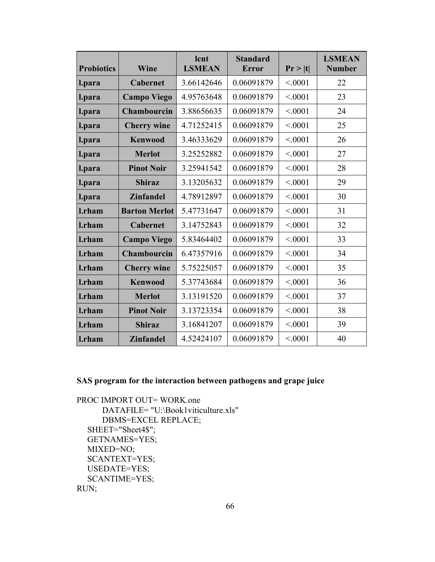| <b>Probiotics</b> | Wine                 | lcnt<br><b>LSMEAN</b> | <b>Standard</b><br><b>Error</b> | Pr >  t | <b>LSMEAN</b><br><b>Number</b> |
|-------------------|----------------------|-----------------------|---------------------------------|---------|--------------------------------|
| l.para            | <b>Cabernet</b>      | 3.66142646            | 0.06091879                      | < 0.001 | 22                             |
| l.para            | <b>Campo Viego</b>   | 4.95763648            | 0.06091879                      | < 0001  | 23                             |
| l.para            | <b>Chambourcin</b>   | 3.88656635            | 0.06091879                      | < 0001  | 24                             |
| l.para            | <b>Cherry wine</b>   | 4.71252415            | 0.06091879                      | < 0001  | 25                             |
| l.para            | <b>Kenwood</b>       | 3.46333629            | 0.06091879                      | < 0001  | 26                             |
| l.para            | <b>Merlot</b>        | 3.25252882            | 0.06091879                      | < 0001  | 27                             |
| l.para            | <b>Pinot Noir</b>    | 3.25941542            | 0.06091879                      | < 0.001 | 28                             |
| l.para            | <b>Shiraz</b>        | 3.13205632            | 0.06091879                      | < 0001  | 29                             |
| l.para            | <b>Zinfandel</b>     | 4.78912897            | 0.06091879                      | < 0001  | 30                             |
| l.rham            | <b>Barton Merlot</b> | 5.47731647            | 0.06091879                      | < 0001  | 31                             |
| l.rham            | <b>Cabernet</b>      | 3.14752843            | 0.06091879                      | < 0001  | 32                             |
| l.rham            | <b>Campo Viego</b>   | 5.83464402            | 0.06091879                      | < 0.001 | 33                             |
| l.rham            | Chambourcin          | 6.47357916            | 0.06091879                      | < 0001  | 34                             |
| l.rham            | <b>Cherry wine</b>   | 5.75225057            | 0.06091879                      | < 0001  | 35                             |
| l.rham            | <b>Kenwood</b>       | 5.37743684            | 0.06091879                      | < 0001  | 36                             |
| l.rham            | <b>Merlot</b>        | 3.13191520            | 0.06091879                      | < 0.001 | 37                             |
| l.rham            | <b>Pinot Noir</b>    | 3.13723354            | 0.06091879                      | < 0.001 | 38                             |
| l.rham            | <b>Shiraz</b>        | 3.16841207            | 0.06091879                      | < 0.001 | 39                             |
| l.rham            | <b>Zinfandel</b>     | 4.52424107            | 0.06091879                      | < 0001  | 40                             |

# **SAS program for the interaction between pathogens and grape juice**

PROC IMPORT OUT= WORK.one DATAFILE= "U:\Book1viticulture.xls" DBMS=EXCEL REPLACE; SHEET="Sheet4\$"; GETNAMES=YES; MIXED=NO; SCANTEXT=YES; USEDATE=YES; SCANTIME=YES; RUN;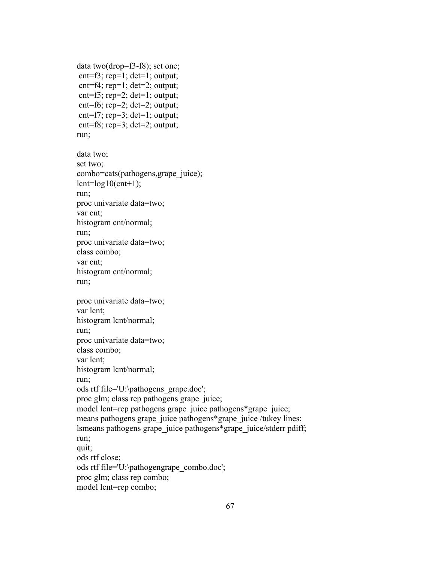```
data two(drop=f3-f8); set one; 
cnt=f3; rep=1; det=1; output;
 cnt=f4; rep=1; det=2; output; 
 cnt=f5; rep=2; det=1; output; 
 cnt=f6; rep=2; det=2; output; 
 cnt=f7; rep=3; det=1; output; 
 cnt=f8; rep=3; det=2; output; 
run;
```

```
data two; 
set two; 
combo=cats(pathogens,grape_juice); 
lcnt=log10(cnt+1);
run; 
proc univariate data=two; 
var cnt; 
histogram cnt/normal; 
run; 
proc univariate data=two; 
class combo; 
var cnt; 
histogram cnt/normal; 
run; 
proc univariate data=two; 
var lcnt; 
histogram lcnt/normal; 
run; 
proc univariate data=two; 
class combo; 
var lcnt; 
histogram lcnt/normal; 
run; 
ods rtf file='U:\pathogens_grape.doc'; 
proc glm; class rep pathogens grape_juice; 
model lcnt=rep pathogens grape juice pathogens*grape juice;
means pathogens grape juice pathogens*grape juice /tukey lines;
lsmeans pathogens grape_juice pathogens*grape_juice/stderr pdiff; 
run; 
quit; 
ods rtf close; 
ods rtf file='U:\pathogengrape_combo.doc'; 
proc glm; class rep combo;
```

```
model lcnt=rep combo;
```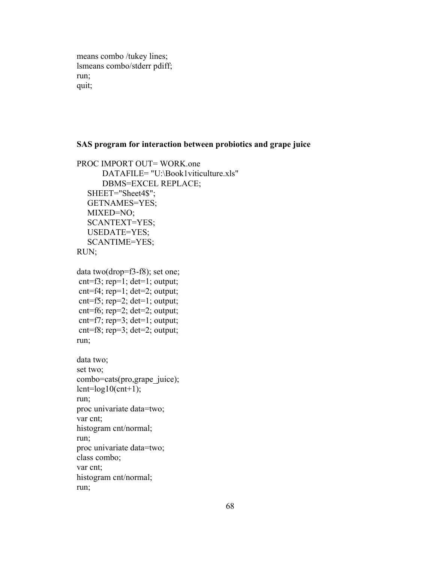means combo /tukey lines; lsmeans combo/stderr pdiff; run; quit;

#### **SAS program for interaction between probiotics and grape juice**

```
PROC IMPORT OUT= WORK.one 
        DATAFILE= "U:\Book1viticulture.xls" 
        DBMS=EXCEL REPLACE; 
    SHEET="Sheet4$"; 
    GETNAMES=YES; 
    MIXED=NO; 
    SCANTEXT=YES; 
    USEDATE=YES; 
    SCANTIME=YES; 
RUN; 
data two(drop=f3-f8); set one; 
 cnt=f3; rep=1; det=1; output; 
 cnt=f4; rep=1; det=2; output; 
 cnt=f5; rep=2; det=1; output; 
 cnt=f6; rep=2; det=2; output; 
 cnt=f7; rep=3; det=1; output; 
 cnt=f8; rep=3; det=2; output; 
run; 
data two; 
set two; 
combo=cats(pro,grape_juice);
lcnt=log10(cnt+1);run; 
proc univariate data=two; 
var cnt; 
histogram cnt/normal; 
run; 
proc univariate data=two; 
class combo; 
var cnt; 
histogram cnt/normal; 
run;
```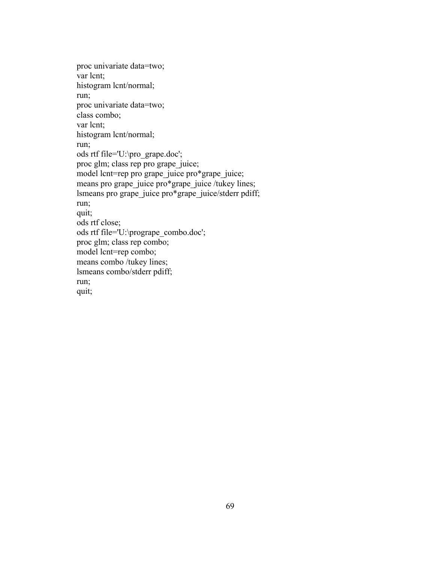proc univariate data=two; var lcnt; histogram lcnt/normal; run; proc univariate data=two; class combo; var lcnt; histogram lcnt/normal; run; ods rtf file='U:\pro\_grape.doc'; proc glm; class rep pro grape\_juice; model lcnt=rep pro grape juice pro\*grape juice; means pro grape\_juice pro\*grape\_juice /tukey lines; lsmeans pro grape\_juice pro\*grape\_juice/stderr pdiff; run; quit; ods rtf close; ods rtf file='U:\progrape\_combo.doc'; proc glm; class rep combo; model lcnt=rep combo; means combo /tukey lines; lsmeans combo/stderr pdiff; run; quit;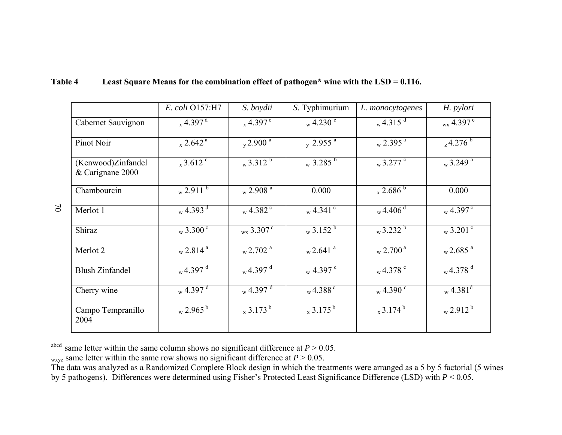|                                        | E. coli O157:H7                                      | S. boydii                       | S. Typhimurium                    | L. monocytogenes            | H. pylori                     |
|----------------------------------------|------------------------------------------------------|---------------------------------|-----------------------------------|-----------------------------|-------------------------------|
| Cabernet Sauvignon                     | $_{x}$ 4.397 <sup>d</sup>                            | $_{x}$ 4.397 °                  | $_{\rm w}$ 4.230 $^{\rm c}$       | $_{\rm w}$ 4.315 $^{\rm d}$ | $_{\rm wx}$ 4.397 $^{\rm c}$  |
| Pinot Noir                             | $_{\rm x}$ 2.642 <sup>a</sup>                        | $_{\rm y}$ 2.900 $^{\rm a}$     | $\frac{1}{y}$ 2.955 $\frac{a}{x}$ | $_{\rm w}$ 2.395 $^{\rm a}$ | $24.276^{b}$                  |
| (Kenwood)Zinfandel<br>& Carignane 2000 | $_{\rm x}$ 3.612 °                                   | $_{\rm w}$ 3.312 $^{\rm b}$     | $_{\rm w}$ 3.285 $^{\rm b}$       | $_{\rm w}$ 3.277 $^{\rm c}$ | $_{\rm w}$ 3.249 $^{\rm a}$   |
| Chambourcin                            | $_{\rm w}$ 2.911 $^{\rm b}$                          | $_{\rm w}$ 2.908 $^{\rm a}$     | 0.000                             | $_{\rm x}$ 2.686 $^{\rm b}$ | 0.000                         |
| Merlot 1                               | $_{\rm w}$ 4.393 $\overline{3}$                      | $_{\rm w}$ 4.382 $^{\rm c}$     | $_{\rm w}$ 4.341 $^{\rm c}$       | $_{\rm w}$ 4.406 $^{\rm d}$ | $_{\rm w}$ 4.397 $^{\rm c}$   |
| Shiraz                                 | $_{\rm w}$ 3.300 $^{\rm c}$                          | $_{\rm wx}$ 3.307 $^{\rm c}$    | $_{\rm w}$ 3.152 $^{\rm b}$       | $_{\rm w}$ 3.232 $^{\rm b}$ | $_{\rm w}$ 3.201 $^{\rm c}$   |
| Merlot 2                               | $_{\rm w}$ 2.814 <sup>a</sup>                        | $_{\rm w}$ 2.702 $^{\rm a}$     | $_{\rm w}$ 2.641 $^{\rm a}$       | $_{\rm w}$ 2.700 $^{\rm a}$ | $_{\rm w}$ 2.685 $^{\rm a}$   |
| <b>Blush Zinfandel</b>                 | $_{\rm w}$ 4.397 $\frac{1}{\rm d}$                   | $_{\rm w}$ 4.397 $^{\rm d}$     | $_{\rm w}$ 4.397 $^{\rm c}$       | $_{\rm w}$ 4.378 $^{\rm c}$ | $_{\rm w}$ 4.378 $^{\rm d}$   |
| Cherry wine                            | $_{\rm w}$ 4.397 $\rm$ <sup><math>\rm d</math></sup> | $_{\rm w}$ 4.397 $\overline{d}$ | $_{\rm w}$ 4.388 $^{\circ}$       | $_{\rm w}$ 4.390 $^{\rm c}$ | $_{\rm w}$ 4.381 <sup>d</sup> |
| Campo Tempranillo<br>2004              | $_{\rm w}$ 2.965 $^{\rm b}$                          | $x^3.173^b$                     | $x^3.175^b$                       | $x^3.174^b$                 | $x^{2.9}$ <sup>12b</sup>      |

## **Table 4 Least Square Means for the combination effect of pathogen\* wine with the LSD = 0.116.**

abcd same letter within the same column shows no significant difference at  $P > 0.05$ .

 $_{\text{wxyz}}$  same letter within the same row shows no significant difference at  $P > 0.05$ .

70

The data was analyzed as a Randomized Complete Block design in which the treatments were arranged as a 5 by 5 factorial (5 wines by 5 pathogens). Differences were determined using Fisher's Protected Least Significance Difference (LSD) with *P* < 0.05.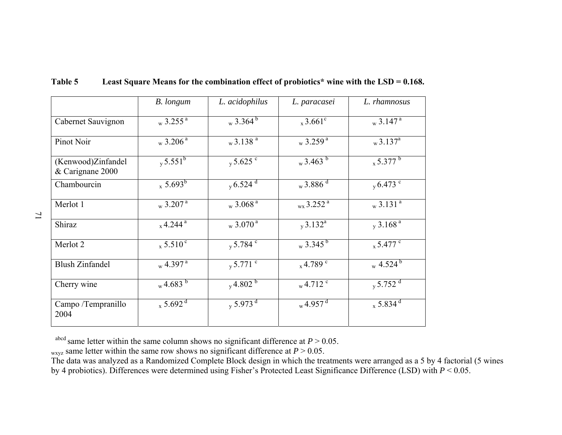|                                        | B. longum                                       | L. acidophilus                     | L. paracasei                  | L. rhamnosus                       |
|----------------------------------------|-------------------------------------------------|------------------------------------|-------------------------------|------------------------------------|
| Cabernet Sauvignon                     | $_{\rm w}$ 3.255 <sup><math>\rm{a}</math></sup> | $_{\rm w}$ 3.364 $\overline{^{6}}$ | $_{x}$ 3.661 <sup>c</sup>     | $_{\rm w}$ 3.147 <sup>a</sup>      |
| Pinot Noir                             | $_{\rm w}$ 3.206 <sup>a</sup>                   | $_{\rm w}$ 3.138 $^{\rm a}$        | $_{\rm w}$ 3.259 <sup>a</sup> | $_{\rm w}$ 3.137 <sup>a</sup>      |
| (Kenwood)Zinfandel<br>& Carignane 2000 | $v 5.551^b$                                     | $v \frac{5.625}{c}$                | $_{\rm w}$ 3.463 $^{\rm b}$   | $x\sqrt{5.377^b}$                  |
| Chambourcin                            | $_{x}$ 5.693 <sup>b</sup>                       | $_{\rm v}$ 6.524 $^{\rm d}$        | $_{\rm w}$ 3.886 $^{\rm d}$   | $v \cdot 6.473$ <sup>c</sup>       |
| Merlot 1                               | $_{\rm w}$ 3.207 <sup>a</sup>                   | $_{\rm w}$ 3.068 $^{\rm a}$        | $_{\rm wx}$ 3.252 $^{\rm a}$  | $_{\rm w}$ 3.131 $^{\overline{a}}$ |
| Shiraz                                 | $_{x}$ 4.244 <sup>a</sup>                       | $_{\rm w}$ 3.070 <sup>a</sup>      | $_v3.132^a$                   | $_v 3.168$ <sup>a</sup>            |
| Merlot 2                               | $_{\rm x}$ 5.510 $^{\rm c}$                     | $y 5.784$ <sup>c</sup>             | $_{\rm w}$ 3.345 $^{\rm b}$   | $_{\rm x}$ 5.477 °                 |
| <b>Blush Zinfandel</b>                 | $_{\rm w}$ 4.397 $^{\rm a}$                     | $_{\rm y}$ 5.771 $^{\rm c}$        | $x^4.789$ <sup>c</sup>        | $_{\rm w}$ 4.524 $^{\rm b}$        |
| Cherry wine                            | $_{\rm w}$ 4.683 $^{\rm b}$                     | $v^{4.802}$                        | $_{\rm w}$ 4.712 $^{\rm c}$   | $v \frac{5.752}{d}$                |
| Campo /Tempranillo<br>2004             | $x\sqrt{5.692}$ <sup>d</sup>                    | $_{y}$ 5.973 $^{d}$                | $_{\rm w}$ 4.957 <sup>d</sup> | $_{x}$ 5.834 <sup>d</sup>          |

### **Table 5 Least Square Means for the combination effect of probiotics\* wine with the LSD = 0.168.**

<sup>abcd</sup> same letter within the same column shows no significant difference at  $P > 0.05$ .

 $_{\text{wxyz}}$  same letter within the same row shows no significant difference at  $P > 0.05$ .

The data was analyzed as a Randomized Complete Block design in which the treatments were arranged as a 5 by 4 factorial (5 wines by 4 probiotics). Differences were determined using Fisher's Protected Least Significance Difference (LSD) with *P* < 0.05.

71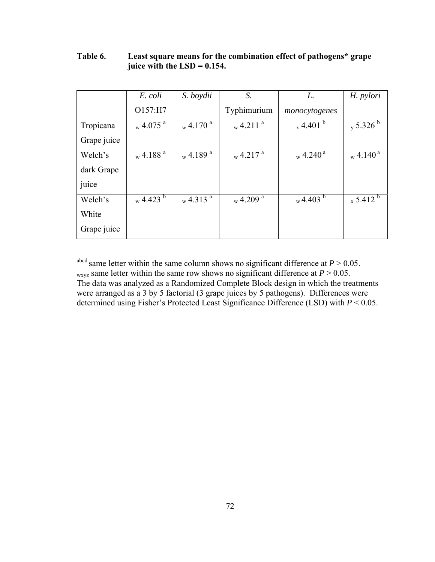|             | E. coli                     | S. boydii                          | S.                          | L.                          | H. pylori                   |
|-------------|-----------------------------|------------------------------------|-----------------------------|-----------------------------|-----------------------------|
|             | O157:H7                     |                                    | Typhimurium                 | monocytogenes               |                             |
| Tropicana   | $_{\rm w}$ 4.075 $^{\rm a}$ | $_{\rm w}$ 4.170 $^{\overline{a}}$ | $_{\rm w}$ 4.211 $^{\rm a}$ | $_{\rm x}$ 4.401 $^{\rm b}$ | $_{\rm y}$ 5.326 $^{\rm b}$ |
| Grape juice |                             |                                    |                             |                             |                             |
| Welch's     | $_{\rm w}$ 4.188 $^{\rm a}$ | $_{\rm w}$ 4.189 $^{\rm a}$        | $_{\rm w}$ 4.217 $^{\rm a}$ | $_{\rm w}$ 4.240 $^{\rm a}$ | $_{\rm w}$ 4.140 $^{\rm a}$ |
| dark Grape  |                             |                                    |                             |                             |                             |
| juice       |                             |                                    |                             |                             |                             |
| Welch's     | $_{\rm w}$ 4.423 $^{\rm b}$ | $_{\rm w}$ 4.313 $^{\rm a}$        | $_{\rm w}$ 4.209 $^{\rm a}$ | $_{\rm w}$ 4.403 $^{\rm b}$ | $_{\rm x}$ 5.412 $^{\rm b}$ |
| White       |                             |                                    |                             |                             |                             |
| Grape juice |                             |                                    |                             |                             |                             |

## **Table 6. Least square means for the combination effect of pathogens\* grape juice with the LSD = 0.154.**

<sup>abcd</sup> same letter within the same column shows no significant difference at  $P > 0.05$ . w<sub>xyz</sub> same letter within the same row shows no significant difference at  $P > 0.05$ . The data was analyzed as a Randomized Complete Block design in which the treatments were arranged as a 3 by 5 factorial (3 grape juices by 5 pathogens). Differences were determined using Fisher's Protected Least Significance Difference (LSD) with *P* < 0.05.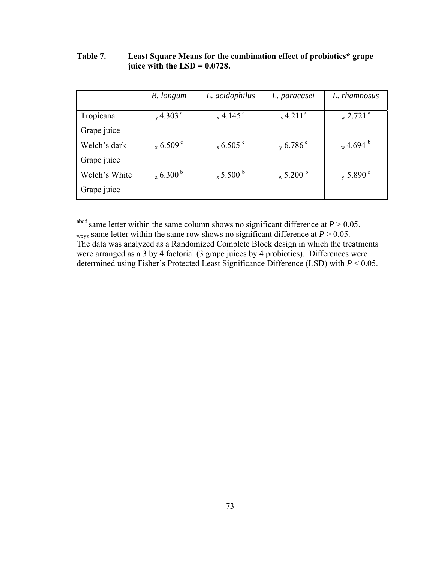|               | B. longum                   | L. acidophilus              | L. paracasei                | L. rhamnosus                  |
|---------------|-----------------------------|-----------------------------|-----------------------------|-------------------------------|
|               |                             |                             |                             |                               |
| Tropicana     | $_v$ 4.303 <sup>a</sup>     | $_{\rm x}$ 4.145 $^{\rm a}$ | $x^4.211^a$                 | $_{\rm w}$ 2.721 <sup>a</sup> |
| Grape juice   |                             |                             |                             |                               |
| Welch's dark  | $_{\rm x}$ 6.509 $^{\rm c}$ | $_{\rm x}$ 6.505 $^{\rm c}$ | $_{\rm v}$ 6.786 $^{\rm c}$ | $_{\rm w}$ 4.694 $^{\rm b}$   |
| Grape juice   |                             |                             |                             |                               |
| Welch's White | $26.300^{b}$                | $_{\rm x}$ 5.500 $^{\rm b}$ | $_{\rm w}$ 5.200 $^{\rm b}$ | $_{\rm y}$ 5.890 $^{\circ}$   |
| Grape juice   |                             |                             |                             |                               |

#### **Table 7. Least Square Means for the combination effect of probiotics\* grape juice with the LSD = 0.0728.**

a<sup>bcd</sup> same letter within the same column shows no significant difference at  $P > 0.05$ . w<sub>xyz</sub> same letter within the same row shows no significant difference at  $P > 0.05$ . The data was analyzed as a Randomized Complete Block design in which the treatments were arranged as a 3 by 4 factorial (3 grape juices by 4 probiotics). Differences were determined using Fisher's Protected Least Significance Difference (LSD) with *P* < 0.05.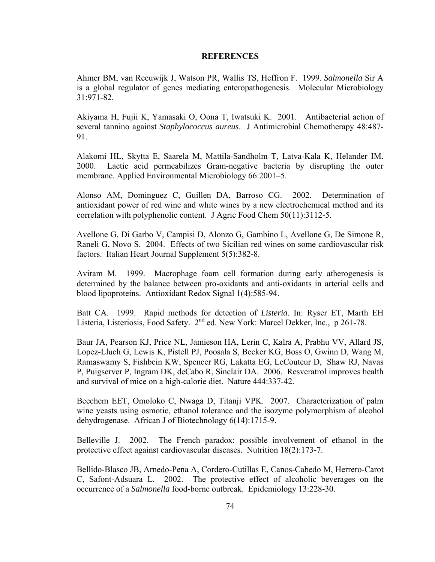#### **REFERENCES**

Ahmer BM, van Reeuwijk J, Watson PR, Wallis TS, Heffron F. 1999. *Salmonella* Sir A is a global regulator of genes mediating enteropathogenesis. Molecular Microbiology 31:971-82.

Akiyama H, Fujii K, Yamasaki O, Oona T, Iwatsuki K. 2001. Antibacterial action of several tannino against *Staphylococcus aureus*. J Antimicrobial Chemotherapy 48:487- 91.

Alakomi HL, Skytta E, Saarela M, Mattila-Sandholm T, Latva-Kala K, Helander IM. 2000. Lactic acid permeabilizes Gram-negative bacteria by disrupting the outer membrane. Applied Environmental Microbiology 66:2001–5.

Alonso AM, Dominguez C, Guillen DA, Barroso CG. 2002. Determination of antioxidant power of red wine and white wines by a new electrochemical method and its correlation with polyphenolic content. J Agric Food Chem 50(11):3112-5.

Avellone G, Di Garbo V, Campisi D, Alonzo G, Gambino L, Avellone G, De Simone R, Raneli G, Novo S. 2004. [Effects of two Sicilian red wines on some cardiovascular risk](http://www.ncbi.nlm.nih.gov/entrez/query.fcgi?cmd=Retrieve&db=pubmed&dopt=Abstract&list_uids=15182065)  [factors.](http://www.ncbi.nlm.nih.gov/entrez/query.fcgi?cmd=Retrieve&db=pubmed&dopt=Abstract&list_uids=15182065) Italian Heart Journal Supplement 5(5):382-8.

Aviram M. 1999. [Macrophage foam cell formation during early atherogenesis is](http://www.ncbi.nlm.nih.gov/entrez/query.fcgi?cmd=Retrieve&db=pubmed&dopt=Abstract&list_uids=11233155)  [determined by the balance between pro-oxidants and anti-oxidants in arterial cells and](http://www.ncbi.nlm.nih.gov/entrez/query.fcgi?cmd=Retrieve&db=pubmed&dopt=Abstract&list_uids=11233155)  [blood lipoproteins.](http://www.ncbi.nlm.nih.gov/entrez/query.fcgi?cmd=Retrieve&db=pubmed&dopt=Abstract&list_uids=11233155) Antioxidant Redox Signal 1(4):585-94.

Batt CA. 1999. Rapid methods for detection of *Listeria*. In: Ryser ET, Marth EH Listeria, Listeriosis, Food Safety. 2<sup>nd</sup> ed. New York: Marcel Dekker, Inc., p 261-78.

Baur JA, Pearson KJ, Price NL, Jamieson HA, Lerin C, Kalra A, Prabhu VV, Allard JS, Lopez-Lluch G, Lewis K, Pistell PJ, Poosala S, Becker KG, Boss O, Gwinn D, Wang M, Ramaswamy S, Fishbein KW, Spencer RG, Lakatta EG, LeCouteur D, Shaw RJ, Navas P, Puigserver P, Ingram DK, deCabo R, Sinclair DA. 2006. Resveratrol improves health and survival of mice on a high-calorie diet. Nature 444:337-42.

Beechem EET, Omoloko C, Nwaga D, Titanji VPK. 2007. Characterization of palm wine yeasts using osmotic, ethanol tolerance and the isozyme polymorphism of alcohol dehydrogenase. African J of Biotechnology 6(14):1715-9.

Belleville J. 2002. [The French paradox: possible involvement of ethanol in the](http://www.ncbi.nlm.nih.gov/entrez/query.fcgi?cmd=Retrieve&db=pubmed&dopt=Abstract&list_uids=11844649)  [protective effect against cardiovascular diseases.](http://www.ncbi.nlm.nih.gov/entrez/query.fcgi?cmd=Retrieve&db=pubmed&dopt=Abstract&list_uids=11844649) Nutrition 18(2):173-7.

Bellido-Blasco JB, Arnedo-Pena A, Cordero-Cutillas E, Canos-Cabedo M, Herrero-Carot C, Safont-Adsuara L. 2002. The protective effect of alcoholic beverages on the occurrence of a *Salmonella* food-borne outbreak. Epidemiology 13:228-30.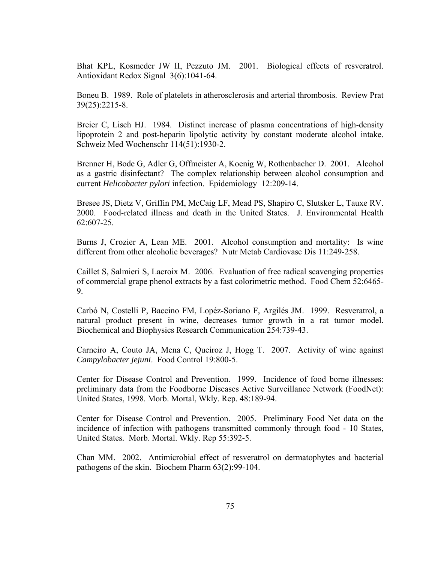Bhat KPL, Kosmeder JW II, Pezzuto JM. 2001. Biological effects of resveratrol. Antioxidant Redox Signal 3(6):1041-64.

Boneu B. 1989. [Role of platelets in atherosclerosis and arterial thrombosis.](http://www.ncbi.nlm.nih.gov/entrez/query.fcgi?cmd=Retrieve&db=PubMed&list_uids=2595216&dopt=Abstract) Review Prat 39(25):2215-8.

Breier C, Lisch HJ. 1984. [Distinct increase of plasma concentrations of high-density](http://www.ncbi.nlm.nih.gov/entrez/query.fcgi?cmd=Retrieve&db=pubmed&dopt=Abstract&list_uids=6523107)  [lipoprotein 2 and post-heparin lipolytic activity by constant moderate alcohol intake.](http://www.ncbi.nlm.nih.gov/entrez/query.fcgi?cmd=Retrieve&db=pubmed&dopt=Abstract&list_uids=6523107) Schweiz Med Wochenschr 114(51):1930-2.

Brenner H, Bode G, Adler G, Offmeister A, Koenig W, Rothenbacher D. 2001. Alcohol as a gastric disinfectant? The complex relationship between alcohol consumption and current *Helicobacter pylori* infection. Epidemiology 12:209-14.

Bresee JS, Dietz V, Griffin PM, McCaig LF, Mead PS, Shapiro C, Slutsker L, Tauxe RV. 2000. Food-related illness and death in the United States.J. Environmental Health 62:607-25.

Burns J, Crozier A, Lean ME. 2001. Alcohol consumption and mortality: Is wine different from other alcoholic beverages? Nutr Metab Cardiovasc Dis 11:249-258.

Caillet S, Salmieri S, Lacroix M. 2006. Evaluation of free radical scavenging properties of commercial grape phenol extracts by a fast colorimetric method. Food Chem 52:6465- 9.

Carbό N, Costelli P, Baccino FM, Lopéz-Soriano F, Argilés JM. 1999. Resveratrol, a natural product present in wine, decreases tumor growth in a rat tumor model. Biochemical and Biophysics Research Communication 254:739-43.

Carneiro A, Couto JA, Mena C, Queiroz J, Hogg T. 2007. Activity of wine against *Campylobacter jejuni*. Food Control 19:800-5.

Center for Disease Control and Prevention. 1999. Incidence of food borne illnesses: preliminary data from the Foodborne Diseases Active Surveillance Network (FoodNet): United States, 1998. Morb. Mortal, Wkly. Rep. 48:189-94.

Center for Disease Control and Prevention. 2005. Preliminary Food Net data on the incidence of infection with pathogens transmitted commonly through food - 10 States, United States*.* Morb. Mortal. Wkly. Rep 55:392-5.

Chan MM. 2002. Antimicrobial effect of resveratrol on dermatophytes and bacterial pathogens of the skin. Biochem Pharm 63(2):99-104.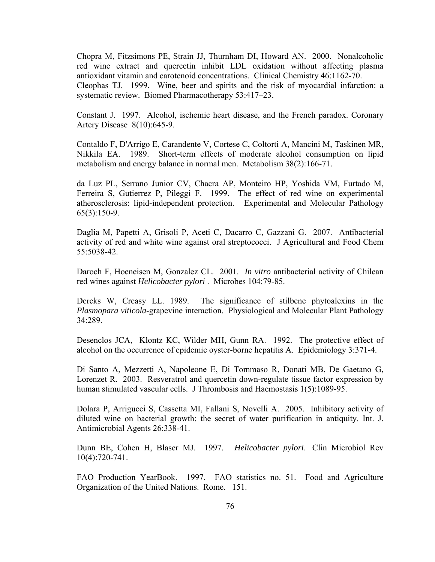Chopra M, Fitzsimons PE, Strain JJ, Thurnham DI, Howard AN. 2000. [Nonalcoholic](http://www.clinchem.org/cgi/content/full/46/8/1162)  [red wine extract and quercetin inhibit LDL oxidation without affecting plasma](http://www.clinchem.org/cgi/content/full/46/8/1162)  [antioxidant vitamin and carotenoid concentrations.](http://www.clinchem.org/cgi/content/full/46/8/1162) Clinical Chemistry 46:1162-70. Cleophas TJ. 1999. Wine, beer and spirits and the risk of myocardial infarction: a systematic review. Biomed Pharmacotherapy 53:417–23.

Constant J. 1997. Alcohol, ischemic heart disease, and the French paradox. Coronary Artery Disease 8(10):645-9.

Contaldo F, D'Arrigo E, Carandente V, Cortese C, Coltorti A, Mancini M, Taskinen MR, Nikkila EA. 1989. [Short-term effects of moderate alcohol consumption on lipid](http://www.ncbi.nlm.nih.gov/entrez/query.fcgi?cmd=Retrieve&db=pubmed&dopt=Abstract&list_uids=2643752)  [metabolism and energy balance in normal men.](http://www.ncbi.nlm.nih.gov/entrez/query.fcgi?cmd=Retrieve&db=pubmed&dopt=Abstract&list_uids=2643752) Metabolism 38(2):166-71.

da Luz PL, Serrano Junior CV, Chacra AP, Monteiro HP, Yoshida VM, Furtado M, Ferreira S, Gutierrez P, Pileggi F. 1999. [The effect of red wine on experimental](http://www.ncbi.nlm.nih.gov/entrez/query.fcgi?cmd=Retrieve&db=pubmed&dopt=Abstract&list_uids=10234361)  [atherosclerosis: lipid-independent protection.](http://www.ncbi.nlm.nih.gov/entrez/query.fcgi?cmd=Retrieve&db=pubmed&dopt=Abstract&list_uids=10234361) Experimental and Molecular Pathology 65(3):150-9.

Daglia M, Papetti A, Grisoli P, Aceti C, Dacarro C, Gazzani G. 2007. Antibacterial activity of red and white wine against oral streptococci. J Agricultural and Food Chem 55:5038-42.

Daroch F, Hoeneisen M, Gonzalez CL. 2001. *In vitro* antibacterial activity of Chilean red wines against *Helicobacter pylori* . Microbes 104:79-85.

Dercks W, Creasy LL. 1989. The significance of stilbene phytoalexins in the *Plasmopara viticola*-grapevine interaction. Physiological and Molecular Plant Pathology 34:289.

Desenclos JCA, Klontz KC, Wilder MH, Gunn RA. 1992. The protective effect of alcohol on the occurrence of epidemic oyster-borne hepatitis A. Epidemiology 3:371-4.

Di Santo A, Mezzetti A, Napoleone E, Di Tommaso R, Donati MB, De Gaetano G, Lorenzet R. 2003. [Resveratrol and quercetin down-regulate tissue factor expression by](http://www.ncbi.nlm.nih.gov/entrez/query.fcgi?cmd=Retrieve&db=pubmed&dopt=Abstract&list_uids=12871381)  [human stimulated vascular cells.](http://www.ncbi.nlm.nih.gov/entrez/query.fcgi?cmd=Retrieve&db=pubmed&dopt=Abstract&list_uids=12871381) J Thrombosis and Haemostasis 1(5):1089-95.

Dolara P, Arrigucci S, Cassetta MI, Fallani S, Novelli A. 2005. Inhibitory activity of diluted wine on bacterial growth: the secret of water purification in antiquity. Int. J. Antimicrobial Agents 26:338-41.

Dunn BE, Cohen H, Blaser MJ. 1997. *Helicobacter pylori*. Clin Microbiol Rev 10(4):720-741.

FAO Production YearBook. 1997. FAO statistics no. 51. Food and Agriculture Organization of the United Nations. Rome. 151.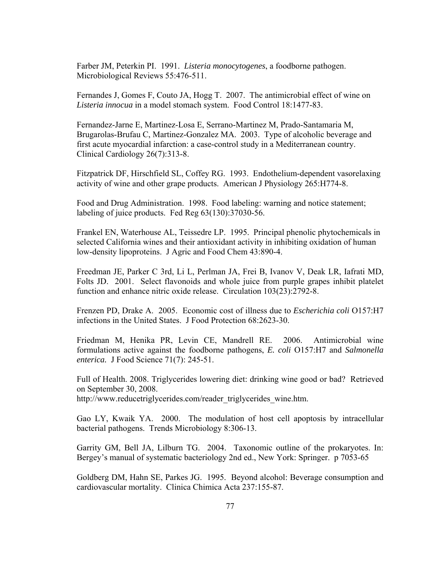Farber JM, Peterkin PI. 1991. *Listeria monocytogenes*, a foodborne pathogen. Microbiological Reviews 55:476-511.

Fernandes J, Gomes F, Couto JA, Hogg T. 2007. The antimicrobial effect of wine on *Listeria innocua* in a model stomach system. Food Control 18:1477-83.

Fernandez-Jarne E, Martinez-Losa E, Serrano-Martinez M, Prado-Santamaria M, Brugarolas-Brufau C, Martinez-Gonzalez MA. 2003. [Type of alcoholic beverage and](http://www.ncbi.nlm.nih.gov/entrez/query.fcgi?cmd=Retrieve&db=pubmed&dopt=Abstract&list_uids=12862296)  [first acute myocardial infarction: a case-control study in a Mediterranean country.](http://www.ncbi.nlm.nih.gov/entrez/query.fcgi?cmd=Retrieve&db=pubmed&dopt=Abstract&list_uids=12862296)  Clinical Cardiology 26(7):313-8.

Fitzpatrick DF, Hirschfield SL, Coffey RG. 1993. Endothelium-dependent vasorelaxing activity of wine and other grape products. American J Physiology 265:H774-8.

Food and Drug Administration. 1998. Food labeling: warning and notice statement; labeling of juice products. Fed Reg 63(130):37030-56.

Frankel EN, Waterhouse AL, Teissedre LP. 1995. Principal phenolic phytochemicals in selected California wines and their antioxidant activity in inhibiting oxidation of human low-density lipoproteins. J Agric and Food Chem 43:890-4.

Freedman JE, Parker C 3rd, Li L, Perlman JA, Frei B, Ivanov V, Deak LR, Iafrati MD, Folts JD. 2001. Select flavonoids and whole juice from purple grapes inhibit platelet function and enhance nitric oxide release. Circulation 103(23):2792-8.

Frenzen PD, Drake A. 2005. Economic cost of illness due to *Escherichia coli* O157:H7 infections in the United States. J Food Protection 68:2623-30.

Friedman M, Henika PR, Levin CE, Mandrell RE. 2006. Antimicrobial wine formulations active against the foodborne pathogens, *E. coli* O157:H7 and *Salmonella enterica.* J Food Science 71(7): 245-51.

Full of Health. 2008. Triglycerides lowering diet: drinking wine good or bad? Retrieved on September 30, 2008. [http://www.reducetriglycerides.com/reader\\_triglycerides\\_wine.htm.](http://www.reducetriglycerides.com/reader_triglycerides_wine.htm)

Gao LY, Kwaik YA. 2000. The modulation of host cell apoptosis by intracellular bacterial pathogens. Trends Microbiology 8:306-13.

Garrity GM, Bell JA, Lilburn TG. 2004. Taxonomic outline of the prokaryotes. In: Bergey's manual of systematic bacteriology 2nd ed., New York: Springer. p 7053-65

Goldberg DM, Hahn SE, Parkes JG. 1995. Beyond alcohol: Beverage consumption and cardiovascular mortality. Clinica Chimica Acta 237:155-87.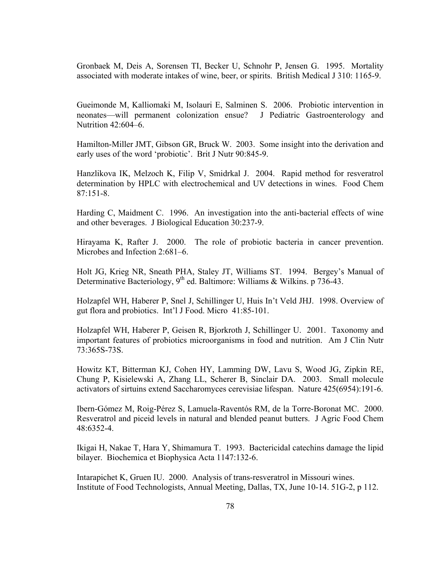Gronbaek M, Deis A, Sorensen TI, Becker U, Schnohr P, Jensen G. 1995. [Mortality](http://bmj.bmjjournals.com/cgi/content/full/310/6988/1165)  [associated with moderate intakes of wine, beer, or spirits.](http://bmj.bmjjournals.com/cgi/content/full/310/6988/1165) British Medical J 310: 1165-9.

Gueimonde M, Kalliomaki M, Isolauri E, Salminen S. 2006. Probiotic intervention in neonates—will permanent colonization ensue? J Pediatric Gastroenterology and Nutrition 42:604–6.

Hamilton-Miller JMT, Gibson GR, Bruck W. 2003. Some insight into the derivation and early uses of the word 'probiotic'. Brit J Nutr 90:845-9.

Hanzlikova IK, Melzoch K, Filip V, Smidrkal J. 2004. Rapid method for resveratrol determination by HPLC with electrochemical and UV detections in wines. Food Chem 87:151-8.

Harding C, Maidment C. 1996. An investigation into the anti-bacterial effects of wine and other beverages. J Biological Education 30:237-9.

Hirayama K, Rafter J. 2000. The role of probiotic bacteria in cancer prevention. Microbes and Infection 2:681–6.

Holt JG, Krieg NR, Sneath PHA, Staley JT, Williams ST. 1994. Bergey's Manual of Determinative Bacteriology,  $9<sup>th</sup>$  ed. Baltimore: Williams & Wilkins. p 736-43.

Holzapfel WH, Haberer P, Snel J, Schillinger U, Huis In't Veld JHJ. 1998. Overview of gut flora and probiotics. Int'l J Food. Micro 41:85-101.

Holzapfel WH, Haberer P, Geisen R, Bjorkroth J, Schillinger U. 2001. Taxonomy and important features of probiotics microorganisms in food and nutrition. Am J Clin Nutr 73:365S-73S.

Howitz KT, Bitterman KJ, Cohen HY, Lamming DW, Lavu S, Wood JG, Zipkin RE, Chung P, Kisielewski A, Zhang LL, Scherer B, Sinclair DA. 2003. Small molecule activators of sirtuins extend Saccharomyces cerevisiae lifespan. Nature 425(6954):191-6.

Ibern-Gómez M, Roig-Pérez S, Lamuela-Raventós RM, de la Torre-Boronat MC. 2000. Resveratrol and piceid levels in natural and blended peanut butters. J Agric Food Chem 48:6352-4.

Ikigai H, Nakae T, Hara Y, Shimamura T. 1993. Bactericidal catechins damage the lipid bilayer. Biochemica et Biophysica Acta 1147:132-6.

Intarapichet K, Gruen IU. 2000. Analysis of trans-resveratrol in Missouri wines. Institute of Food Technologists, Annual Meeting, Dallas, TX, June 10-14. 51G-2, p 112.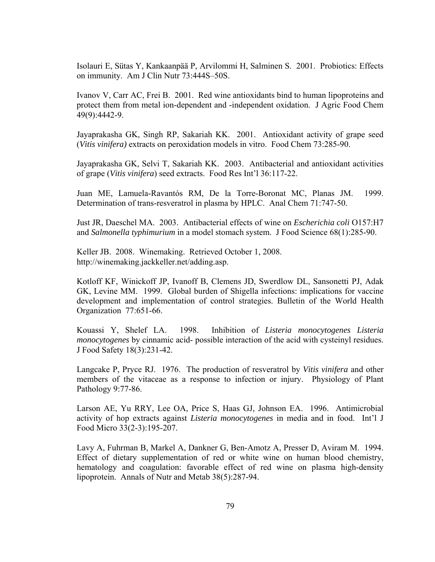Isolauri E, Sütas Y, Kankaanpää P, Arvilommi H, Salminen S. 2001. Probiotics: Effects on immunity. Am J Clin Nutr 73:444S–50S.

Ivanov V, Carr AC, Frei B. 2001. [Red wine antioxidants bind to human lipoproteins and](http://www.ncbi.nlm.nih.gov/entrez/query.fcgi?cmd=Retrieve&db=pubmed&dopt=Abstract&list_uids=11559152)  [protect them from metal ion-dependent and -independent oxidation.](http://www.ncbi.nlm.nih.gov/entrez/query.fcgi?cmd=Retrieve&db=pubmed&dopt=Abstract&list_uids=11559152) J Agric Food Chem 49(9):4442-9.

Jayaprakasha GK, Singh RP, Sakariah KK. 2001. Antioxidant activity of grape seed (*Vitis vinifera)* extracts on peroxidation models in vitro. Food Chem 73:285-90.

Jayaprakasha GK, Selvi T, Sakariah KK. 2003. Antibacterial and antioxidant activities of grape (*Vitis vinifera*) seed extracts. Food Res Int'l 36:117-22.

Juan ME, Lamuela-Ravantόs RM, De la Torre-Boronat MC, Planas JM. 1999. Determination of trans-resveratrol in plasma by HPLC. Anal Chem 71:747-50.

Just JR, Daeschel MA. 2003. Antibacterial effects of wine on *Escherichia coli* O157:H7 and *Salmonella typhimurium* in a model stomach system. J Food Science 68(1):285-90.

Keller JB. 2008. Winemaking. Retrieved October 1, 2008. http://winemaking.jackkeller.net/adding.asp.

Kotloff KF, Winickoff JP, Ivanoff B, Clemens JD, Swerdlow DL, Sansonetti PJ, Adak GK, Levine MM. 1999. Global burden of Shigella infections: implications for vaccine development and implementation of control strategies. Bulletin of the World Health Organization 77:651-66.

Kouassi Y, Shelef LA. 1998. Inhibition of *Listeria monocytogenes Listeria monocytogenes* by cinnamic acid- possible interaction of the acid with cysteinyl residues. J Food Safety 18(3):231-42.

Langcake P, Pryce RJ. 1976. The production of resveratrol by *Vitis vinifera* and other members of the vitaceae as a response to infection or injury. Physiology of Plant Pathology 9:77-86.

Larson AE, Yu RRY, Lee OA, Price S, Haas GJ, Johnson EA. 1996. Antimicrobial activity of hop extracts against *Listeria monocytogenes* in media and in food. Int'l J Food Micro 33(2-3):195-207.

Lavy A, Fuhrman B, Markel A, Dankner G, Ben-Amotz A, Presser D, Aviram M. 1994. [Effect of dietary supplementation of red or white wine on human blood chemistry,](http://www.ncbi.nlm.nih.gov/entrez/query.fcgi?cmd=Retrieve&db=pubmed&dopt=Abstract&list_uids=7535990)  [hematology and coagulation: favorable effect of red wine on plasma high-density](http://www.ncbi.nlm.nih.gov/entrez/query.fcgi?cmd=Retrieve&db=pubmed&dopt=Abstract&list_uids=7535990)  [lipoprotein.](http://www.ncbi.nlm.nih.gov/entrez/query.fcgi?cmd=Retrieve&db=pubmed&dopt=Abstract&list_uids=7535990) Annals of Nutr and Metab 38(5):287-94.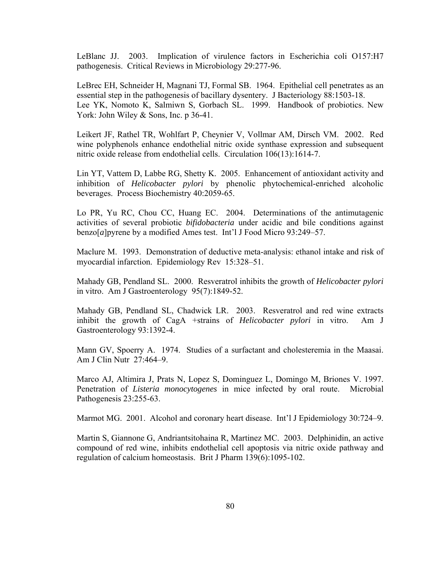LeBlanc JJ. 2003. Implication of virulence factors in Escherichia coli O157:H7 pathogenesis. Critical Reviews in Microbiology 29:277-96.

LeBrec EH, Schneider H, Magnani TJ, Formal SB. 1964. Epithelial cell penetrates as an essential step in the pathogenesis of bacillary dysentery. J Bacteriology 88:1503-18. Lee YK, Nomoto K, Salmiwn S, Gorbach SL. 1999. Handbook of probiotics. New York: John Wiley & Sons, Inc. p 36-41.

Leikert JF, Rathel TR, Wohlfart P, Cheynier V, Vollmar AM, Dirsch VM. 2002. [Red](http://circ.ahajournals.org/cgi/content/full/106/13/1614)  [wine polyphenols enhance endothelial nitric oxide synthase expression and subsequent](http://circ.ahajournals.org/cgi/content/full/106/13/1614)  [nitric oxide release from endothelial cells.](http://circ.ahajournals.org/cgi/content/full/106/13/1614) Circulation 106(13):1614-7.

Lin YT, Vattem D, Labbe RG, Shetty K. 2005. Enhancement of antioxidant activity and inhibition of *Helicobacter pylori* by phenolic phytochemical-enriched alcoholic beverages. Process Biochemistry 40:2059-65.

Lo PR, Yu RC, Chou CC, Huang EC. 2004. Determinations of the antimutagenic activities of several probiotic *bifidobacteria* under acidic and bile conditions against benzo[*a*]pyrene by a modified Ames test. Int'l J Food Micro 93:249–57.

Maclure M. 1993. Demonstration of deductive meta-analysis: ethanol intake and risk of myocardial infarction. Epidemiology Rev15:328–51.

Mahady GB, Pendland SL. 2000. Resveratrol inhibits the growth of *Helicobacter pylori*  in vitro. Am J Gastroenterology 95(7):1849-52.

Mahady GB, Pendland SL, Chadwick LR. 2003. Resveratrol and red wine extracts inhibit the growth of CagA +strains of *Helicobacter pylori* in vitro. Am J Gastroenterology 93:1392-4.

Mann GV, Spoerry A. 1974. Studies of a surfactant and cholesteremia in the Maasai. Am J Clin Nutr 27:464–9.

Marco AJ, Altimira J, Prats N, Lopez S, Dominguez L, Domingo M, Briones V. 1997. Penetration of *Listeria monocytogenes* in mice infected by oral route. Microbial Pathogenesis 23:255-63.

Marmot MG. 2001. Alcohol and coronary heart disease. Int'l J Epidemiology 30:724–9.

Martin S, Giannone G, Andriantsitohaina R, Martinez MC. 2003. [Delphinidin, an active](http://www.ncbi.nlm.nih.gov/entrez/query.fcgi?cmd=Retrieve&db=pubmed&dopt=Abstract&list_uids=12871827)  [compound of red wine, inhibits endothelial cell apoptosis via nitric oxide pathway and](http://www.ncbi.nlm.nih.gov/entrez/query.fcgi?cmd=Retrieve&db=pubmed&dopt=Abstract&list_uids=12871827)  [regulation of calcium homeostasis](http://www.ncbi.nlm.nih.gov/entrez/query.fcgi?cmd=Retrieve&db=pubmed&dopt=Abstract&list_uids=12871827). Brit J Pharm 139(6):1095-102.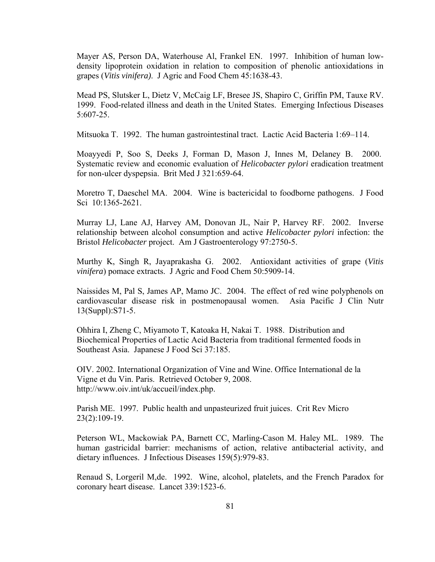Mayer AS, Person DA, Waterhouse Al, Frankel EN. 1997. Inhibition of human lowdensity lipoprotein oxidation in relation to composition of phenolic antioxidations in grapes (*Vitis vinifera)*. J Agric and Food Chem 45:1638-43.

Mead PS, Slutsker L, Dietz V, McCaig LF, Bresee JS, Shapiro C, Griffin PM, Tauxe RV. 1999. Food-related illness and death in the United States. Emerging Infectious Diseases 5:607-25.

Mitsuoka T. 1992. The human gastrointestinal tract. Lactic Acid Bacteria 1:69–114.

Moayyedi P, Soo S, Deeks J, Forman D, Mason J, Innes M, Delaney B. 2000. Systematic review and economic evaluation of *Helicobacter pylori* eradication treatment for non-ulcer dyspepsia. Brit Med J 321:659-64.

Moretro T, Daeschel MA. 2004. Wine is bactericidal to foodborne pathogens. J Food Sci10:1365-2621.

Murray LJ, Lane AJ, Harvey AM, Donovan JL, Nair P, Harvey RF. 2002. Inverse relationship between alcohol consumption and active *Helicobacter pylori* infection: the Bristol *Helicobacter* project. Am J Gastroenterology 97:2750-5.

Murthy K, Singh R, Jayaprakasha G. 2002. Antioxidant activities of grape (*Vitis vinifera*) pomace extracts. J Agric and Food Chem 50:5909-14.

Naissides M, Pal S, James AP, Mamo JC. 2004. [The effect of red wine polyphenols on](http://www.ncbi.nlm.nih.gov/entrez/query.fcgi?cmd=Retrieve&db=pubmed&dopt=Abstract&list_uids=15294563)  [cardiovascular disease risk in postmenopausal women.](http://www.ncbi.nlm.nih.gov/entrez/query.fcgi?cmd=Retrieve&db=pubmed&dopt=Abstract&list_uids=15294563) Asia Pacific J Clin Nutr 13(Suppl):S71-5.

Ohhira I, Zheng C, Miyamoto T, Katoaka H, Nakai T. 1988. Distribution and Biochemical Properties of Lactic Acid Bacteria from traditional fermented foods in Southeast Asia. Japanese J Food Sci 37:185.

OIV. 2002. International Organization of Vine and Wine. Office International de la Vigne et du Vin. Paris. Retrieved October 9, 2008. http://www.oiv.int/uk/accueil/index.php.

Parish ME. 1997. Public health and unpasteurized fruit juices. Crit Rev Micro 23(2):109-19.

Peterson WL, Mackowiak PA, Barnett CC, Marling-Cason M. Haley ML. 1989. The human gastricidal barrier: mechanisms of action, relative antibacterial activity, and dietary influences. J Infectious Diseases 159(5):979-83.

Renaud S, Lorgeril M,de. 1992. Wine, alcohol, platelets, and the French Paradox for coronary heart disease. Lancet 339:1523-6.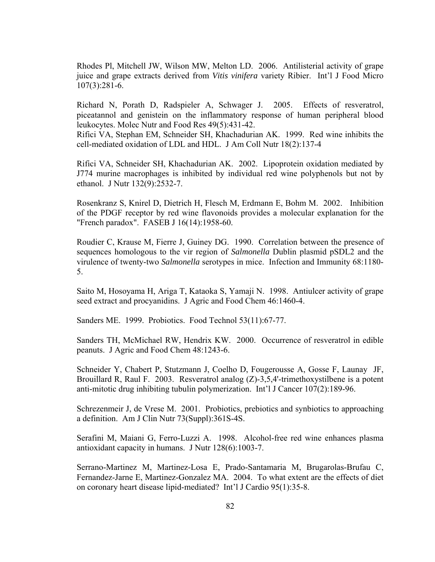Rhodes Pl, Mitchell JW, Wilson MW, Melton LD. 2006. Antilisterial activity of grape juice and grape extracts derived from *Vitis vinifera* variety Ribier. Int'l J Food Micro 107(3):281-6.

Richard N, Porath D, Radspieler A, Schwager J. 2005. Effects of resveratrol, piceatannol and genistein on the inflammatory response of human peripheral blood leukocytes. Molec Nutr and Food Res 49(5):431-42.

Rifici VA, Stephan EM, Schneider SH, Khachadurian AK. 1999. [Red wine inhibits the](http://www.jacn.org/cgi/content/full/18/2/137)  [cell-mediated oxidation of LDL and HDL.](http://www.jacn.org/cgi/content/full/18/2/137) J Am Coll Nutr 18(2):137-4

Rifici VA, Schneider SH, Khachadurian AK. 2002. [Lipoprotein oxidation mediated by](http://www.nutrition.org/cgi/content/full/132/9/2532)  [J774 murine macrophages is inhibited by individual red wine polyphenols but not by](http://www.nutrition.org/cgi/content/full/132/9/2532)  [ethanol](http://www.nutrition.org/cgi/content/full/132/9/2532). J Nutr 132(9):2532-7.

Rosenkranz S, Knirel D, Dietrich H, Flesch M, Erdmann E, Bohm M. 2002. Inhibition of the PDGF receptor by red wine flavonoids provides a molecular explanation for the "French paradox". FASEB J 16(14):1958-60.

Roudier C, Krause M, Fierre J, Guiney DG. 1990. Correlation between the presence of sequences homologous to the vir region of *Salmonella* Dublin plasmid pSDL2 and the virulence of twenty-two *Salmonella* serotypes in mice. Infection and Immunity 68:1180- 5.

Saito M, Hosoyama H, Ariga T, Kataoka S, Yamaji N. 1998. Antiulcer activity of grape seed extract and procyanidins. J Agric and Food Chem 46:1460-4.

Sanders ME. 1999. Probiotics. Food Technol 53(11):67-77.

Sanders TH, McMichael RW, Hendrix KW. 2000. Occurrence of resveratrol in edible peanuts. J Agric and Food Chem 48:1243-6.

Schneider Y, Chabert P, Stutzmann J, Coelho D, Fougerousse A, Gosse F, Launay JF, Brouillard R, Raul F. 2003. Resveratrol analog  $(Z)$ -3,5,4'-trimethoxystilbene is a potent anti-mitotic drug inhibiting tubulin polymerization. Int'l J Cancer 107(2):189-96.

Schrezenmeir J, de Vrese M. 2001. Probiotics, prebiotics and synbiotics to approaching a definition. Am J Clin Nutr 73(Suppl):361S-4S.

Serafini M, Maiani G, Ferro-Luzzi A. 1998. [Alcohol-free red wine enhances plasma](http://www.nutrition.org/cgi/content/full/128/6/1003)  [antioxidant capacity in humans.](http://www.nutrition.org/cgi/content/full/128/6/1003) J Nutr 128(6):1003-7.

Serrano-Martinez M, Martinez-Losa E, Prado-Santamaria M, Brugarolas-Brufau C, Fernandez-Jarne E, Martinez-Gonzalez MA. 2004. [To what extent are the effects of diet](http://www.ncbi.nlm.nih.gov/entrez/query.fcgi?cmd=Retrieve&db=pubmed&dopt=Abstract&list_uids=15159035)  [on coronary heart disease lipid-mediated?](http://www.ncbi.nlm.nih.gov/entrez/query.fcgi?cmd=Retrieve&db=pubmed&dopt=Abstract&list_uids=15159035) Int'l J Cardio 95(1):35-8.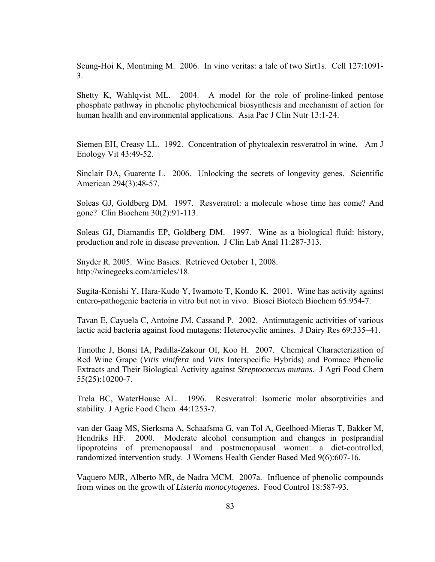Seung-Hoi K, Montming M. 2006. In vino veritas: a tale of two Sirt1s. Cell 127:1091- 3.

Shetty K, Wahlqvist ML. 2004. A model for the role of proline-linked pentose phosphate pathway in phenolic phytochemical biosynthesis and mechanism of action for human health and environmental applications. Asia Pac J Clin Nutr 13:1-24.

Siemen EH, Creasy LL. 1992. Concentration of phytoalexin resveratrol in wine. Am J Enology Vit 43:49-52.

Sinclair DA, Guarente L. 2006. Unlocking the secrets of longevity genes. Scientific American 294(3):48-57.

Soleas GJ, Goldberg DM. 1997. Resveratrol: a molecule whose time has come? And gone? Clin Biochem 30(2):91-113.

Soleas GJ, Diamandis EP, Goldberg DM. 1997. Wine as a biological fluid: history, production and role in disease prevention. J Clin Lab Anal 11:287-313.

Snyder R. 2005. Wine Basics. Retrieved October 1, 2008. http://winegeeks.com/articles/18.

Sugita-Konishi Y, Hara-Kudo Y, Iwamoto T, Kondo K. 2001. Wine has activity against entero-pathogenic bacteria in vitro but not in vivo. Biosci Biotech Biochem 65:954-7.

Tavan E, Cayuela C, Antoine JM, Cassand P. 2002. Antimutagenic activities of various lactic acid bacteria against food mutagens: Heterocyclic amines. J Dairy Res 69:335–41.

Timothe J, Bonsi IA, Padilla-Zakour OI, Koo H. 2007. Chemical Characterization of Red Wine Grape (*Vitis vinifera* and *Vitis* Interspecific Hybrids) and Pomace Phenolic Extracts and Their Biological Activity against *Streptococcus mutans.* J Agri Food Chem 55(25):10200-7.

Trela BC, WaterHouse AL. 1996. Resveratrol: Isomeric molar absorptivities and stability. J Agric Food Chem 44:1253-7.

van der Gaag MS, Sierksma A, Schaafsma G, van Tol A, Geelhoed-Mieras T, Bakker M, Hendriks HF. 2000. [Moderate alcohol consumption and changes in postprandial](http://www.ncbi.nlm.nih.gov/entrez/query.fcgi?cmd=Retrieve&db=pubmed&dopt=Abstract&list_uids=10957749)  [lipoproteins of premenopausal and postmenopausal women: a diet-controlled,](http://www.ncbi.nlm.nih.gov/entrez/query.fcgi?cmd=Retrieve&db=pubmed&dopt=Abstract&list_uids=10957749)  [randomized intervention study.](http://www.ncbi.nlm.nih.gov/entrez/query.fcgi?cmd=Retrieve&db=pubmed&dopt=Abstract&list_uids=10957749) J Womens Health Gender Based Med 9(6):607-16.

Vaquero MJR, Alberto MR, de Nadra MCM. 2007a. Influence of phenolic compounds from wines on the growth of *Listeria monocytogenes*. Food Control 18:587-93.